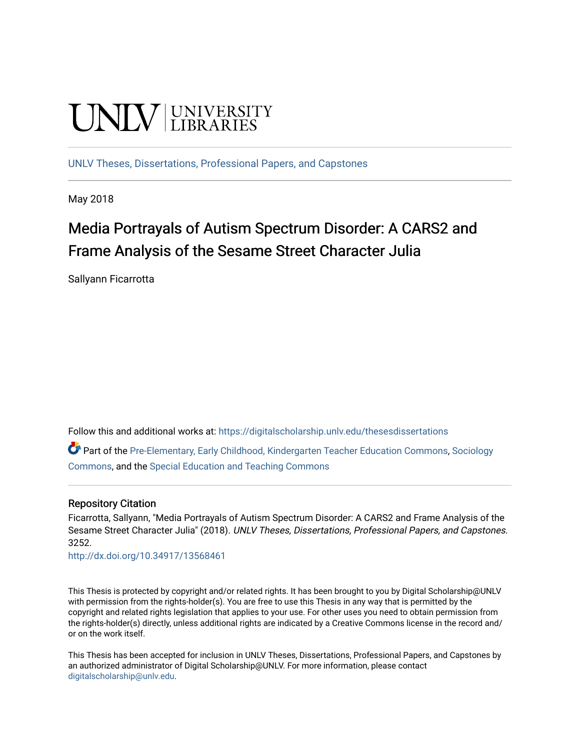# **UNIVERSITY**

[UNLV Theses, Dissertations, Professional Papers, and Capstones](https://digitalscholarship.unlv.edu/thesesdissertations)

May 2018

## Media Portrayals of Autism Spectrum Disorder: A CARS2 and Frame Analysis of the Sesame Street Character Julia

Sallyann Ficarrotta

Follow this and additional works at: [https://digitalscholarship.unlv.edu/thesesdissertations](https://digitalscholarship.unlv.edu/thesesdissertations?utm_source=digitalscholarship.unlv.edu%2Fthesesdissertations%2F3252&utm_medium=PDF&utm_campaign=PDFCoverPages)

Part of the [Pre-Elementary, Early Childhood, Kindergarten Teacher Education Commons](http://network.bepress.com/hgg/discipline/808?utm_source=digitalscholarship.unlv.edu%2Fthesesdissertations%2F3252&utm_medium=PDF&utm_campaign=PDFCoverPages), [Sociology](http://network.bepress.com/hgg/discipline/416?utm_source=digitalscholarship.unlv.edu%2Fthesesdissertations%2F3252&utm_medium=PDF&utm_campaign=PDFCoverPages)  [Commons](http://network.bepress.com/hgg/discipline/416?utm_source=digitalscholarship.unlv.edu%2Fthesesdissertations%2F3252&utm_medium=PDF&utm_campaign=PDFCoverPages), and the [Special Education and Teaching Commons](http://network.bepress.com/hgg/discipline/801?utm_source=digitalscholarship.unlv.edu%2Fthesesdissertations%2F3252&utm_medium=PDF&utm_campaign=PDFCoverPages) 

#### Repository Citation

Ficarrotta, Sallyann, "Media Portrayals of Autism Spectrum Disorder: A CARS2 and Frame Analysis of the Sesame Street Character Julia" (2018). UNLV Theses, Dissertations, Professional Papers, and Capstones. 3252.

<http://dx.doi.org/10.34917/13568461>

This Thesis is protected by copyright and/or related rights. It has been brought to you by Digital Scholarship@UNLV with permission from the rights-holder(s). You are free to use this Thesis in any way that is permitted by the copyright and related rights legislation that applies to your use. For other uses you need to obtain permission from the rights-holder(s) directly, unless additional rights are indicated by a Creative Commons license in the record and/ or on the work itself.

This Thesis has been accepted for inclusion in UNLV Theses, Dissertations, Professional Papers, and Capstones by an authorized administrator of Digital Scholarship@UNLV. For more information, please contact [digitalscholarship@unlv.edu](mailto:digitalscholarship@unlv.edu).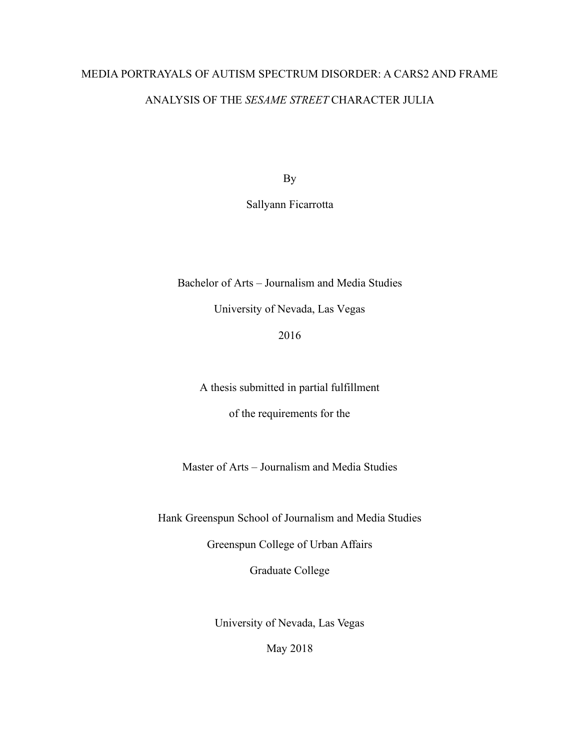## MEDIA PORTRAYALS OF AUTISM SPECTRUM DISORDER: A CARS2 AND FRAME ANALYSIS OF THE *SESAME STREET* CHARACTER JULIA

By

Sallyann Ficarrotta

Bachelor of Arts – Journalism and Media Studies

University of Nevada, Las Vegas

2016

A thesis submitted in partial fulfillment

of the requirements for the

Master of Arts – Journalism and Media Studies

Hank Greenspun School of Journalism and Media Studies

Greenspun College of Urban Affairs

Graduate College

University of Nevada, Las Vegas

May 2018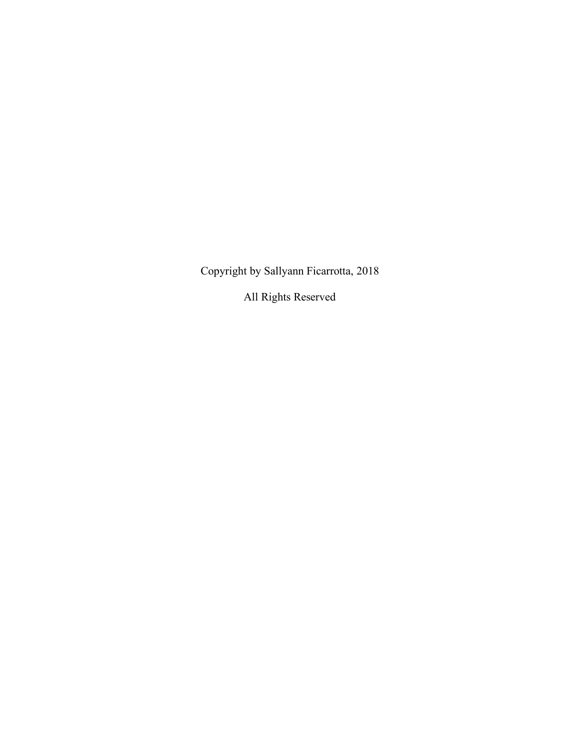Copyright by Sallyann Ficarrotta, 2018

All Rights Reserved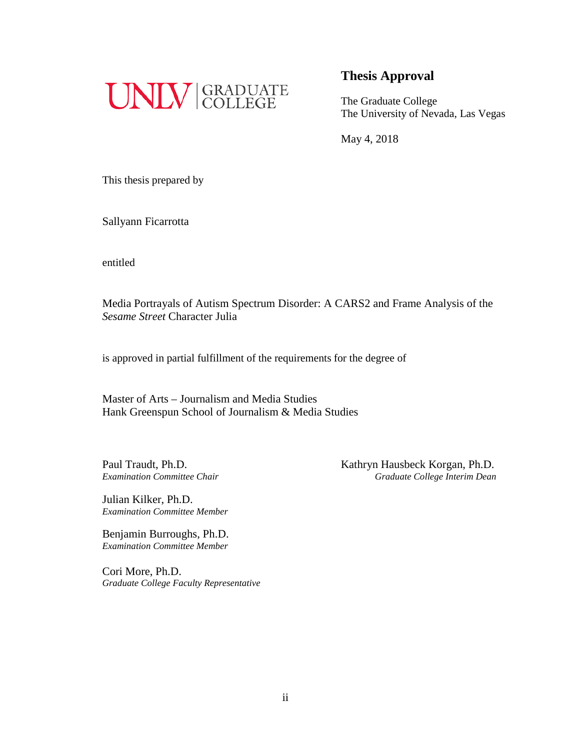

#### **Thesis Approval**

The Graduate College The University of Nevada, Las Vegas

May 4, 2018

This thesis prepared by

Sallyann Ficarrotta

entitled

Media Portrayals of Autism Spectrum Disorder: A CARS2 and Frame Analysis of the *Sesame Street* Character Julia

is approved in partial fulfillment of the requirements for the degree of

Master of Arts – Journalism and Media Studies Hank Greenspun School of Journalism & Media Studies

Paul Traudt, Ph.D.<br>
Examination Committee Chair<br>
Graduate College Interim Dean *Examination Committee Chair Graduate College Interim Dean*

Julian Kilker, Ph.D. *Examination Committee Member*

Benjamin Burroughs, Ph.D. *Examination Committee Member*

Cori More, Ph.D. *Graduate College Faculty Representative*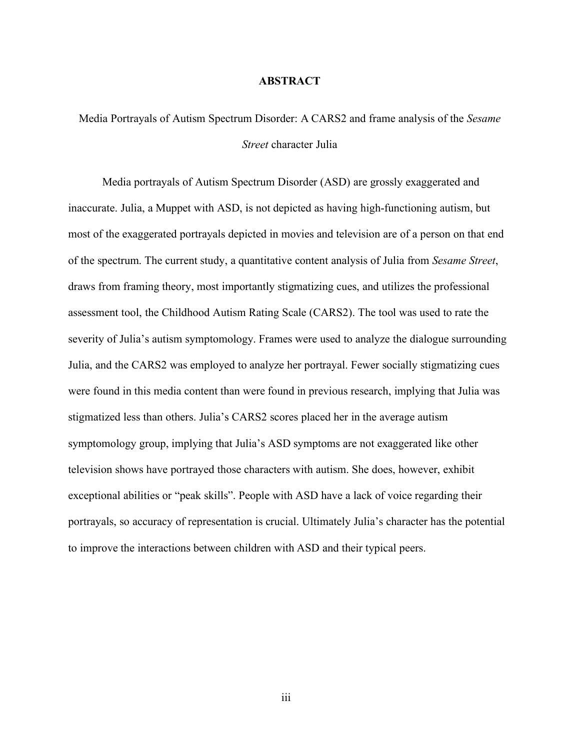#### **ABSTRACT**

Media Portrayals of Autism Spectrum Disorder: A CARS2 and frame analysis of the *Sesame Street* character Julia

Media portrayals of Autism Spectrum Disorder (ASD) are grossly exaggerated and inaccurate. Julia, a Muppet with ASD, is not depicted as having high-functioning autism, but most of the exaggerated portrayals depicted in movies and television are of a person on that end of the spectrum. The current study, a quantitative content analysis of Julia from *Sesame Street*, draws from framing theory, most importantly stigmatizing cues, and utilizes the professional assessment tool, the Childhood Autism Rating Scale (CARS2). The tool was used to rate the severity of Julia's autism symptomology. Frames were used to analyze the dialogue surrounding Julia, and the CARS2 was employed to analyze her portrayal. Fewer socially stigmatizing cues were found in this media content than were found in previous research, implying that Julia was stigmatized less than others. Julia's CARS2 scores placed her in the average autism symptomology group, implying that Julia's ASD symptoms are not exaggerated like other television shows have portrayed those characters with autism. She does, however, exhibit exceptional abilities or "peak skills". People with ASD have a lack of voice regarding their portrayals, so accuracy of representation is crucial. Ultimately Julia's character has the potential to improve the interactions between children with ASD and their typical peers.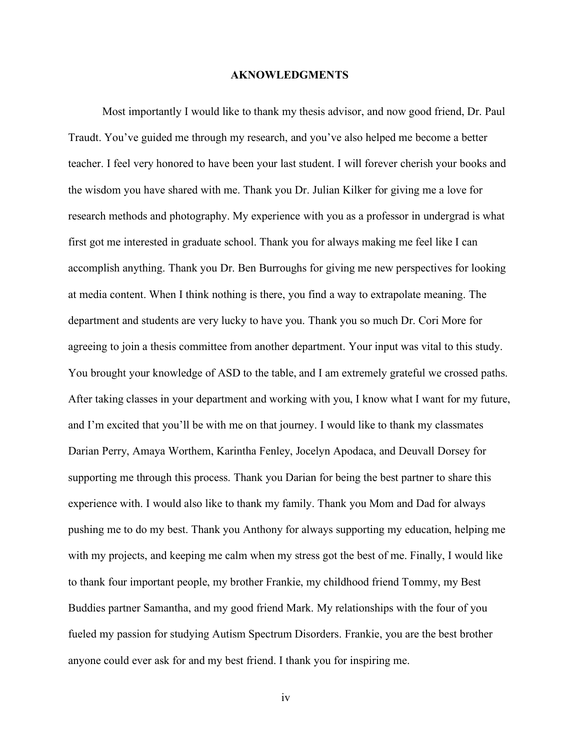#### **AKNOWLEDGMENTS**

Most importantly I would like to thank my thesis advisor, and now good friend, Dr. Paul Traudt. You've guided me through my research, and you've also helped me become a better teacher. I feel very honored to have been your last student. I will forever cherish your books and the wisdom you have shared with me. Thank you Dr. Julian Kilker for giving me a love for research methods and photography. My experience with you as a professor in undergrad is what first got me interested in graduate school. Thank you for always making me feel like I can accomplish anything. Thank you Dr. Ben Burroughs for giving me new perspectives for looking at media content. When I think nothing is there, you find a way to extrapolate meaning. The department and students are very lucky to have you. Thank you so much Dr. Cori More for agreeing to join a thesis committee from another department. Your input was vital to this study. You brought your knowledge of ASD to the table, and I am extremely grateful we crossed paths. After taking classes in your department and working with you, I know what I want for my future, and I'm excited that you'll be with me on that journey. I would like to thank my classmates Darian Perry, Amaya Worthem, Karintha Fenley, Jocelyn Apodaca, and Deuvall Dorsey for supporting me through this process. Thank you Darian for being the best partner to share this experience with. I would also like to thank my family. Thank you Mom and Dad for always pushing me to do my best. Thank you Anthony for always supporting my education, helping me with my projects, and keeping me calm when my stress got the best of me. Finally, I would like to thank four important people, my brother Frankie, my childhood friend Tommy, my Best Buddies partner Samantha, and my good friend Mark. My relationships with the four of you fueled my passion for studying Autism Spectrum Disorders. Frankie, you are the best brother anyone could ever ask for and my best friend. I thank you for inspiring me.

iv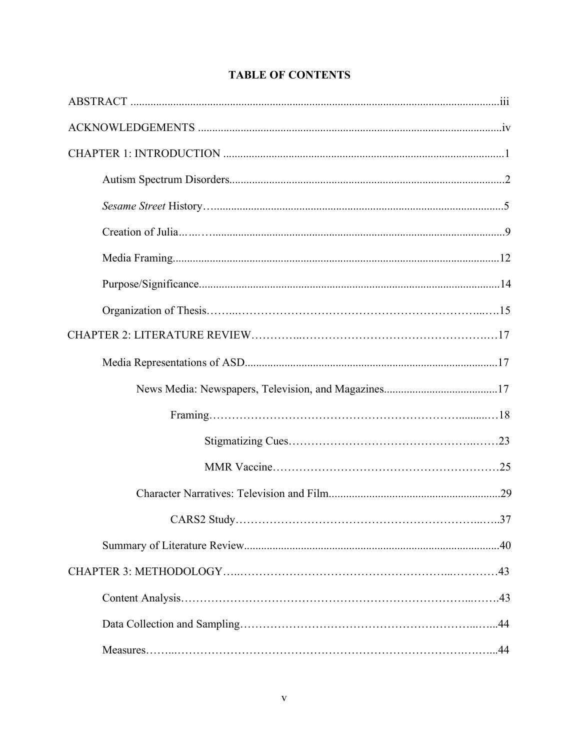### **TABLE OF CONTENTS**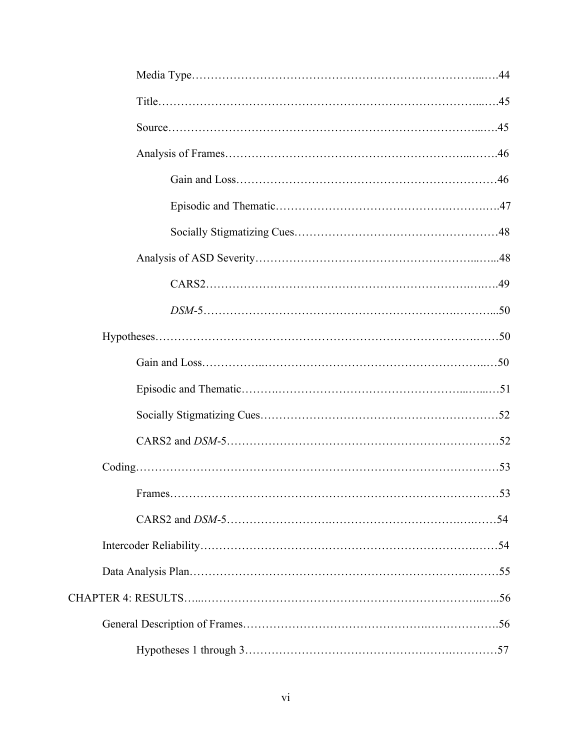| $\mathbf{r}$ |  |
|--------------|--|
|              |  |
|              |  |
|              |  |
|              |  |
|              |  |
|              |  |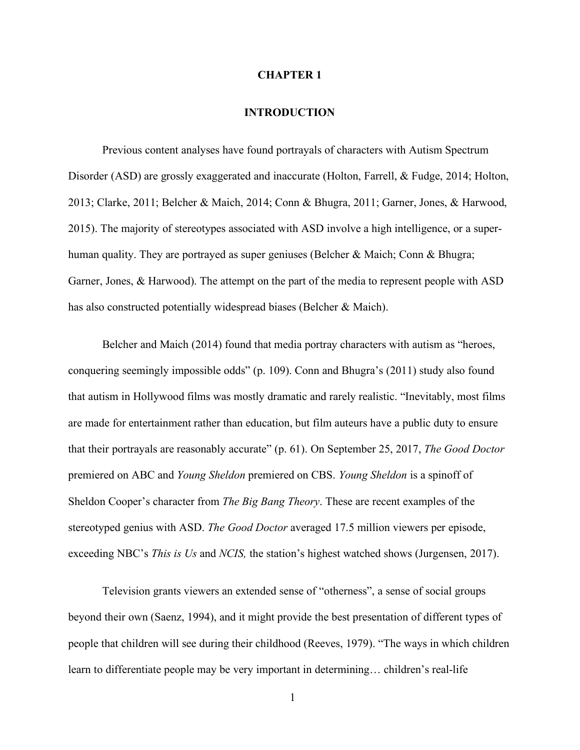#### **CHAPTER 1**

#### **INTRODUCTION**

Previous content analyses have found portrayals of characters with Autism Spectrum Disorder (ASD) are grossly exaggerated and inaccurate (Holton, Farrell, & Fudge, 2014; Holton, 2013; Clarke, 2011; Belcher & Maich, 2014; Conn & Bhugra, 2011; Garner, Jones, & Harwood, 2015). The majority of stereotypes associated with ASD involve a high intelligence, or a superhuman quality. They are portrayed as super geniuses (Belcher & Maich; Conn & Bhugra; Garner, Jones, & Harwood). The attempt on the part of the media to represent people with ASD has also constructed potentially widespread biases (Belcher & Maich).

Belcher and Maich (2014) found that media portray characters with autism as "heroes, conquering seemingly impossible odds" (p. 109). Conn and Bhugra's (2011) study also found that autism in Hollywood films was mostly dramatic and rarely realistic. "Inevitably, most films are made for entertainment rather than education, but film auteurs have a public duty to ensure that their portrayals are reasonably accurate" (p. 61). On September 25, 2017, *The Good Doctor* premiered on ABC and *Young Sheldon* premiered on CBS. *Young Sheldon* is a spinoff of Sheldon Cooper's character from *The Big Bang Theory*. These are recent examples of the stereotyped genius with ASD. *The Good Doctor* averaged 17.5 million viewers per episode, exceeding NBC's *This is Us* and *NCIS,* the station's highest watched shows (Jurgensen, 2017).

Television grants viewers an extended sense of "otherness", a sense of social groups beyond their own (Saenz, 1994), and it might provide the best presentation of different types of people that children will see during their childhood (Reeves, 1979). "The ways in which children learn to differentiate people may be very important in determining… children's real-life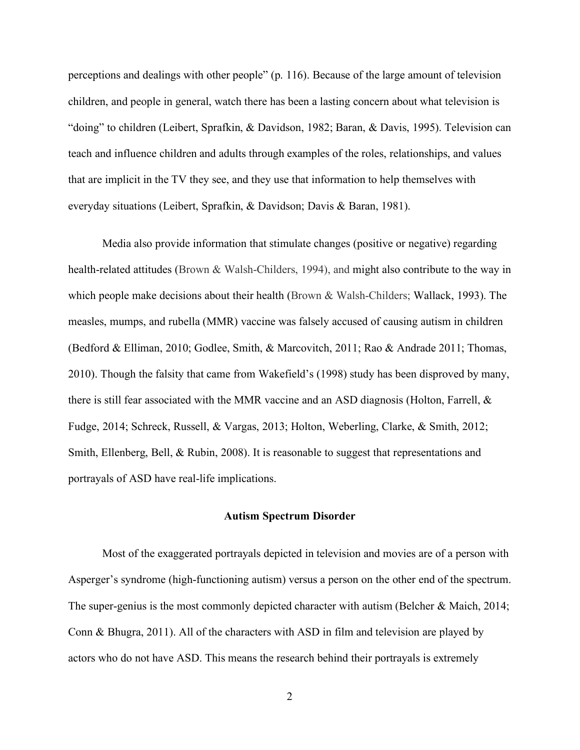perceptions and dealings with other people" (p. 116). Because of the large amount of television children, and people in general, watch there has been a lasting concern about what television is "doing" to children (Leibert, Sprafkin, & Davidson, 1982; Baran, & Davis, 1995). Television can teach and influence children and adults through examples of the roles, relationships, and values that are implicit in the TV they see, and they use that information to help themselves with everyday situations (Leibert, Sprafkin, & Davidson; Davis & Baran, 1981).

Media also provide information that stimulate changes (positive or negative) regarding health-related attitudes (Brown & Walsh-Childers, 1994), and might also contribute to the way in which people make decisions about their health (Brown & Walsh-Childers; Wallack, 1993). The measles, mumps, and rubella (MMR) vaccine was falsely accused of causing autism in children (Bedford & Elliman, 2010; Godlee, Smith, & Marcovitch, 2011; Rao & Andrade 2011; Thomas, 2010). Though the falsity that came from Wakefield's (1998) study has been disproved by many, there is still fear associated with the MMR vaccine and an ASD diagnosis (Holton, Farrell,  $\&$ Fudge, 2014; Schreck, Russell, & Vargas, 2013; Holton, Weberling, Clarke, & Smith, 2012; Smith, Ellenberg, Bell, & Rubin, 2008). It is reasonable to suggest that representations and portrayals of ASD have real-life implications.

#### **Autism Spectrum Disorder**

Most of the exaggerated portrayals depicted in television and movies are of a person with Asperger's syndrome (high-functioning autism) versus a person on the other end of the spectrum. The super-genius is the most commonly depicted character with autism (Belcher & Maich, 2014; Conn & Bhugra, 2011). All of the characters with ASD in film and television are played by actors who do not have ASD. This means the research behind their portrayals is extremely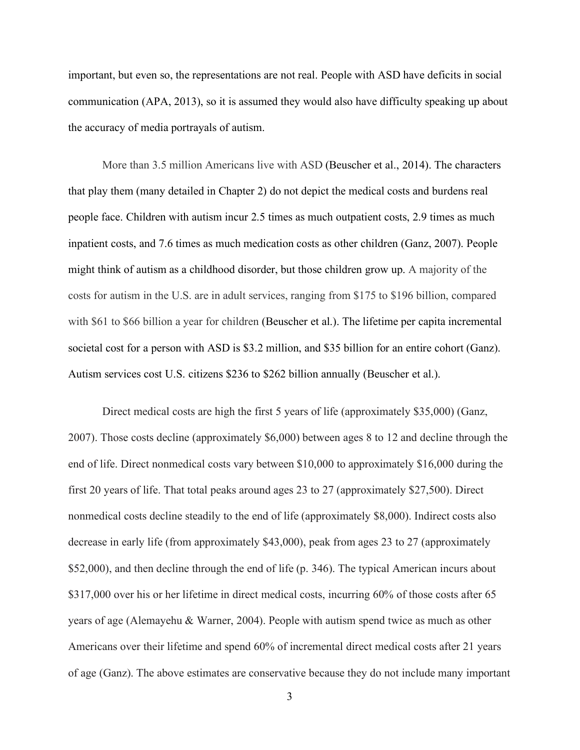important, but even so, the representations are not real. People with ASD have deficits in social communication (APA, 2013), so it is assumed they would also have difficulty speaking up about the accuracy of media portrayals of autism.

More than 3.5 million Americans live with ASD (Beuscher et al., 2014). The characters that play them (many detailed in Chapter 2) do not depict the medical costs and burdens real people face. Children with autism incur 2.5 times as much outpatient costs, 2.9 times as much inpatient costs, and 7.6 times as much medication costs as other children (Ganz, 2007). People might think of autism as a childhood disorder, but those children grow up. A majority of the costs for autism in the U.S. are in adult services, ranging from \$175 to \$196 billion, compared with \$61 to \$66 billion a year for children (Beuscher et al.). The lifetime per capita incremental societal cost for a person with ASD is \$3.2 million, and \$35 billion for an entire cohort (Ganz). Autism services cost U.S. citizens \$236 to \$262 billion annually (Beuscher et al.).

Direct medical costs are high the first 5 years of life (approximately \$35,000) (Ganz, 2007). Those costs decline (approximately \$6,000) between ages 8 to 12 and decline through the end of life. Direct nonmedical costs vary between \$10,000 to approximately \$16,000 during the first 20 years of life. That total peaks around ages 23 to 27 (approximately \$27,500). Direct nonmedical costs decline steadily to the end of life (approximately \$8,000). Indirect costs also decrease in early life (from approximately \$43,000), peak from ages 23 to 27 (approximately \$52,000), and then decline through the end of life (p. 346). The typical American incurs about \$317,000 over his or her lifetime in direct medical costs, incurring 60% of those costs after 65 years of age (Alemayehu & Warner, 2004). People with autism spend twice as much as other Americans over their lifetime and spend 60% of incremental direct medical costs after 21 years of age (Ganz). The above estimates are conservative because they do not include many important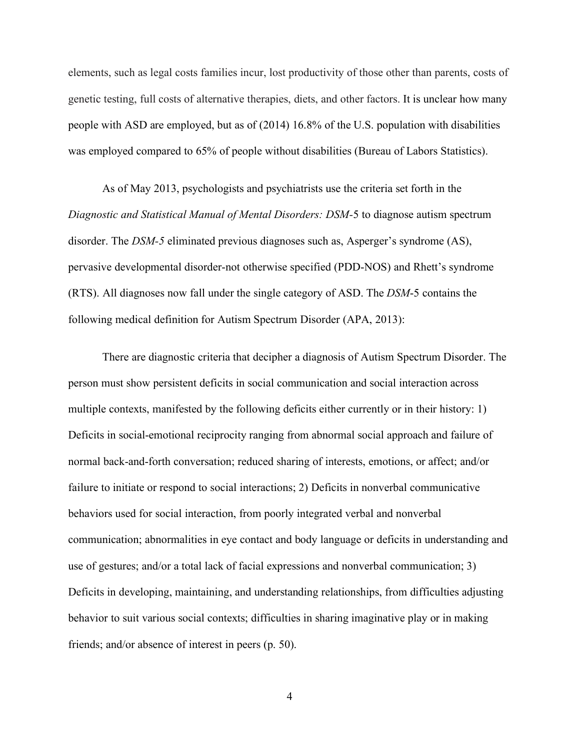elements, such as legal costs families incur, lost productivity of those other than parents, costs of genetic testing, full costs of alternative therapies, diets, and other factors. It is unclear how many people with ASD are employed, but as of (2014) 16.8% of the U.S. population with disabilities was employed compared to 65% of people without disabilities (Bureau of Labors Statistics).

As of May 2013, psychologists and psychiatrists use the criteria set forth in the *Diagnostic and Statistical Manual of Mental Disorders: DSM-*5 to diagnose autism spectrum disorder. The *DSM-5* eliminated previous diagnoses such as, Asperger's syndrome (AS), pervasive developmental disorder-not otherwise specified (PDD-NOS) and Rhett's syndrome (RTS). All diagnoses now fall under the single category of ASD. The *DSM*-5 contains the following medical definition for Autism Spectrum Disorder (APA, 2013):

There are diagnostic criteria that decipher a diagnosis of Autism Spectrum Disorder. The person must show persistent deficits in social communication and social interaction across multiple contexts, manifested by the following deficits either currently or in their history: 1) Deficits in social-emotional reciprocity ranging from abnormal social approach and failure of normal back-and-forth conversation; reduced sharing of interests, emotions, or affect; and/or failure to initiate or respond to social interactions; 2) Deficits in nonverbal communicative behaviors used for social interaction, from poorly integrated verbal and nonverbal communication; abnormalities in eye contact and body language or deficits in understanding and use of gestures; and/or a total lack of facial expressions and nonverbal communication; 3) Deficits in developing, maintaining, and understanding relationships, from difficulties adjusting behavior to suit various social contexts; difficulties in sharing imaginative play or in making friends; and/or absence of interest in peers (p. 50).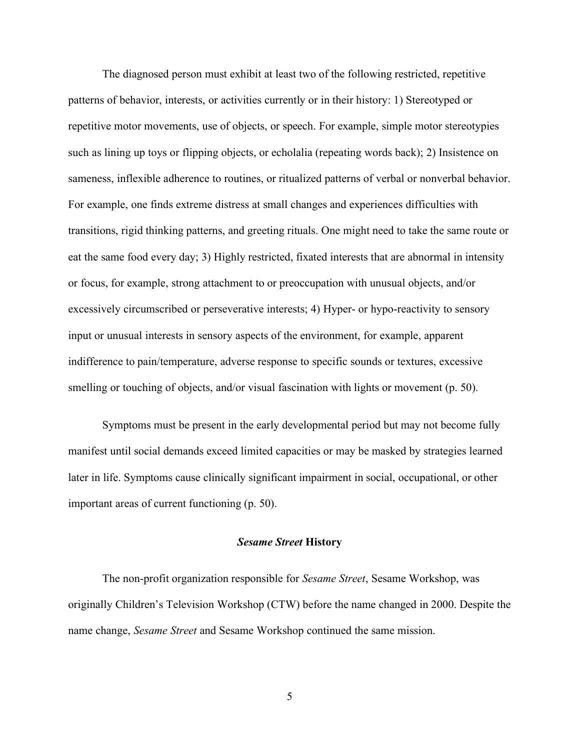The diagnosed person must exhibit at least two of the following restricted, repetitive patterns of behavior, interests, or activities currently or in their history: 1) Stereotyped or repetitive motor movements, use of objects, or speech. For example, simple motor stereotypies such as lining up toys or flipping objects, or echolalia (repeating words back); 2) Insistence on sameness, inflexible adherence to routines, or ritualized patterns of verbal or nonverbal behavior. For example, one finds extreme distress at small changes and experiences difficulties with transitions, rigid thinking patterns, and greeting rituals. One might need to take the same route or eat the same food every day; 3) Highly restricted, fixated interests that are abnormal in intensity or focus, for example, strong attachment to or preoccupation with unusual objects, and/or excessively circumscribed or perseverative interests; 4) Hyper- or hypo-reactivity to sensory input or unusual interests in sensory aspects of the environment, for example, apparent indifference to pain/temperature, adverse response to specific sounds or textures, excessive smelling or touching of objects, and/or visual fascination with lights or movement (p. 50).

Symptoms must be present in the early developmental period but may not become fully manifest until social demands exceed limited capacities or may be masked by strategies learned later in life. Symptoms cause clinically significant impairment in social, occupational, or other important areas of current functioning (p. 50).

#### *Sesame Street* **History**

The non-profit organization responsible for *Sesame Street*, Sesame Workshop, was originally Children's Television Workshop (CTW) before the name changed in 2000. Despite the name change, *Sesame Street* and Sesame Workshop continued the same mission.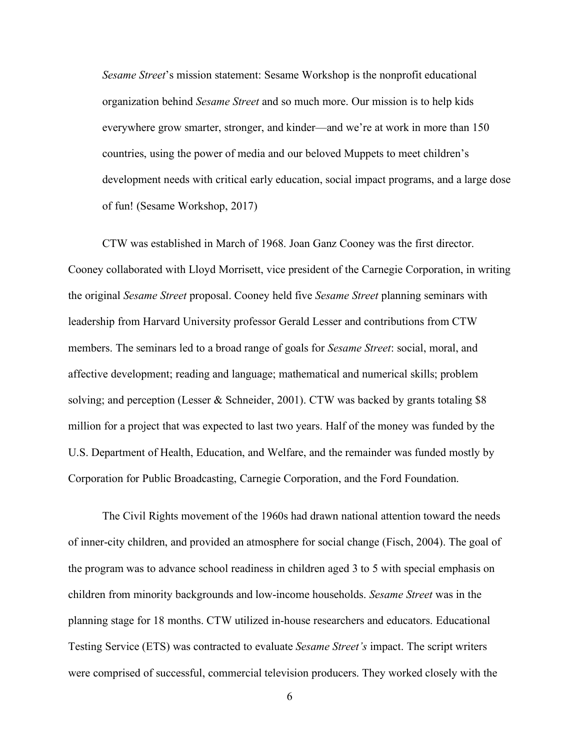*Sesame Street*'s mission statement: Sesame Workshop is the nonprofit educational organization behind *Sesame Street* and so much more. Our mission is to help kids everywhere grow smarter, stronger, and kinder—and we're at work in more than 150 countries, using the power of media and our beloved Muppets to meet children's development needs with critical early education, social impact programs, and a large dose of fun! (Sesame Workshop, 2017)

CTW was established in March of 1968. Joan Ganz Cooney was the first director. Cooney collaborated with Lloyd Morrisett, vice president of the Carnegie Corporation, in writing the original *Sesame Street* proposal. Cooney held five *Sesame Street* planning seminars with leadership from Harvard University professor Gerald Lesser and contributions from CTW members. The seminars led to a broad range of goals for *Sesame Street*: social, moral, and affective development; reading and language; mathematical and numerical skills; problem solving; and perception (Lesser & Schneider, 2001). CTW was backed by grants totaling \$8 million for a project that was expected to last two years. Half of the money was funded by the U.S. Department of Health, Education, and Welfare, and the remainder was funded mostly by Corporation for Public Broadcasting, Carnegie Corporation, and the Ford Foundation.

The Civil Rights movement of the 1960s had drawn national attention toward the needs of inner-city children, and provided an atmosphere for social change (Fisch, 2004). The goal of the program was to advance school readiness in children aged 3 to 5 with special emphasis on children from minority backgrounds and low-income households. *Sesame Street* was in the planning stage for 18 months. CTW utilized in-house researchers and educators. Educational Testing Service (ETS) was contracted to evaluate *Sesame Street's* impact. The script writers were comprised of successful, commercial television producers. They worked closely with the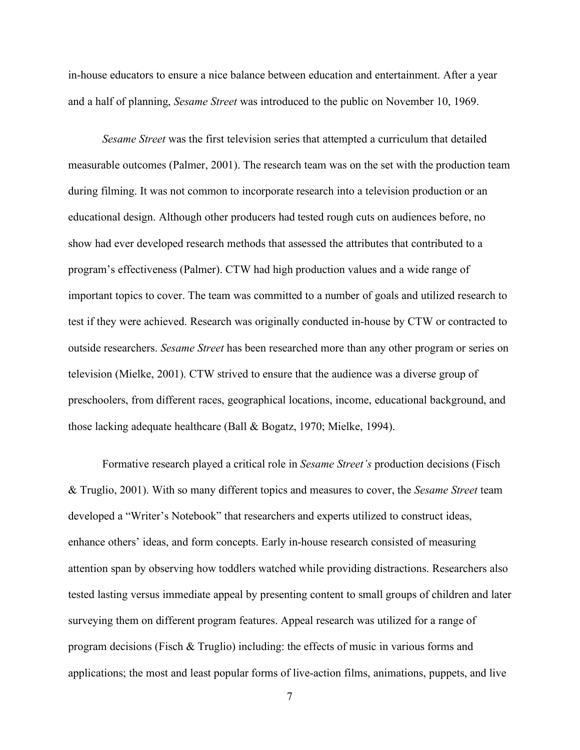in-house educators to ensure a nice balance between education and entertainment. After a year and a half of planning, *Sesame Street* was introduced to the public on November 10, 1969.

*Sesame Street* was the first television series that attempted a curriculum that detailed measurable outcomes (Palmer, 2001). The research team was on the set with the production team during filming. It was not common to incorporate research into a television production or an educational design. Although other producers had tested rough cuts on audiences before, no show had ever developed research methods that assessed the attributes that contributed to a program's effectiveness (Palmer). CTW had high production values and a wide range of important topics to cover. The team was committed to a number of goals and utilized research to test if they were achieved. Research was originally conducted in-house by CTW or contracted to outside researchers. *Sesame Street* has been researched more than any other program or series on television (Mielke, 2001). CTW strived to ensure that the audience was a diverse group of preschoolers, from different races, geographical locations, income, educational background, and those lacking adequate healthcare (Ball & Bogatz, 1970; Mielke, 1994).

Formative research played a critical role in *Sesame Street's* production decisions (Fisch & Truglio, 2001). With so many different topics and measures to cover, the *Sesame Street* team developed a "Writer's Notebook" that researchers and experts utilized to construct ideas, enhance others' ideas, and form concepts. Early in-house research consisted of measuring attention span by observing how toddlers watched while providing distractions. Researchers also tested lasting versus immediate appeal by presenting content to small groups of children and later surveying them on different program features. Appeal research was utilized for a range of program decisions (Fisch  $\&$  Truglio) including: the effects of music in various forms and applications; the most and least popular forms of live-action films, animations, puppets, and live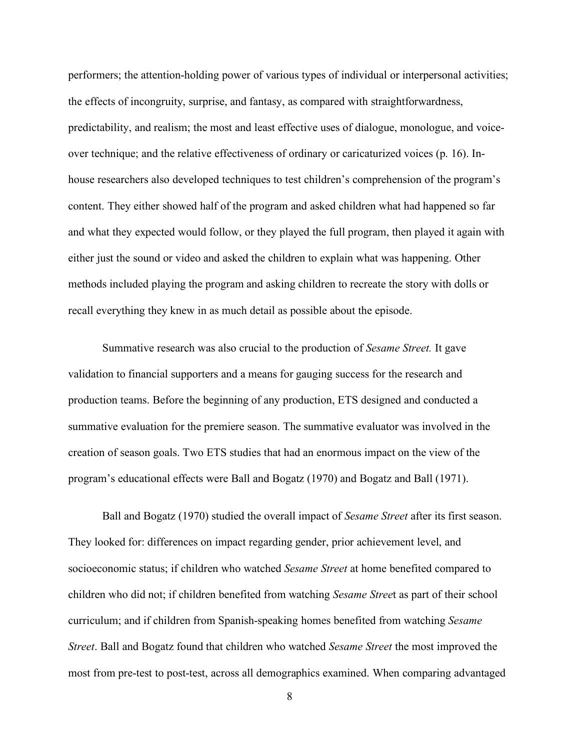performers; the attention-holding power of various types of individual or interpersonal activities; the effects of incongruity, surprise, and fantasy, as compared with straightforwardness, predictability, and realism; the most and least effective uses of dialogue, monologue, and voiceover technique; and the relative effectiveness of ordinary or caricaturized voices (p. 16). Inhouse researchers also developed techniques to test children's comprehension of the program's content. They either showed half of the program and asked children what had happened so far and what they expected would follow, or they played the full program, then played it again with either just the sound or video and asked the children to explain what was happening. Other methods included playing the program and asking children to recreate the story with dolls or recall everything they knew in as much detail as possible about the episode.

Summative research was also crucial to the production of *Sesame Street.* It gave validation to financial supporters and a means for gauging success for the research and production teams. Before the beginning of any production, ETS designed and conducted a summative evaluation for the premiere season. The summative evaluator was involved in the creation of season goals. Two ETS studies that had an enormous impact on the view of the program's educational effects were Ball and Bogatz (1970) and Bogatz and Ball (1971).

Ball and Bogatz (1970) studied the overall impact of *Sesame Street* after its first season. They looked for: differences on impact regarding gender, prior achievement level, and socioeconomic status; if children who watched *Sesame Street* at home benefited compared to children who did not; if children benefited from watching *Sesame Stree*t as part of their school curriculum; and if children from Spanish-speaking homes benefited from watching *Sesame Street*. Ball and Bogatz found that children who watched *Sesame Street* the most improved the most from pre-test to post-test, across all demographics examined. When comparing advantaged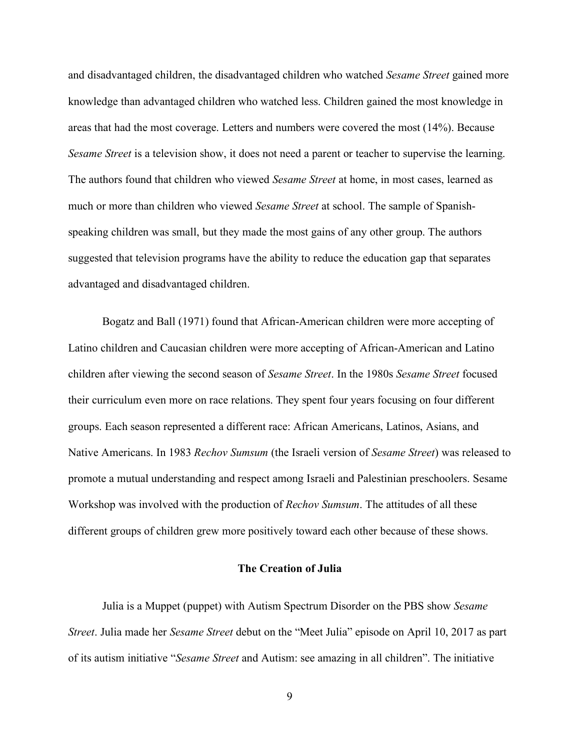and disadvantaged children, the disadvantaged children who watched *Sesame Street* gained more knowledge than advantaged children who watched less. Children gained the most knowledge in areas that had the most coverage. Letters and numbers were covered the most (14%). Because *Sesame Street* is a television show, it does not need a parent or teacher to supervise the learning. The authors found that children who viewed *Sesame Street* at home, in most cases, learned as much or more than children who viewed *Sesame Street* at school. The sample of Spanishspeaking children was small, but they made the most gains of any other group. The authors suggested that television programs have the ability to reduce the education gap that separates advantaged and disadvantaged children.

Bogatz and Ball (1971) found that African-American children were more accepting of Latino children and Caucasian children were more accepting of African-American and Latino children after viewing the second season of *Sesame Street*. In the 1980s *Sesame Street* focused their curriculum even more on race relations. They spent four years focusing on four different groups. Each season represented a different race: African Americans, Latinos, Asians, and Native Americans. In 1983 *Rechov Sumsum* (the Israeli version of *Sesame Street*) was released to promote a mutual understanding and respect among Israeli and Palestinian preschoolers. Sesame Workshop was involved with the production of *Rechov Sumsum*. The attitudes of all these different groups of children grew more positively toward each other because of these shows.

#### **The Creation of Julia**

Julia is a Muppet (puppet) with Autism Spectrum Disorder on the PBS show *Sesame Street*. Julia made her *Sesame Street* debut on the "Meet Julia" episode on April 10, 2017 as part of its autism initiative "*Sesame Street* and Autism: see amazing in all children". The initiative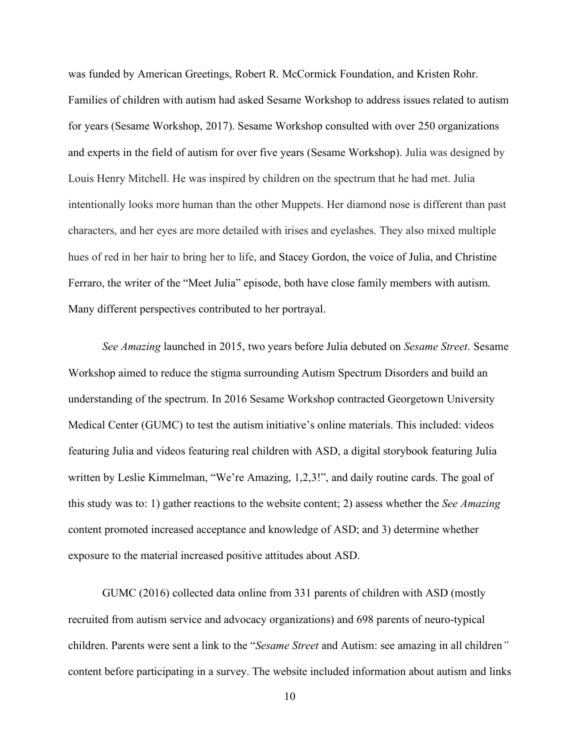was funded by American Greetings, Robert R. McCormick Foundation, and Kristen Rohr. Families of children with autism had asked Sesame Workshop to address issues related to autism for years (Sesame Workshop, 2017). Sesame Workshop consulted with over 250 organizations and experts in the field of autism for over five years (Sesame Workshop). Julia was designed by Louis Henry Mitchell. He was inspired by children on the spectrum that he had met. Julia intentionally looks more human than the other Muppets. Her diamond nose is different than past characters, and her eyes are more detailed with irises and eyelashes. They also mixed multiple hues of red in her hair to bring her to life, and Stacey Gordon, the voice of Julia, and Christine Ferraro, the writer of the "Meet Julia" episode, both have close family members with autism. Many different perspectives contributed to her portrayal.

*See Amazing* launched in 2015, two years before Julia debuted on *Sesame Street*. Sesame Workshop aimed to reduce the stigma surrounding Autism Spectrum Disorders and build an understanding of the spectrum. In 2016 Sesame Workshop contracted Georgetown University Medical Center (GUMC) to test the autism initiative's online materials. This included: videos featuring Julia and videos featuring real children with ASD, a digital storybook featuring Julia written by Leslie Kimmelman, "We're Amazing, 1,2,3!", and daily routine cards. The goal of this study was to: 1) gather reactions to the website content; 2) assess whether the *See Amazing* content promoted increased acceptance and knowledge of ASD; and 3) determine whether exposure to the material increased positive attitudes about ASD.

GUMC (2016) collected data online from 331 parents of children with ASD (mostly recruited from autism service and advocacy organizations) and 698 parents of neuro-typical children. Parents were sent a link to the "*Sesame Street* and Autism: see amazing in all children*"* content before participating in a survey. The website included information about autism and links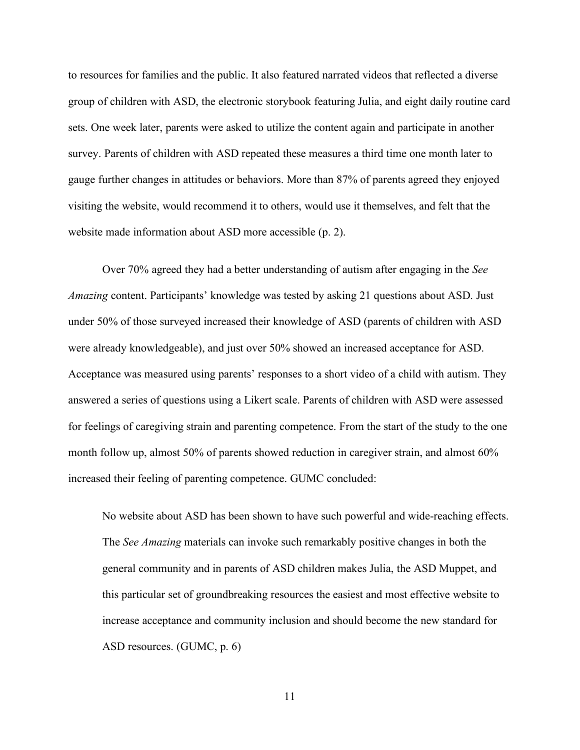to resources for families and the public. It also featured narrated videos that reflected a diverse group of children with ASD, the electronic storybook featuring Julia, and eight daily routine card sets. One week later, parents were asked to utilize the content again and participate in another survey. Parents of children with ASD repeated these measures a third time one month later to gauge further changes in attitudes or behaviors. More than 87% of parents agreed they enjoyed visiting the website, would recommend it to others, would use it themselves, and felt that the website made information about ASD more accessible (p. 2).

Over 70% agreed they had a better understanding of autism after engaging in the *See Amazing* content. Participants' knowledge was tested by asking 21 questions about ASD. Just under 50% of those surveyed increased their knowledge of ASD (parents of children with ASD were already knowledgeable), and just over 50% showed an increased acceptance for ASD. Acceptance was measured using parents' responses to a short video of a child with autism. They answered a series of questions using a Likert scale. Parents of children with ASD were assessed for feelings of caregiving strain and parenting competence. From the start of the study to the one month follow up, almost 50% of parents showed reduction in caregiver strain, and almost 60% increased their feeling of parenting competence. GUMC concluded:

No website about ASD has been shown to have such powerful and wide-reaching effects. The *See Amazing* materials can invoke such remarkably positive changes in both the general community and in parents of ASD children makes Julia, the ASD Muppet, and this particular set of groundbreaking resources the easiest and most effective website to increase acceptance and community inclusion and should become the new standard for ASD resources. (GUMC, p. 6)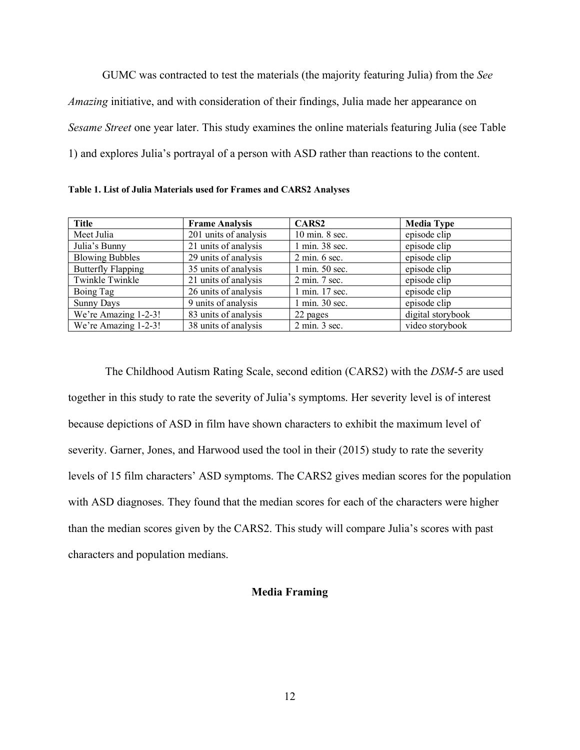GUMC was contracted to test the materials (the majority featuring Julia) from the *See Amazing* initiative, and with consideration of their findings, Julia made her appearance on *Sesame Street* one year later. This study examines the online materials featuring Julia (see Table 1) and explores Julia's portrayal of a person with ASD rather than reactions to the content.

| Table 1. List of Julia Materials used for Frames and CARS2 Analyses |  |  |
|---------------------------------------------------------------------|--|--|
|---------------------------------------------------------------------|--|--|

| <b>Title</b>              | <b>Frame Analysis</b> | CARS <sub>2</sub>                | <b>Media Type</b> |
|---------------------------|-----------------------|----------------------------------|-------------------|
| Meet Julia                | 201 units of analysis | 10 min. 8 sec.                   | episode clip      |
| Julia's Bunny             | 21 units of analysis  | 1 min. 38 sec.                   | episode clip      |
| <b>Blowing Bubbles</b>    | 29 units of analysis  | $2 \text{ min. } 6 \text{ sec.}$ | episode clip      |
| <b>Butterfly Flapping</b> | 35 units of analysis  | 1 min. 50 sec.                   | episode clip      |
| Twinkle Twinkle           | 21 units of analysis  | 2 min. 7 sec.                    | episode clip      |
| Boing Tag                 | 26 units of analysis  | 1 min. 17 sec.                   | episode clip      |
| <b>Sunny Days</b>         | 9 units of analysis   | 1 min. 30 sec.                   | episode clip      |
| We're Amazing 1-2-3!      | 83 units of analysis  | 22 pages                         | digital storybook |
| We're Amazing 1-2-3!      | 38 units of analysis  | $2 \text{ min. } 3 \text{ sec.}$ | video storybook   |

The Childhood Autism Rating Scale, second edition (CARS2) with the *DSM*-5 are used together in this study to rate the severity of Julia's symptoms. Her severity level is of interest because depictions of ASD in film have shown characters to exhibit the maximum level of severity. Garner, Jones, and Harwood used the tool in their (2015) study to rate the severity levels of 15 film characters' ASD symptoms. The CARS2 gives median scores for the population with ASD diagnoses. They found that the median scores for each of the characters were higher than the median scores given by the CARS2. This study will compare Julia's scores with past characters and population medians.

#### **Media Framing**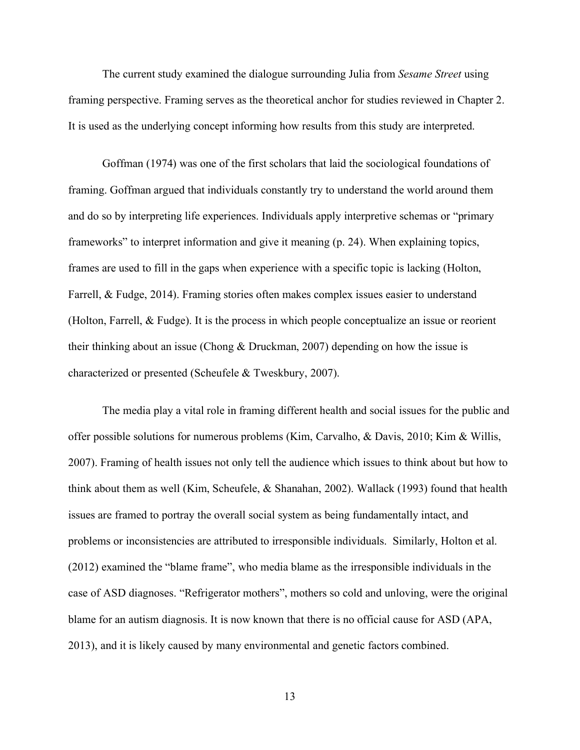The current study examined the dialogue surrounding Julia from *Sesame Street* using framing perspective. Framing serves as the theoretical anchor for studies reviewed in Chapter 2. It is used as the underlying concept informing how results from this study are interpreted.

Goffman (1974) was one of the first scholars that laid the sociological foundations of framing. Goffman argued that individuals constantly try to understand the world around them and do so by interpreting life experiences. Individuals apply interpretive schemas or "primary frameworks" to interpret information and give it meaning (p. 24). When explaining topics, frames are used to fill in the gaps when experience with a specific topic is lacking (Holton, Farrell, & Fudge, 2014). Framing stories often makes complex issues easier to understand (Holton, Farrell, & Fudge). It is the process in which people conceptualize an issue or reorient their thinking about an issue (Chong & Druckman, 2007) depending on how the issue is characterized or presented (Scheufele & Tweskbury, 2007).

The media play a vital role in framing different health and social issues for the public and offer possible solutions for numerous problems (Kim, Carvalho, & Davis, 2010; Kim & Willis, 2007). Framing of health issues not only tell the audience which issues to think about but how to think about them as well (Kim, Scheufele, & Shanahan, 2002). Wallack (1993) found that health issues are framed to portray the overall social system as being fundamentally intact, and problems or inconsistencies are attributed to irresponsible individuals. Similarly, Holton et al. (2012) examined the "blame frame", who media blame as the irresponsible individuals in the case of ASD diagnoses. "Refrigerator mothers", mothers so cold and unloving, were the original blame for an autism diagnosis. It is now known that there is no official cause for ASD (APA, 2013), and it is likely caused by many environmental and genetic factors combined.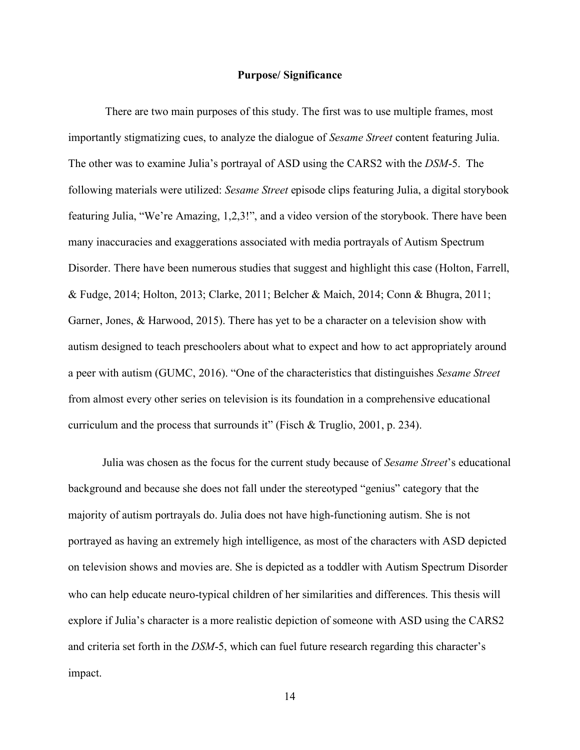#### **Purpose/ Significance**

There are two main purposes of this study. The first was to use multiple frames, most importantly stigmatizing cues, to analyze the dialogue of *Sesame Street* content featuring Julia. The other was to examine Julia's portrayal of ASD using the CARS2 with the *DSM*-5. The following materials were utilized: *Sesame Street* episode clips featuring Julia, a digital storybook featuring Julia, "We're Amazing, 1,2,3!", and a video version of the storybook. There have been many inaccuracies and exaggerations associated with media portrayals of Autism Spectrum Disorder. There have been numerous studies that suggest and highlight this case (Holton, Farrell, & Fudge, 2014; Holton, 2013; Clarke, 2011; Belcher & Maich, 2014; Conn & Bhugra, 2011; Garner, Jones, & Harwood, 2015). There has yet to be a character on a television show with autism designed to teach preschoolers about what to expect and how to act appropriately around a peer with autism (GUMC, 2016). "One of the characteristics that distinguishes *Sesame Street*  from almost every other series on television is its foundation in a comprehensive educational curriculum and the process that surrounds it" (Fisch & Truglio, 2001, p. 234).

Julia was chosen as the focus for the current study because of *Sesame Street*'s educational background and because she does not fall under the stereotyped "genius" category that the majority of autism portrayals do. Julia does not have high-functioning autism. She is not portrayed as having an extremely high intelligence, as most of the characters with ASD depicted on television shows and movies are. She is depicted as a toddler with Autism Spectrum Disorder who can help educate neuro-typical children of her similarities and differences. This thesis will explore if Julia's character is a more realistic depiction of someone with ASD using the CARS2 and criteria set forth in the *DSM*-5, which can fuel future research regarding this character's impact.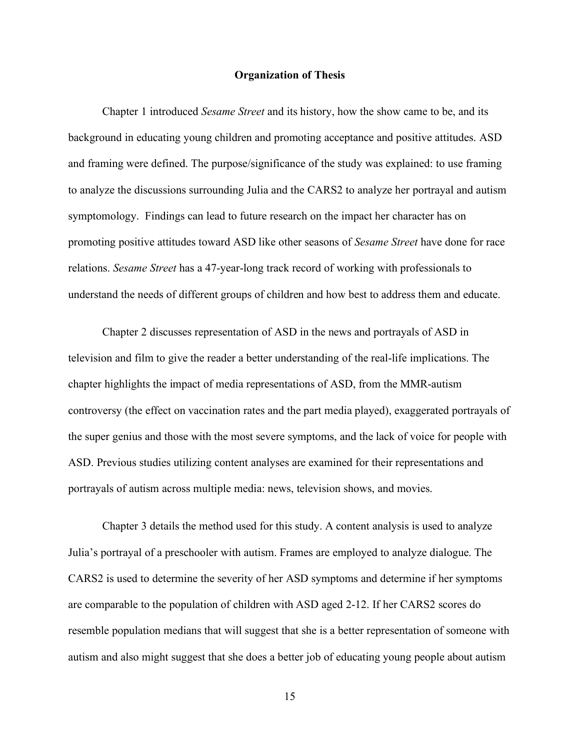#### **Organization of Thesis**

Chapter 1 introduced *Sesame Street* and its history, how the show came to be, and its background in educating young children and promoting acceptance and positive attitudes. ASD and framing were defined. The purpose/significance of the study was explained: to use framing to analyze the discussions surrounding Julia and the CARS2 to analyze her portrayal and autism symptomology. Findings can lead to future research on the impact her character has on promoting positive attitudes toward ASD like other seasons of *Sesame Street* have done for race relations. *Sesame Street* has a 47-year-long track record of working with professionals to understand the needs of different groups of children and how best to address them and educate.

Chapter 2 discusses representation of ASD in the news and portrayals of ASD in television and film to give the reader a better understanding of the real-life implications. The chapter highlights the impact of media representations of ASD, from the MMR-autism controversy (the effect on vaccination rates and the part media played), exaggerated portrayals of the super genius and those with the most severe symptoms, and the lack of voice for people with ASD. Previous studies utilizing content analyses are examined for their representations and portrayals of autism across multiple media: news, television shows, and movies.

Chapter 3 details the method used for this study. A content analysis is used to analyze Julia's portrayal of a preschooler with autism. Frames are employed to analyze dialogue. The CARS2 is used to determine the severity of her ASD symptoms and determine if her symptoms are comparable to the population of children with ASD aged 2-12. If her CARS2 scores do resemble population medians that will suggest that she is a better representation of someone with autism and also might suggest that she does a better job of educating young people about autism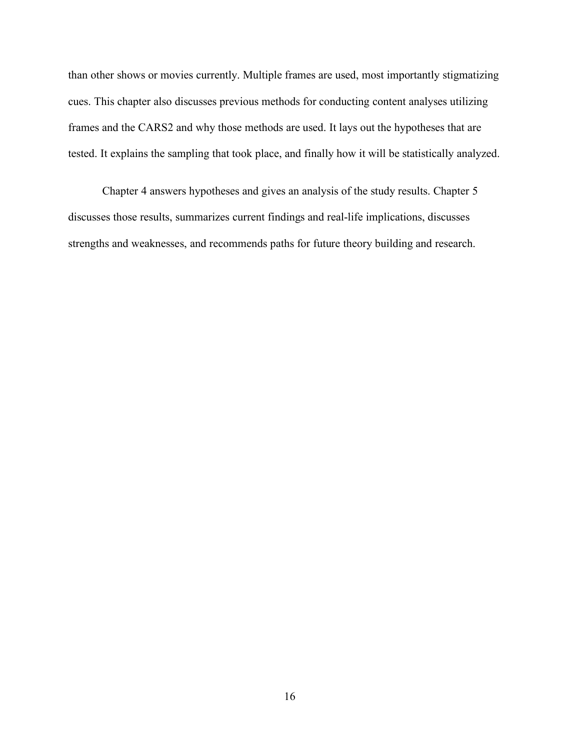than other shows or movies currently. Multiple frames are used, most importantly stigmatizing cues. This chapter also discusses previous methods for conducting content analyses utilizing frames and the CARS2 and why those methods are used. It lays out the hypotheses that are tested. It explains the sampling that took place, and finally how it will be statistically analyzed.

Chapter 4 answers hypotheses and gives an analysis of the study results. Chapter 5 discusses those results, summarizes current findings and real-life implications, discusses strengths and weaknesses, and recommends paths for future theory building and research.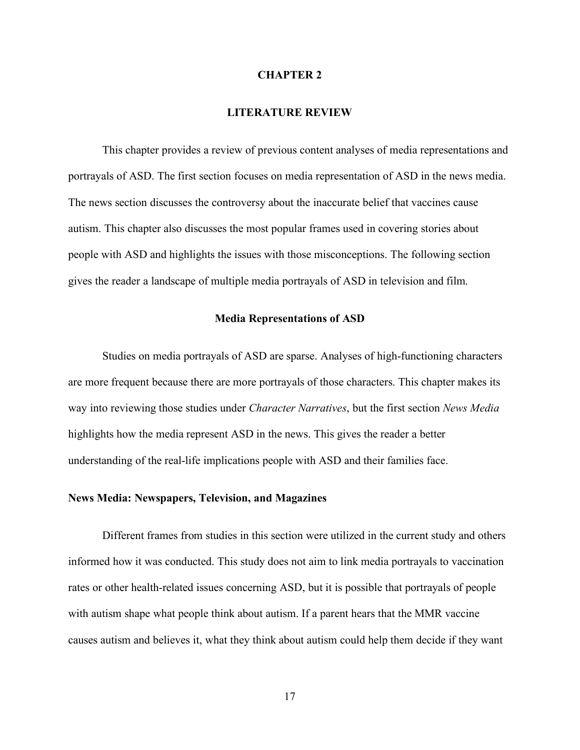#### **CHAPTER 2**

#### **LITERATURE REVIEW**

This chapter provides a review of previous content analyses of media representations and portrayals of ASD. The first section focuses on media representation of ASD in the news media. The news section discusses the controversy about the inaccurate belief that vaccines cause autism. This chapter also discusses the most popular frames used in covering stories about people with ASD and highlights the issues with those misconceptions. The following section gives the reader a landscape of multiple media portrayals of ASD in television and film.

#### **Media Representations of ASD**

Studies on media portrayals of ASD are sparse. Analyses of high-functioning characters are more frequent because there are more portrayals of those characters. This chapter makes its way into reviewing those studies under *Character Narratives*, but the first section *News Media* highlights how the media represent ASD in the news. This gives the reader a better understanding of the real-life implications people with ASD and their families face.

#### **News Media: Newspapers, Television, and Magazines**

Different frames from studies in this section were utilized in the current study and others informed how it was conducted. This study does not aim to link media portrayals to vaccination rates or other health-related issues concerning ASD, but it is possible that portrayals of people with autism shape what people think about autism. If a parent hears that the MMR vaccine causes autism and believes it, what they think about autism could help them decide if they want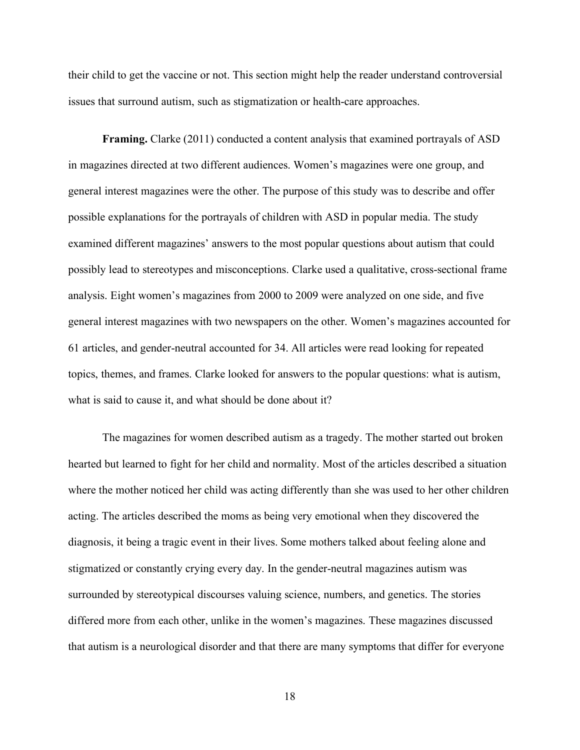their child to get the vaccine or not. This section might help the reader understand controversial issues that surround autism, such as stigmatization or health-care approaches.

**Framing.** Clarke (2011) conducted a content analysis that examined portrayals of ASD in magazines directed at two different audiences. Women's magazines were one group, and general interest magazines were the other. The purpose of this study was to describe and offer possible explanations for the portrayals of children with ASD in popular media. The study examined different magazines' answers to the most popular questions about autism that could possibly lead to stereotypes and misconceptions. Clarke used a qualitative, cross-sectional frame analysis. Eight women's magazines from 2000 to 2009 were analyzed on one side, and five general interest magazines with two newspapers on the other. Women's magazines accounted for 61 articles, and gender-neutral accounted for 34. All articles were read looking for repeated topics, themes, and frames. Clarke looked for answers to the popular questions: what is autism, what is said to cause it, and what should be done about it?

The magazines for women described autism as a tragedy. The mother started out broken hearted but learned to fight for her child and normality. Most of the articles described a situation where the mother noticed her child was acting differently than she was used to her other children acting. The articles described the moms as being very emotional when they discovered the diagnosis, it being a tragic event in their lives. Some mothers talked about feeling alone and stigmatized or constantly crying every day. In the gender-neutral magazines autism was surrounded by stereotypical discourses valuing science, numbers, and genetics. The stories differed more from each other, unlike in the women's magazines. These magazines discussed that autism is a neurological disorder and that there are many symptoms that differ for everyone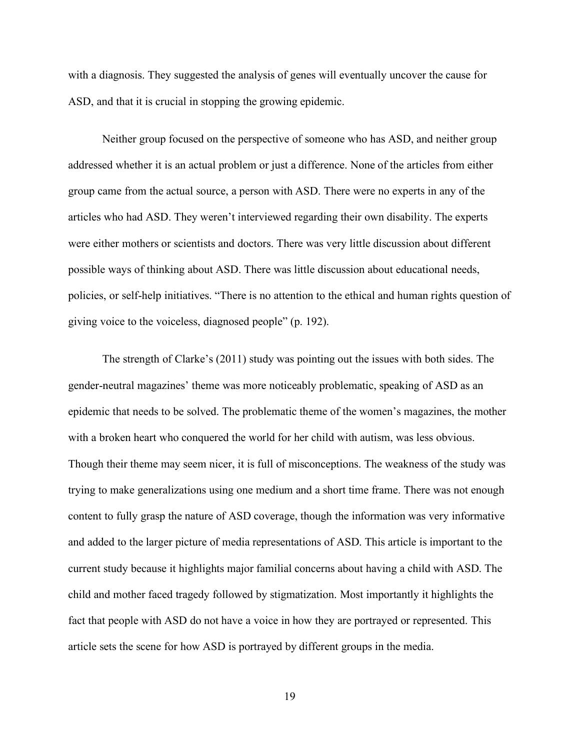with a diagnosis. They suggested the analysis of genes will eventually uncover the cause for ASD, and that it is crucial in stopping the growing epidemic.

Neither group focused on the perspective of someone who has ASD, and neither group addressed whether it is an actual problem or just a difference. None of the articles from either group came from the actual source, a person with ASD. There were no experts in any of the articles who had ASD. They weren't interviewed regarding their own disability. The experts were either mothers or scientists and doctors. There was very little discussion about different possible ways of thinking about ASD. There was little discussion about educational needs, policies, or self-help initiatives. "There is no attention to the ethical and human rights question of giving voice to the voiceless, diagnosed people" (p. 192).

The strength of Clarke's (2011) study was pointing out the issues with both sides. The gender-neutral magazines' theme was more noticeably problematic, speaking of ASD as an epidemic that needs to be solved. The problematic theme of the women's magazines, the mother with a broken heart who conquered the world for her child with autism, was less obvious. Though their theme may seem nicer, it is full of misconceptions. The weakness of the study was trying to make generalizations using one medium and a short time frame. There was not enough content to fully grasp the nature of ASD coverage, though the information was very informative and added to the larger picture of media representations of ASD. This article is important to the current study because it highlights major familial concerns about having a child with ASD. The child and mother faced tragedy followed by stigmatization. Most importantly it highlights the fact that people with ASD do not have a voice in how they are portrayed or represented. This article sets the scene for how ASD is portrayed by different groups in the media.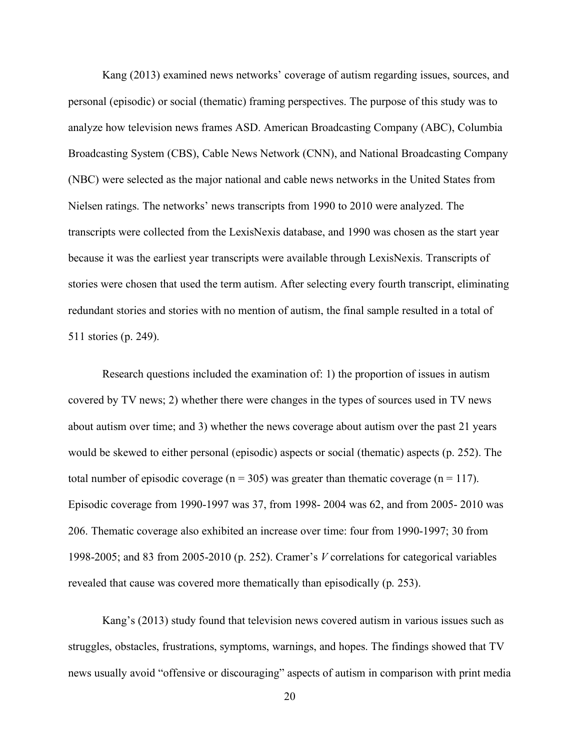Kang (2013) examined news networks' coverage of autism regarding issues, sources, and personal (episodic) or social (thematic) framing perspectives. The purpose of this study was to analyze how television news frames ASD. American Broadcasting Company (ABC), Columbia Broadcasting System (CBS), Cable News Network (CNN), and National Broadcasting Company (NBC) were selected as the major national and cable news networks in the United States from Nielsen ratings. The networks' news transcripts from 1990 to 2010 were analyzed. The transcripts were collected from the LexisNexis database, and 1990 was chosen as the start year because it was the earliest year transcripts were available through LexisNexis. Transcripts of stories were chosen that used the term autism. After selecting every fourth transcript, eliminating redundant stories and stories with no mention of autism, the final sample resulted in a total of 511 stories (p. 249).

Research questions included the examination of: 1) the proportion of issues in autism covered by TV news; 2) whether there were changes in the types of sources used in TV news about autism over time; and 3) whether the news coverage about autism over the past 21 years would be skewed to either personal (episodic) aspects or social (thematic) aspects (p. 252). The total number of episodic coverage ( $n = 305$ ) was greater than thematic coverage ( $n = 117$ ). Episodic coverage from 1990-1997 was 37, from 1998- 2004 was 62, and from 2005- 2010 was 206. Thematic coverage also exhibited an increase over time: four from 1990-1997; 30 from 1998-2005; and 83 from 2005-2010 (p. 252). Cramer's *V* correlations for categorical variables revealed that cause was covered more thematically than episodically (p. 253).

Kang's (2013) study found that television news covered autism in various issues such as struggles, obstacles, frustrations, symptoms, warnings, and hopes. The findings showed that TV news usually avoid "offensive or discouraging" aspects of autism in comparison with print media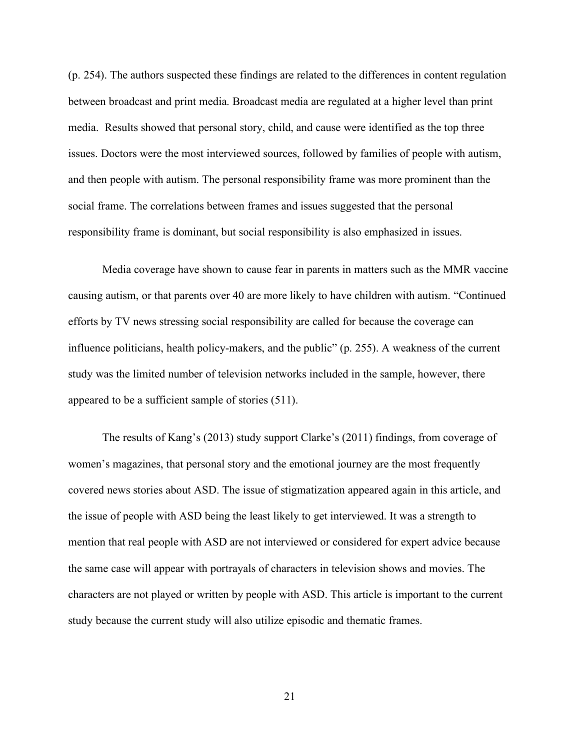(p. 254). The authors suspected these findings are related to the differences in content regulation between broadcast and print media. Broadcast media are regulated at a higher level than print media. Results showed that personal story, child, and cause were identified as the top three issues. Doctors were the most interviewed sources, followed by families of people with autism, and then people with autism. The personal responsibility frame was more prominent than the social frame. The correlations between frames and issues suggested that the personal responsibility frame is dominant, but social responsibility is also emphasized in issues.

Media coverage have shown to cause fear in parents in matters such as the MMR vaccine causing autism, or that parents over 40 are more likely to have children with autism. "Continued efforts by TV news stressing social responsibility are called for because the coverage can influence politicians, health policy-makers, and the public" (p. 255). A weakness of the current study was the limited number of television networks included in the sample, however, there appeared to be a sufficient sample of stories (511).

The results of Kang's (2013) study support Clarke's (2011) findings, from coverage of women's magazines, that personal story and the emotional journey are the most frequently covered news stories about ASD. The issue of stigmatization appeared again in this article, and the issue of people with ASD being the least likely to get interviewed. It was a strength to mention that real people with ASD are not interviewed or considered for expert advice because the same case will appear with portrayals of characters in television shows and movies. The characters are not played or written by people with ASD. This article is important to the current study because the current study will also utilize episodic and thematic frames.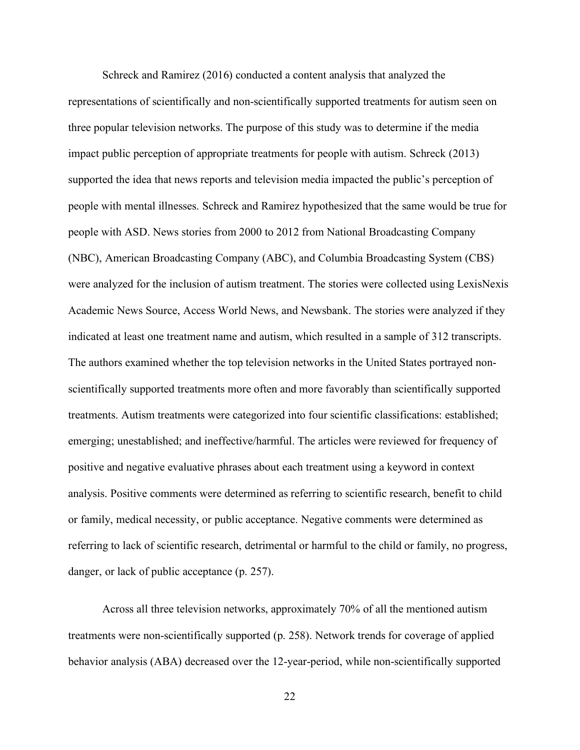Schreck and Ramirez (2016) conducted a content analysis that analyzed the representations of scientifically and non-scientifically supported treatments for autism seen on three popular television networks. The purpose of this study was to determine if the media impact public perception of appropriate treatments for people with autism. Schreck (2013) supported the idea that news reports and television media impacted the public's perception of people with mental illnesses. Schreck and Ramirez hypothesized that the same would be true for people with ASD. News stories from 2000 to 2012 from National Broadcasting Company (NBC), American Broadcasting Company (ABC), and Columbia Broadcasting System (CBS) were analyzed for the inclusion of autism treatment. The stories were collected using LexisNexis Academic News Source, Access World News, and Newsbank. The stories were analyzed if they indicated at least one treatment name and autism, which resulted in a sample of 312 transcripts. The authors examined whether the top television networks in the United States portrayed nonscientifically supported treatments more often and more favorably than scientifically supported treatments. Autism treatments were categorized into four scientific classifications: established; emerging; unestablished; and ineffective/harmful. The articles were reviewed for frequency of positive and negative evaluative phrases about each treatment using a keyword in context analysis. Positive comments were determined as referring to scientific research, benefit to child or family, medical necessity, or public acceptance. Negative comments were determined as referring to lack of scientific research, detrimental or harmful to the child or family, no progress, danger, or lack of public acceptance (p. 257).

Across all three television networks, approximately 70% of all the mentioned autism treatments were non-scientifically supported (p. 258). Network trends for coverage of applied behavior analysis (ABA) decreased over the 12-year-period, while non-scientifically supported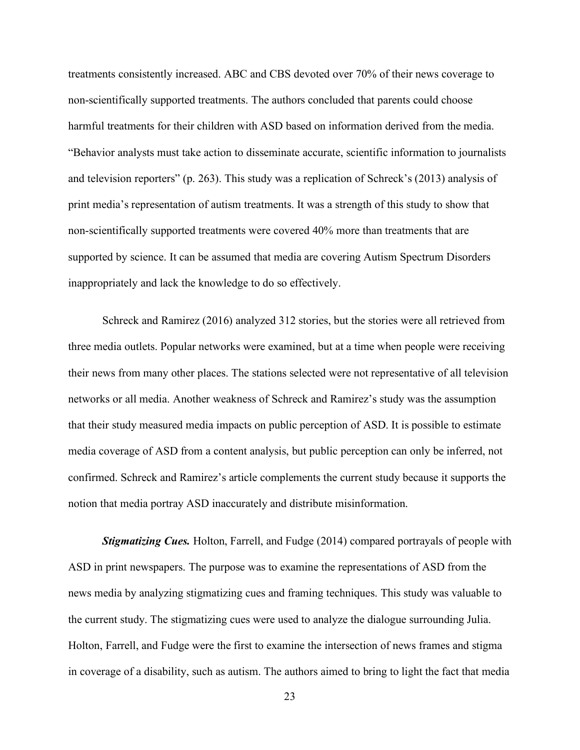treatments consistently increased. ABC and CBS devoted over 70% of their news coverage to non-scientifically supported treatments. The authors concluded that parents could choose harmful treatments for their children with ASD based on information derived from the media. "Behavior analysts must take action to disseminate accurate, scientific information to journalists and television reporters" (p. 263). This study was a replication of Schreck's (2013) analysis of print media's representation of autism treatments. It was a strength of this study to show that non-scientifically supported treatments were covered 40% more than treatments that are supported by science. It can be assumed that media are covering Autism Spectrum Disorders inappropriately and lack the knowledge to do so effectively.

Schreck and Ramirez (2016) analyzed 312 stories, but the stories were all retrieved from three media outlets. Popular networks were examined, but at a time when people were receiving their news from many other places. The stations selected were not representative of all television networks or all media. Another weakness of Schreck and Ramirez's study was the assumption that their study measured media impacts on public perception of ASD. It is possible to estimate media coverage of ASD from a content analysis, but public perception can only be inferred, not confirmed. Schreck and Ramirez's article complements the current study because it supports the notion that media portray ASD inaccurately and distribute misinformation.

*Stigmatizing Cues.* Holton, Farrell, and Fudge (2014) compared portrayals of people with ASD in print newspapers. The purpose was to examine the representations of ASD from the news media by analyzing stigmatizing cues and framing techniques. This study was valuable to the current study. The stigmatizing cues were used to analyze the dialogue surrounding Julia. Holton, Farrell, and Fudge were the first to examine the intersection of news frames and stigma in coverage of a disability, such as autism. The authors aimed to bring to light the fact that media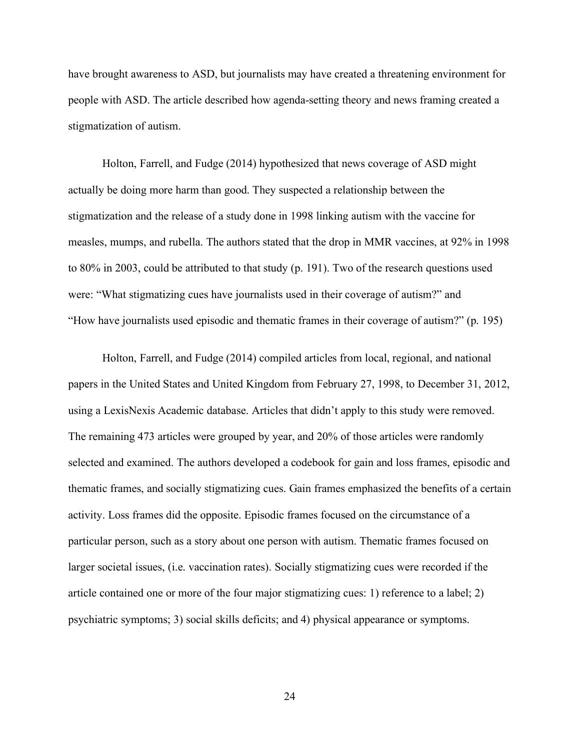have brought awareness to ASD, but journalists may have created a threatening environment for people with ASD. The article described how agenda-setting theory and news framing created a stigmatization of autism.

Holton, Farrell, and Fudge (2014) hypothesized that news coverage of ASD might actually be doing more harm than good. They suspected a relationship between the stigmatization and the release of a study done in 1998 linking autism with the vaccine for measles, mumps, and rubella. The authors stated that the drop in MMR vaccines, at 92% in 1998 to 80% in 2003, could be attributed to that study (p. 191). Two of the research questions used were: "What stigmatizing cues have journalists used in their coverage of autism?" and "How have journalists used episodic and thematic frames in their coverage of autism?" (p. 195)

Holton, Farrell, and Fudge (2014) compiled articles from local, regional, and national papers in the United States and United Kingdom from February 27, 1998, to December 31, 2012, using a LexisNexis Academic database. Articles that didn't apply to this study were removed. The remaining 473 articles were grouped by year, and 20% of those articles were randomly selected and examined. The authors developed a codebook for gain and loss frames, episodic and thematic frames, and socially stigmatizing cues. Gain frames emphasized the benefits of a certain activity. Loss frames did the opposite. Episodic frames focused on the circumstance of a particular person, such as a story about one person with autism. Thematic frames focused on larger societal issues, (i.e. vaccination rates). Socially stigmatizing cues were recorded if the article contained one or more of the four major stigmatizing cues: 1) reference to a label; 2) psychiatric symptoms; 3) social skills deficits; and 4) physical appearance or symptoms.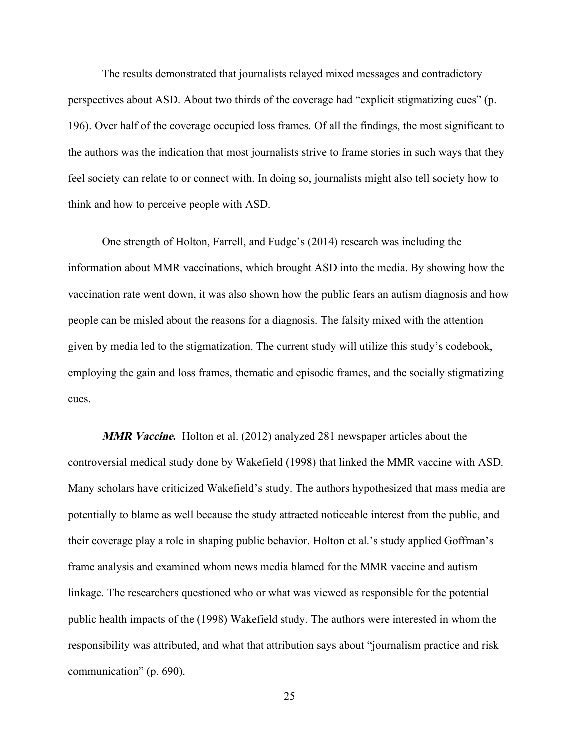The results demonstrated that journalists relayed mixed messages and contradictory perspectives about ASD. About two thirds of the coverage had "explicit stigmatizing cues" (p. 196). Over half of the coverage occupied loss frames. Of all the findings, the most significant to the authors was the indication that most journalists strive to frame stories in such ways that they feel society can relate to or connect with. In doing so, journalists might also tell society how to think and how to perceive people with ASD.

One strength of Holton, Farrell, and Fudge's (2014) research was including the information about MMR vaccinations, which brought ASD into the media. By showing how the vaccination rate went down, it was also shown how the public fears an autism diagnosis and how people can be misled about the reasons for a diagnosis. The falsity mixed with the attention given by media led to the stigmatization. The current study will utilize this study's codebook, employing the gain and loss frames, thematic and episodic frames, and the socially stigmatizing cues.

**MMR Vaccine.** Holton et al. (2012) analyzed 281 newspaper articles about the controversial medical study done by Wakefield (1998) that linked the MMR vaccine with ASD. Many scholars have criticized Wakefield's study. The authors hypothesized that mass media are potentially to blame as well because the study attracted noticeable interest from the public, and their coverage play a role in shaping public behavior. Holton et al.'s study applied Goffman's frame analysis and examined whom news media blamed for the MMR vaccine and autism linkage. The researchers questioned who or what was viewed as responsible for the potential public health impacts of the (1998) Wakefield study. The authors were interested in whom the responsibility was attributed, and what that attribution says about "journalism practice and risk communication" (p. 690).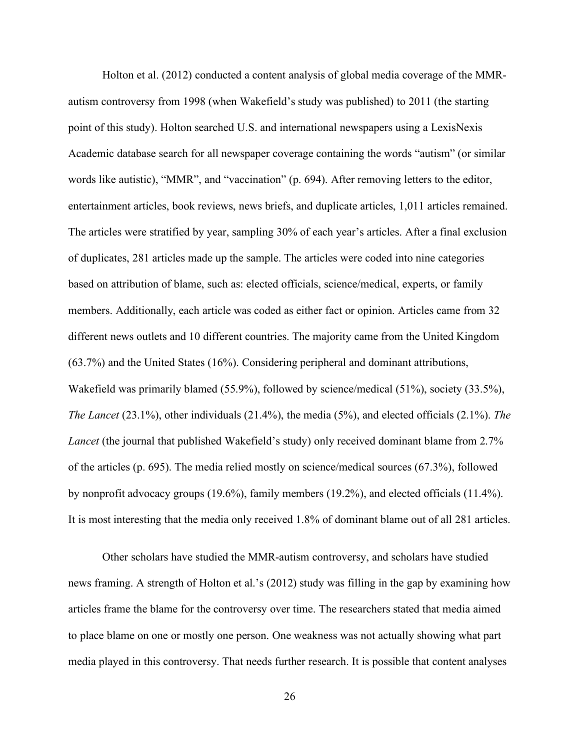Holton et al. (2012) conducted a content analysis of global media coverage of the MMRautism controversy from 1998 (when Wakefield's study was published) to 2011 (the starting point of this study). Holton searched U.S. and international newspapers using a LexisNexis Academic database search for all newspaper coverage containing the words "autism" (or similar words like autistic), "MMR", and "vaccination" (p. 694). After removing letters to the editor, entertainment articles, book reviews, news briefs, and duplicate articles, 1,011 articles remained. The articles were stratified by year, sampling 30% of each year's articles. After a final exclusion of duplicates, 281 articles made up the sample. The articles were coded into nine categories based on attribution of blame, such as: elected officials, science/medical, experts, or family members. Additionally, each article was coded as either fact or opinion. Articles came from 32 different news outlets and 10 different countries. The majority came from the United Kingdom (63.7%) and the United States (16%). Considering peripheral and dominant attributions, Wakefield was primarily blamed (55.9%), followed by science/medical (51%), society (33.5%), *The Lancet* (23.1%), other individuals (21.4%), the media (5%), and elected officials (2.1%). *The Lancet* (the journal that published Wakefield's study) only received dominant blame from 2.7% of the articles (p. 695). The media relied mostly on science/medical sources (67.3%), followed by nonprofit advocacy groups (19.6%), family members (19.2%), and elected officials (11.4%). It is most interesting that the media only received 1.8% of dominant blame out of all 281 articles.

Other scholars have studied the MMR-autism controversy, and scholars have studied news framing. A strength of Holton et al.'s (2012) study was filling in the gap by examining how articles frame the blame for the controversy over time. The researchers stated that media aimed to place blame on one or mostly one person. One weakness was not actually showing what part media played in this controversy. That needs further research. It is possible that content analyses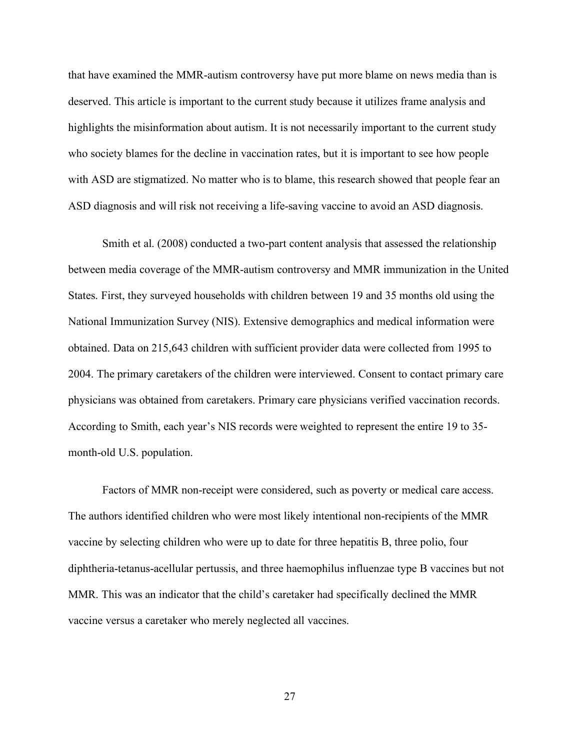that have examined the MMR-autism controversy have put more blame on news media than is deserved. This article is important to the current study because it utilizes frame analysis and highlights the misinformation about autism. It is not necessarily important to the current study who society blames for the decline in vaccination rates, but it is important to see how people with ASD are stigmatized. No matter who is to blame, this research showed that people fear an ASD diagnosis and will risk not receiving a life-saving vaccine to avoid an ASD diagnosis.

Smith et al. (2008) conducted a two-part content analysis that assessed the relationship between media coverage of the MMR-autism controversy and MMR immunization in the United States. First, they surveyed households with children between 19 and 35 months old using the National Immunization Survey (NIS). Extensive demographics and medical information were obtained. Data on 215,643 children with sufficient provider data were collected from 1995 to 2004. The primary caretakers of the children were interviewed. Consent to contact primary care physicians was obtained from caretakers. Primary care physicians verified vaccination records. According to Smith, each year's NIS records were weighted to represent the entire 19 to 35 month-old U.S. population.

Factors of MMR non-receipt were considered, such as poverty or medical care access. The authors identified children who were most likely intentional non-recipients of the MMR vaccine by selecting children who were up to date for three hepatitis B, three polio, four diphtheria-tetanus-acellular pertussis, and three haemophilus influenzae type B vaccines but not MMR. This was an indicator that the child's caretaker had specifically declined the MMR vaccine versus a caretaker who merely neglected all vaccines.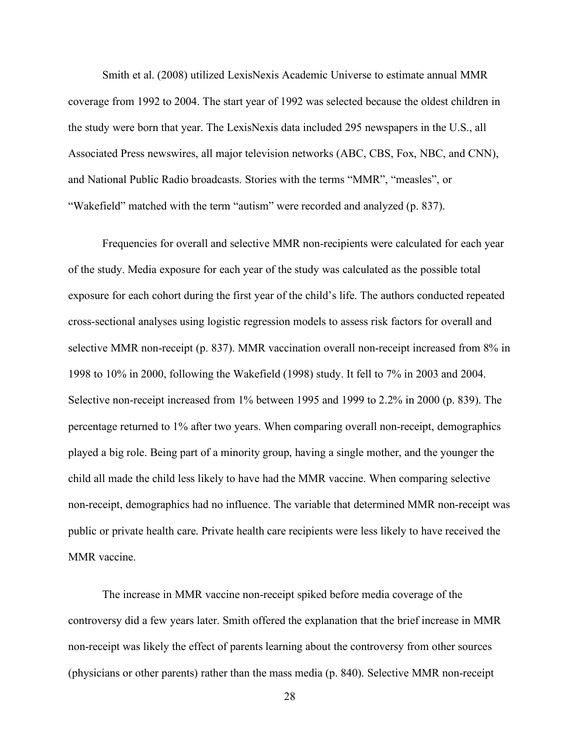Smith et al. (2008) utilized LexisNexis Academic Universe to estimate annual MMR coverage from 1992 to 2004. The start year of 1992 was selected because the oldest children in the study were born that year. The LexisNexis data included 295 newspapers in the U.S., all Associated Press newswires, all major television networks (ABC, CBS, Fox, NBC, and CNN), and National Public Radio broadcasts. Stories with the terms "MMR", "measles", or "Wakefield" matched with the term "autism" were recorded and analyzed (p. 837).

Frequencies for overall and selective MMR non-recipients were calculated for each year of the study. Media exposure for each year of the study was calculated as the possible total exposure for each cohort during the first year of the child's life. The authors conducted repeated cross-sectional analyses using logistic regression models to assess risk factors for overall and selective MMR non-receipt (p. 837). MMR vaccination overall non-receipt increased from 8% in 1998 to 10% in 2000, following the Wakefield (1998) study. It fell to 7% in 2003 and 2004. Selective non-receipt increased from 1% between 1995 and 1999 to 2.2% in 2000 (p. 839). The percentage returned to 1% after two years. When comparing overall non-receipt, demographics played a big role. Being part of a minority group, having a single mother, and the younger the child all made the child less likely to have had the MMR vaccine. When comparing selective non-receipt, demographics had no influence. The variable that determined MMR non-receipt was public or private health care. Private health care recipients were less likely to have received the MMR vaccine.

The increase in MMR vaccine non-receipt spiked before media coverage of the controversy did a few years later. Smith offered the explanation that the brief increase in MMR non-receipt was likely the effect of parents learning about the controversy from other sources (physicians or other parents) rather than the mass media (p. 840). Selective MMR non-receipt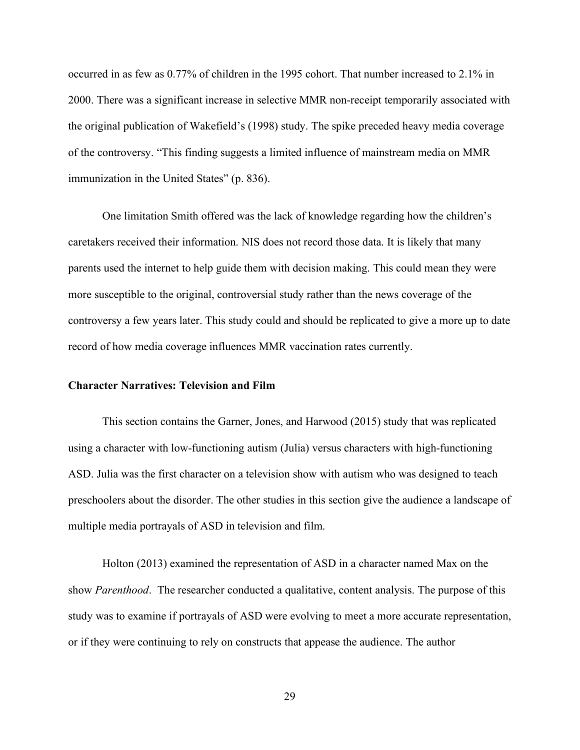occurred in as few as 0.77% of children in the 1995 cohort. That number increased to 2.1% in 2000. There was a significant increase in selective MMR non-receipt temporarily associated with the original publication of Wakefield's (1998) study. The spike preceded heavy media coverage of the controversy. "This finding suggests a limited influence of mainstream media on MMR immunization in the United States" (p. 836).

One limitation Smith offered was the lack of knowledge regarding how the children's caretakers received their information. NIS does not record those data. It is likely that many parents used the internet to help guide them with decision making. This could mean they were more susceptible to the original, controversial study rather than the news coverage of the controversy a few years later. This study could and should be replicated to give a more up to date record of how media coverage influences MMR vaccination rates currently.

# **Character Narratives: Television and Film**

This section contains the Garner, Jones, and Harwood (2015) study that was replicated using a character with low-functioning autism (Julia) versus characters with high-functioning ASD. Julia was the first character on a television show with autism who was designed to teach preschoolers about the disorder. The other studies in this section give the audience a landscape of multiple media portrayals of ASD in television and film.

Holton (2013) examined the representation of ASD in a character named Max on the show *Parenthood*. The researcher conducted a qualitative, content analysis. The purpose of this study was to examine if portrayals of ASD were evolving to meet a more accurate representation, or if they were continuing to rely on constructs that appease the audience. The author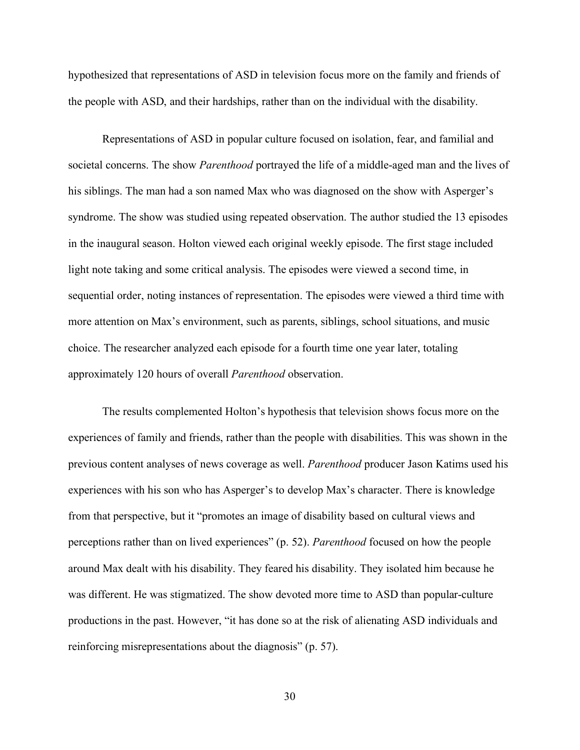hypothesized that representations of ASD in television focus more on the family and friends of the people with ASD, and their hardships, rather than on the individual with the disability.

Representations of ASD in popular culture focused on isolation, fear, and familial and societal concerns. The show *Parenthood* portrayed the life of a middle-aged man and the lives of his siblings. The man had a son named Max who was diagnosed on the show with Asperger's syndrome. The show was studied using repeated observation. The author studied the 13 episodes in the inaugural season. Holton viewed each original weekly episode. The first stage included light note taking and some critical analysis. The episodes were viewed a second time, in sequential order, noting instances of representation. The episodes were viewed a third time with more attention on Max's environment, such as parents, siblings, school situations, and music choice. The researcher analyzed each episode for a fourth time one year later, totaling approximately 120 hours of overall *Parenthood* observation.

The results complemented Holton's hypothesis that television shows focus more on the experiences of family and friends, rather than the people with disabilities. This was shown in the previous content analyses of news coverage as well. *Parenthood* producer Jason Katims used his experiences with his son who has Asperger's to develop Max's character. There is knowledge from that perspective, but it "promotes an image of disability based on cultural views and perceptions rather than on lived experiences" (p. 52). *Parenthood* focused on how the people around Max dealt with his disability. They feared his disability. They isolated him because he was different. He was stigmatized. The show devoted more time to ASD than popular-culture productions in the past. However, "it has done so at the risk of alienating ASD individuals and reinforcing misrepresentations about the diagnosis" (p. 57).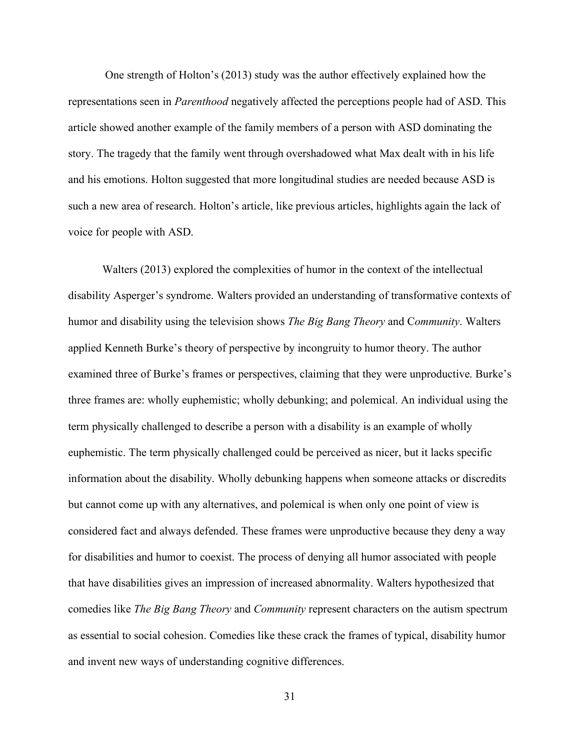One strength of Holton's (2013) study was the author effectively explained how the representations seen in *Parenthood* negatively affected the perceptions people had of ASD. This article showed another example of the family members of a person with ASD dominating the story. The tragedy that the family went through overshadowed what Max dealt with in his life and his emotions. Holton suggested that more longitudinal studies are needed because ASD is such a new area of research. Holton's article, like previous articles, highlights again the lack of voice for people with ASD.

Walters (2013) explored the complexities of humor in the context of the intellectual disability Asperger's syndrome. Walters provided an understanding of transformative contexts of humor and disability using the television shows *The Big Bang Theory* and C*ommunity*. Walters applied Kenneth Burke's theory of perspective by incongruity to humor theory. The author examined three of Burke's frames or perspectives, claiming that they were unproductive. Burke's three frames are: wholly euphemistic; wholly debunking; and polemical. An individual using the term physically challenged to describe a person with a disability is an example of wholly euphemistic. The term physically challenged could be perceived as nicer, but it lacks specific information about the disability. Wholly debunking happens when someone attacks or discredits but cannot come up with any alternatives, and polemical is when only one point of view is considered fact and always defended. These frames were unproductive because they deny a way for disabilities and humor to coexist. The process of denying all humor associated with people that have disabilities gives an impression of increased abnormality. Walters hypothesized that comedies like *The Big Bang Theory* and *Community* represent characters on the autism spectrum as essential to social cohesion. Comedies like these crack the frames of typical, disability humor and invent new ways of understanding cognitive differences.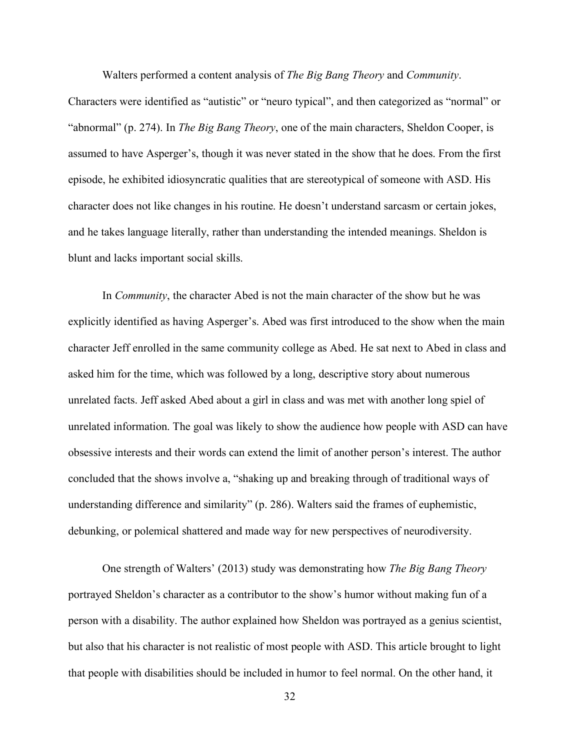Walters performed a content analysis of *The Big Bang Theory* and *Community*.

Characters were identified as "autistic" or "neuro typical", and then categorized as "normal" or "abnormal" (p. 274). In *The Big Bang Theory*, one of the main characters, Sheldon Cooper, is assumed to have Asperger's, though it was never stated in the show that he does. From the first episode, he exhibited idiosyncratic qualities that are stereotypical of someone with ASD. His character does not like changes in his routine. He doesn't understand sarcasm or certain jokes, and he takes language literally, rather than understanding the intended meanings. Sheldon is blunt and lacks important social skills.

In *Community*, the character Abed is not the main character of the show but he was explicitly identified as having Asperger's. Abed was first introduced to the show when the main character Jeff enrolled in the same community college as Abed. He sat next to Abed in class and asked him for the time, which was followed by a long, descriptive story about numerous unrelated facts. Jeff asked Abed about a girl in class and was met with another long spiel of unrelated information. The goal was likely to show the audience how people with ASD can have obsessive interests and their words can extend the limit of another person's interest. The author concluded that the shows involve a, "shaking up and breaking through of traditional ways of understanding difference and similarity" (p. 286). Walters said the frames of euphemistic, debunking, or polemical shattered and made way for new perspectives of neurodiversity.

One strength of Walters' (2013) study was demonstrating how *The Big Bang Theory* portrayed Sheldon's character as a contributor to the show's humor without making fun of a person with a disability. The author explained how Sheldon was portrayed as a genius scientist, but also that his character is not realistic of most people with ASD. This article brought to light that people with disabilities should be included in humor to feel normal. On the other hand, it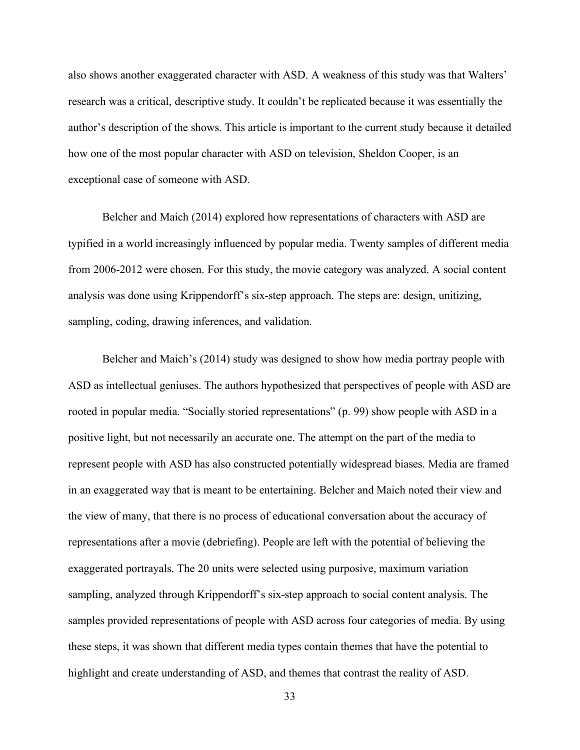also shows another exaggerated character with ASD. A weakness of this study was that Walters' research was a critical, descriptive study. It couldn't be replicated because it was essentially the author's description of the shows. This article is important to the current study because it detailed how one of the most popular character with ASD on television, Sheldon Cooper, is an exceptional case of someone with ASD.

Belcher and Maich (2014) explored how representations of characters with ASD are typified in a world increasingly influenced by popular media. Twenty samples of different media from 2006-2012 were chosen. For this study, the movie category was analyzed. A social content analysis was done using Krippendorff's six-step approach. The steps are: design, unitizing, sampling, coding, drawing inferences, and validation.

Belcher and Maich's (2014) study was designed to show how media portray people with ASD as intellectual geniuses. The authors hypothesized that perspectives of people with ASD are rooted in popular media. "Socially storied representations" (p. 99) show people with ASD in a positive light, but not necessarily an accurate one. The attempt on the part of the media to represent people with ASD has also constructed potentially widespread biases. Media are framed in an exaggerated way that is meant to be entertaining. Belcher and Maich noted their view and the view of many, that there is no process of educational conversation about the accuracy of representations after a movie (debriefing). People are left with the potential of believing the exaggerated portrayals. The 20 units were selected using purposive, maximum variation sampling, analyzed through Krippendorff's six-step approach to social content analysis. The samples provided representations of people with ASD across four categories of media. By using these steps, it was shown that different media types contain themes that have the potential to highlight and create understanding of ASD, and themes that contrast the reality of ASD.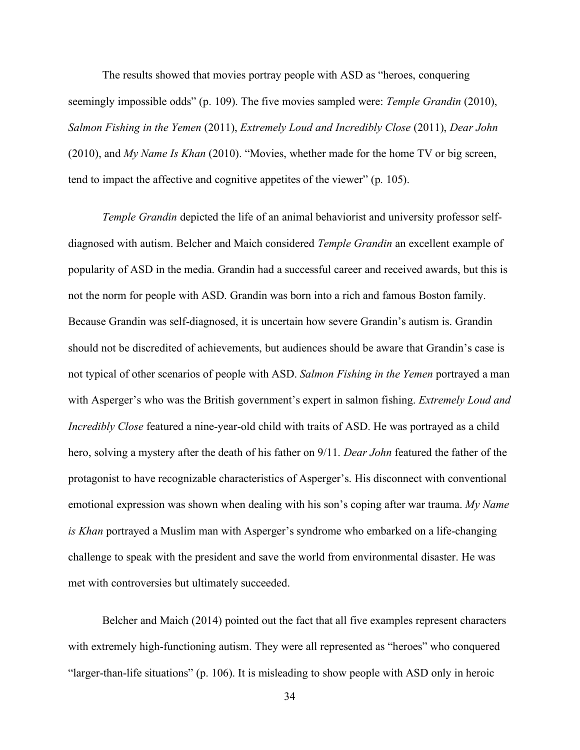The results showed that movies portray people with ASD as "heroes, conquering seemingly impossible odds" (p. 109). The five movies sampled were: *Temple Grandin* (2010), *Salmon Fishing in the Yemen* (2011), *Extremely Loud and Incredibly Close* (2011), *Dear John* (2010), and *My Name Is Khan* (2010). "Movies, whether made for the home TV or big screen, tend to impact the affective and cognitive appetites of the viewer" (p. 105).

*Temple Grandin* depicted the life of an animal behaviorist and university professor selfdiagnosed with autism. Belcher and Maich considered *Temple Grandin* an excellent example of popularity of ASD in the media. Grandin had a successful career and received awards, but this is not the norm for people with ASD. Grandin was born into a rich and famous Boston family. Because Grandin was self-diagnosed, it is uncertain how severe Grandin's autism is. Grandin should not be discredited of achievements, but audiences should be aware that Grandin's case is not typical of other scenarios of people with ASD. *Salmon Fishing in the Yemen* portrayed a man with Asperger's who was the British government's expert in salmon fishing. *Extremely Loud and Incredibly Close* featured a nine-year-old child with traits of ASD. He was portrayed as a child hero, solving a mystery after the death of his father on 9/11. *Dear John* featured the father of the protagonist to have recognizable characteristics of Asperger's. His disconnect with conventional emotional expression was shown when dealing with his son's coping after war trauma. *My Name is Khan* portrayed a Muslim man with Asperger's syndrome who embarked on a life-changing challenge to speak with the president and save the world from environmental disaster. He was met with controversies but ultimately succeeded.

Belcher and Maich (2014) pointed out the fact that all five examples represent characters with extremely high-functioning autism. They were all represented as "heroes" who conquered "larger-than-life situations" (p. 106). It is misleading to show people with ASD only in heroic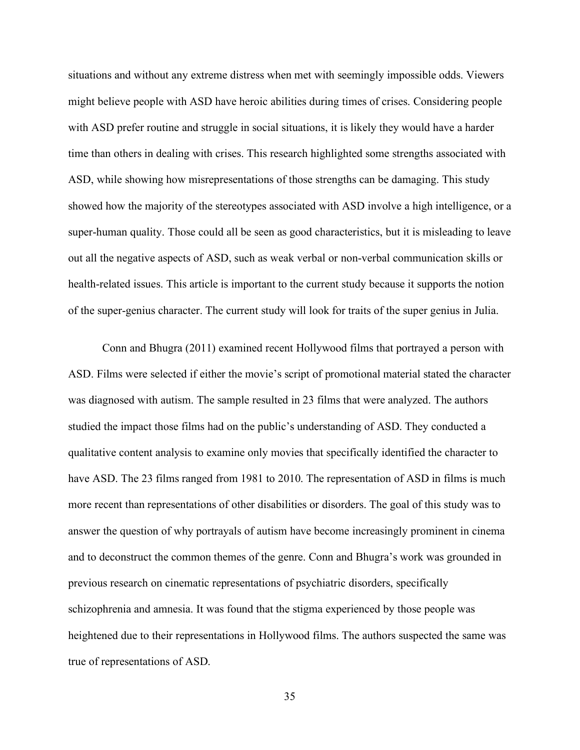situations and without any extreme distress when met with seemingly impossible odds. Viewers might believe people with ASD have heroic abilities during times of crises. Considering people with ASD prefer routine and struggle in social situations, it is likely they would have a harder time than others in dealing with crises. This research highlighted some strengths associated with ASD, while showing how misrepresentations of those strengths can be damaging. This study showed how the majority of the stereotypes associated with ASD involve a high intelligence, or a super-human quality. Those could all be seen as good characteristics, but it is misleading to leave out all the negative aspects of ASD, such as weak verbal or non-verbal communication skills or health-related issues. This article is important to the current study because it supports the notion of the super-genius character. The current study will look for traits of the super genius in Julia.

Conn and Bhugra (2011) examined recent Hollywood films that portrayed a person with ASD. Films were selected if either the movie's script of promotional material stated the character was diagnosed with autism. The sample resulted in 23 films that were analyzed. The authors studied the impact those films had on the public's understanding of ASD. They conducted a qualitative content analysis to examine only movies that specifically identified the character to have ASD. The 23 films ranged from 1981 to 2010. The representation of ASD in films is much more recent than representations of other disabilities or disorders. The goal of this study was to answer the question of why portrayals of autism have become increasingly prominent in cinema and to deconstruct the common themes of the genre. Conn and Bhugra's work was grounded in previous research on cinematic representations of psychiatric disorders, specifically schizophrenia and amnesia. It was found that the stigma experienced by those people was heightened due to their representations in Hollywood films. The authors suspected the same was true of representations of ASD.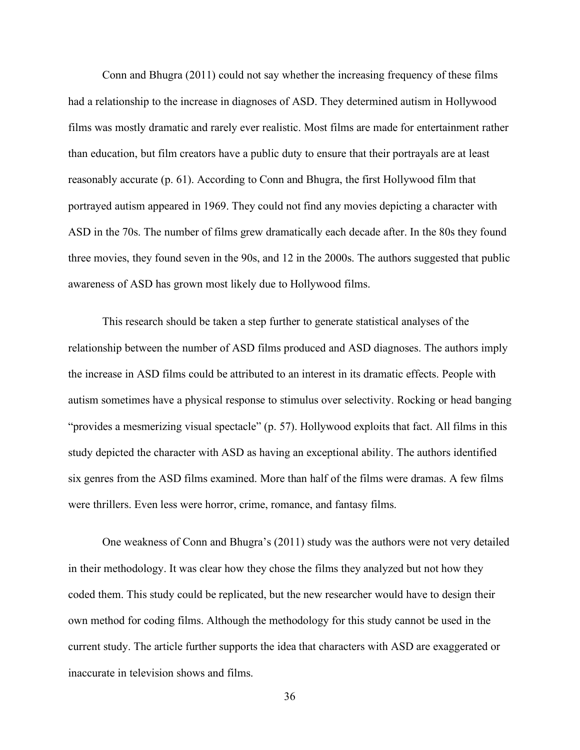Conn and Bhugra (2011) could not say whether the increasing frequency of these films had a relationship to the increase in diagnoses of ASD. They determined autism in Hollywood films was mostly dramatic and rarely ever realistic. Most films are made for entertainment rather than education, but film creators have a public duty to ensure that their portrayals are at least reasonably accurate (p. 61). According to Conn and Bhugra, the first Hollywood film that portrayed autism appeared in 1969. They could not find any movies depicting a character with ASD in the 70s. The number of films grew dramatically each decade after. In the 80s they found three movies, they found seven in the 90s, and 12 in the 2000s. The authors suggested that public awareness of ASD has grown most likely due to Hollywood films.

This research should be taken a step further to generate statistical analyses of the relationship between the number of ASD films produced and ASD diagnoses. The authors imply the increase in ASD films could be attributed to an interest in its dramatic effects. People with autism sometimes have a physical response to stimulus over selectivity. Rocking or head banging "provides a mesmerizing visual spectacle" (p. 57). Hollywood exploits that fact. All films in this study depicted the character with ASD as having an exceptional ability. The authors identified six genres from the ASD films examined. More than half of the films were dramas. A few films were thrillers. Even less were horror, crime, romance, and fantasy films.

One weakness of Conn and Bhugra's (2011) study was the authors were not very detailed in their methodology. It was clear how they chose the films they analyzed but not how they coded them. This study could be replicated, but the new researcher would have to design their own method for coding films. Although the methodology for this study cannot be used in the current study. The article further supports the idea that characters with ASD are exaggerated or inaccurate in television shows and films.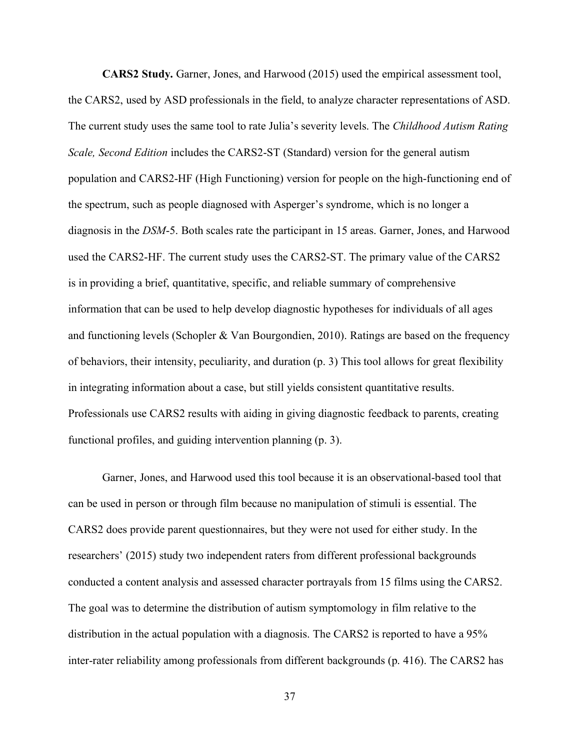**CARS2 Study.** Garner, Jones, and Harwood (2015) used the empirical assessment tool, the CARS2, used by ASD professionals in the field, to analyze character representations of ASD. The current study uses the same tool to rate Julia's severity levels. The *Childhood Autism Rating Scale, Second Edition* includes the CARS2-ST (Standard) version for the general autism population and CARS2-HF (High Functioning) version for people on the high-functioning end of the spectrum, such as people diagnosed with Asperger's syndrome, which is no longer a diagnosis in the *DSM*-5. Both scales rate the participant in 15 areas. Garner, Jones, and Harwood used the CARS2-HF. The current study uses the CARS2-ST. The primary value of the CARS2 is in providing a brief, quantitative, specific, and reliable summary of comprehensive information that can be used to help develop diagnostic hypotheses for individuals of all ages and functioning levels (Schopler  $&$  Van Bourgondien, 2010). Ratings are based on the frequency of behaviors, their intensity, peculiarity, and duration (p. 3) This tool allows for great flexibility in integrating information about a case, but still yields consistent quantitative results. Professionals use CARS2 results with aiding in giving diagnostic feedback to parents, creating functional profiles, and guiding intervention planning (p. 3).

Garner, Jones, and Harwood used this tool because it is an observational-based tool that can be used in person or through film because no manipulation of stimuli is essential. The CARS2 does provide parent questionnaires, but they were not used for either study. In the researchers' (2015) study two independent raters from different professional backgrounds conducted a content analysis and assessed character portrayals from 15 films using the CARS2. The goal was to determine the distribution of autism symptomology in film relative to the distribution in the actual population with a diagnosis. The CARS2 is reported to have a 95% inter-rater reliability among professionals from different backgrounds (p. 416). The CARS2 has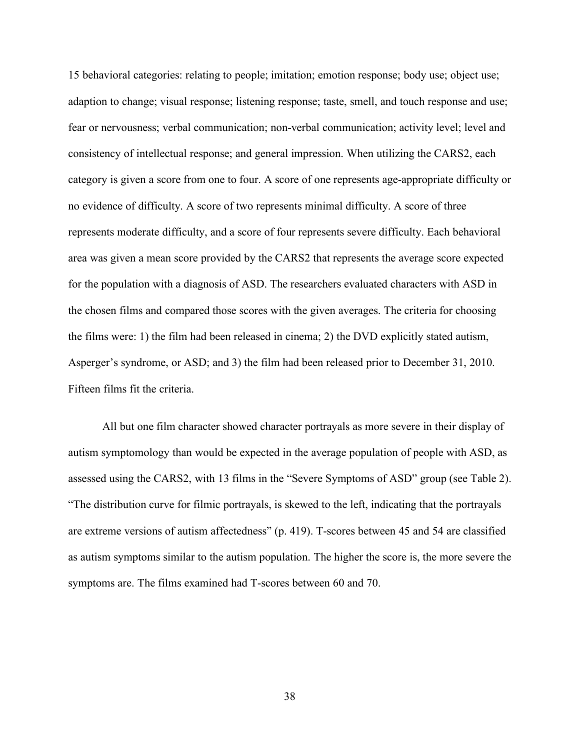15 behavioral categories: relating to people; imitation; emotion response; body use; object use; adaption to change; visual response; listening response; taste, smell, and touch response and use; fear or nervousness; verbal communication; non-verbal communication; activity level; level and consistency of intellectual response; and general impression. When utilizing the CARS2, each category is given a score from one to four. A score of one represents age-appropriate difficulty or no evidence of difficulty. A score of two represents minimal difficulty. A score of three represents moderate difficulty, and a score of four represents severe difficulty. Each behavioral area was given a mean score provided by the CARS2 that represents the average score expected for the population with a diagnosis of ASD. The researchers evaluated characters with ASD in the chosen films and compared those scores with the given averages. The criteria for choosing the films were: 1) the film had been released in cinema; 2) the DVD explicitly stated autism, Asperger's syndrome, or ASD; and 3) the film had been released prior to December 31, 2010. Fifteen films fit the criteria.

All but one film character showed character portrayals as more severe in their display of autism symptomology than would be expected in the average population of people with ASD, as assessed using the CARS2, with 13 films in the "Severe Symptoms of ASD" group (see Table 2). "The distribution curve for filmic portrayals, is skewed to the left, indicating that the portrayals are extreme versions of autism affectedness" (p. 419). T-scores between 45 and 54 are classified as autism symptoms similar to the autism population. The higher the score is, the more severe the symptoms are. The films examined had T-scores between 60 and 70.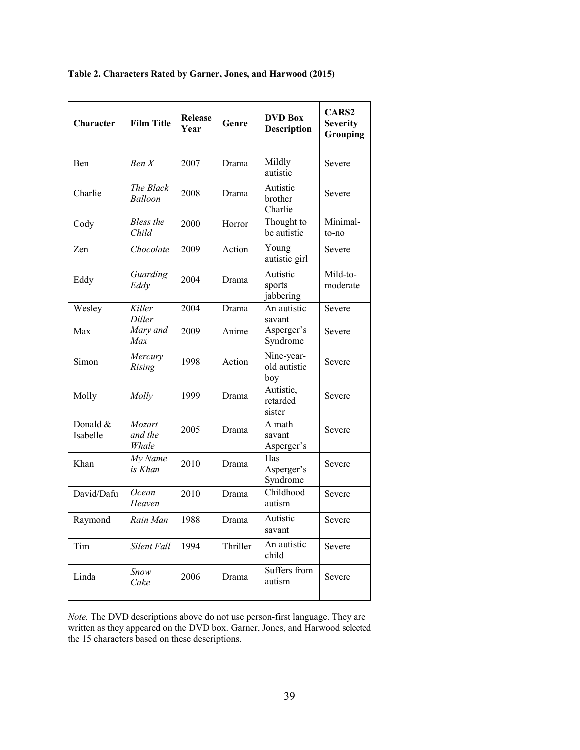| Table 2. Characters Rated by Garner, Jones, and Harwood (2015) |  |  |  |
|----------------------------------------------------------------|--|--|--|
|                                                                |  |  |  |

| Character            | <b>Film Title</b>          | <b>Release</b><br>Year | Genre    | <b>DVD Box</b><br><b>Description</b> | <b>CARS2</b><br><b>Severity</b><br>Grouping |
|----------------------|----------------------------|------------------------|----------|--------------------------------------|---------------------------------------------|
| Ben                  | Ben X                      | 2007                   | Drama    | Mildly<br>autistic                   | Severe                                      |
| Charlie              | The Black<br>Balloon       | 2008                   | Drama    | Autistic<br>brother<br>Charlie       | Severe                                      |
| Cody                 | <b>Bless</b> the<br>Child  | 2000                   | Horror   | Thought to<br>be autistic            | Minimal-<br>to-no                           |
| Zen                  | Chocolate                  | 2009                   | Action   | Young<br>autistic girl               | Severe                                      |
| Eddy                 | Guarding<br>Eddy           | 2004                   | Drama    | Autistic<br>sports<br>jabbering      | Mild-to-<br>moderate                        |
| Wesley               | Killer<br>Diller           | 2004                   | Drama    | An autistic<br>savant                | Severe                                      |
| Max                  | Mary and<br>Max            | 2009                   | Anime    | Asperger's<br>Syndrome               | Severe                                      |
| Simon                | Mercury<br>Rising          | 1998                   | Action   | Nine-year-<br>old autistic<br>boy    | Severe                                      |
| Molly                | Molly                      | 1999                   | Drama    | Autistic,<br>retarded<br>sister      | Severe                                      |
| Donald &<br>Isabelle | Mozart<br>and the<br>Whale | 2005                   | Drama    | A math<br>savant<br>Asperger's       | Severe                                      |
| Khan                 | My Name<br>is Khan         | 2010                   | Drama    | Has<br>Asperger's<br>Syndrome        | Severe                                      |
| David/Dafu           | Ocean<br>Heaven            | 2010                   | Drama    | Childhood<br>autism                  | Severe                                      |
| Raymond              | Rain Man                   | 1988                   | Drama    | Autistic<br>savant                   | Severe                                      |
| Tim                  | Silent Fall                | 1994                   | Thriller | An autistic<br>child                 | Severe                                      |
| Linda                | Snow<br>Cake               | 2006                   | Drama    | Suffers from<br>autism               | Severe                                      |

*Note.* The DVD descriptions above do not use person-first language. They are written as they appeared on the DVD box. Garner, Jones, and Harwood selected the 15 characters based on these descriptions.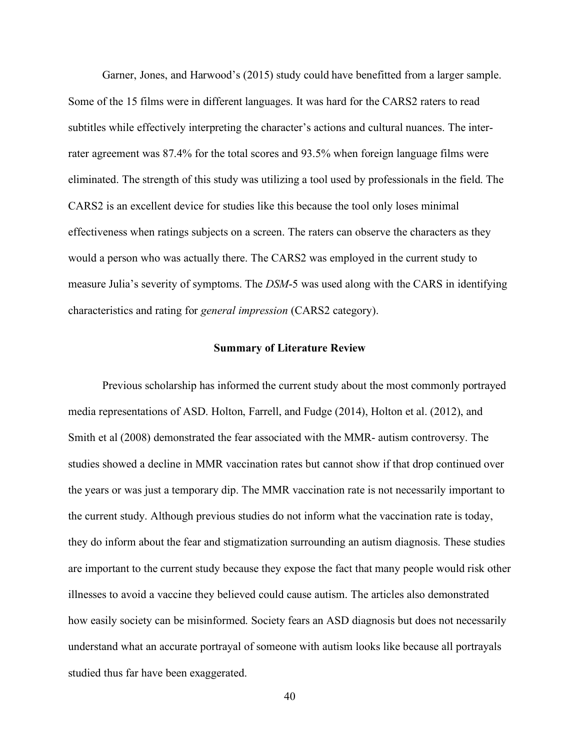Garner, Jones, and Harwood's (2015) study could have benefitted from a larger sample. Some of the 15 films were in different languages. It was hard for the CARS2 raters to read subtitles while effectively interpreting the character's actions and cultural nuances. The interrater agreement was 87.4% for the total scores and 93.5% when foreign language films were eliminated. The strength of this study was utilizing a tool used by professionals in the field. The CARS2 is an excellent device for studies like this because the tool only loses minimal effectiveness when ratings subjects on a screen. The raters can observe the characters as they would a person who was actually there. The CARS2 was employed in the current study to measure Julia's severity of symptoms. The *DSM*-5 was used along with the CARS in identifying characteristics and rating for *general impression* (CARS2 category).

#### **Summary of Literature Review**

Previous scholarship has informed the current study about the most commonly portrayed media representations of ASD. Holton, Farrell, and Fudge (2014), Holton et al. (2012), and Smith et al (2008) demonstrated the fear associated with the MMR- autism controversy. The studies showed a decline in MMR vaccination rates but cannot show if that drop continued over the years or was just a temporary dip. The MMR vaccination rate is not necessarily important to the current study. Although previous studies do not inform what the vaccination rate is today, they do inform about the fear and stigmatization surrounding an autism diagnosis. These studies are important to the current study because they expose the fact that many people would risk other illnesses to avoid a vaccine they believed could cause autism. The articles also demonstrated how easily society can be misinformed. Society fears an ASD diagnosis but does not necessarily understand what an accurate portrayal of someone with autism looks like because all portrayals studied thus far have been exaggerated.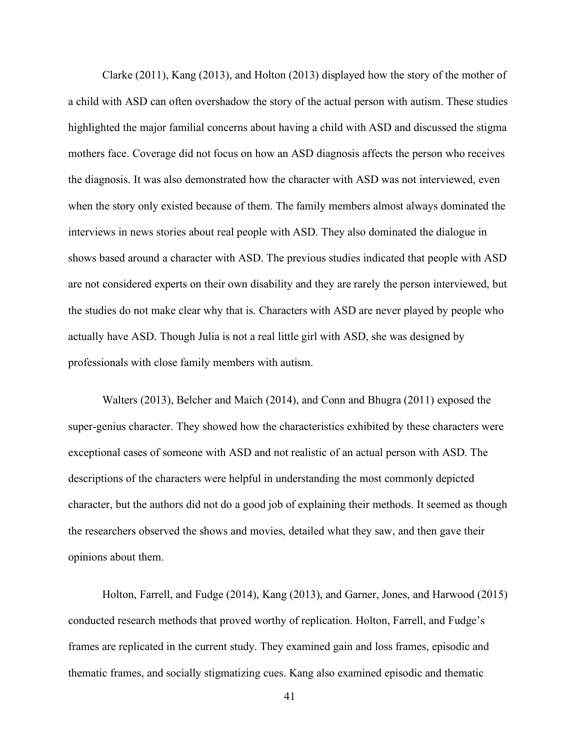Clarke (2011), Kang (2013), and Holton (2013) displayed how the story of the mother of a child with ASD can often overshadow the story of the actual person with autism. These studies highlighted the major familial concerns about having a child with ASD and discussed the stigma mothers face. Coverage did not focus on how an ASD diagnosis affects the person who receives the diagnosis. It was also demonstrated how the character with ASD was not interviewed, even when the story only existed because of them. The family members almost always dominated the interviews in news stories about real people with ASD. They also dominated the dialogue in shows based around a character with ASD. The previous studies indicated that people with ASD are not considered experts on their own disability and they are rarely the person interviewed, but the studies do not make clear why that is. Characters with ASD are never played by people who actually have ASD. Though Julia is not a real little girl with ASD, she was designed by professionals with close family members with autism.

Walters (2013), Belcher and Maich (2014), and Conn and Bhugra (2011) exposed the super-genius character. They showed how the characteristics exhibited by these characters were exceptional cases of someone with ASD and not realistic of an actual person with ASD. The descriptions of the characters were helpful in understanding the most commonly depicted character, but the authors did not do a good job of explaining their methods. It seemed as though the researchers observed the shows and movies, detailed what they saw, and then gave their opinions about them.

Holton, Farrell, and Fudge (2014), Kang (2013), and Garner, Jones, and Harwood (2015) conducted research methods that proved worthy of replication. Holton, Farrell, and Fudge's frames are replicated in the current study. They examined gain and loss frames, episodic and thematic frames, and socially stigmatizing cues. Kang also examined episodic and thematic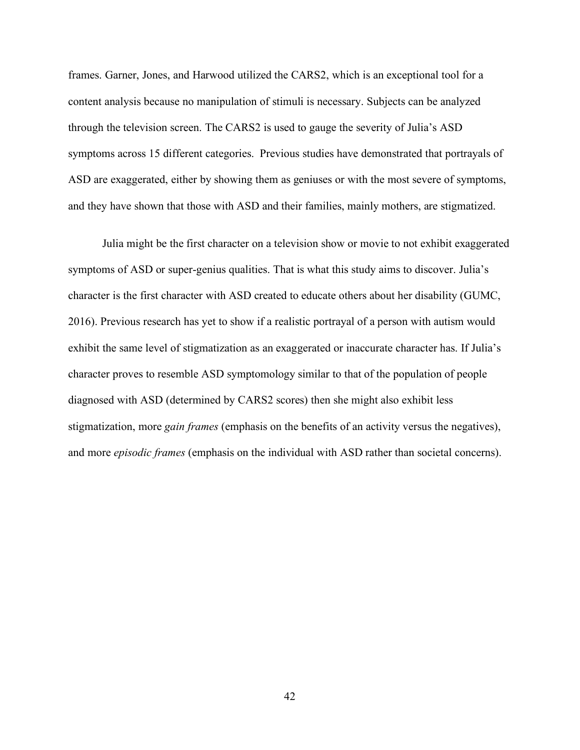frames. Garner, Jones, and Harwood utilized the CARS2, which is an exceptional tool for a content analysis because no manipulation of stimuli is necessary. Subjects can be analyzed through the television screen. The CARS2 is used to gauge the severity of Julia's ASD symptoms across 15 different categories. Previous studies have demonstrated that portrayals of ASD are exaggerated, either by showing them as geniuses or with the most severe of symptoms, and they have shown that those with ASD and their families, mainly mothers, are stigmatized.

Julia might be the first character on a television show or movie to not exhibit exaggerated symptoms of ASD or super-genius qualities. That is what this study aims to discover. Julia's character is the first character with ASD created to educate others about her disability (GUMC, 2016). Previous research has yet to show if a realistic portrayal of a person with autism would exhibit the same level of stigmatization as an exaggerated or inaccurate character has. If Julia's character proves to resemble ASD symptomology similar to that of the population of people diagnosed with ASD (determined by CARS2 scores) then she might also exhibit less stigmatization, more *gain frames* (emphasis on the benefits of an activity versus the negatives), and more *episodic frames* (emphasis on the individual with ASD rather than societal concerns).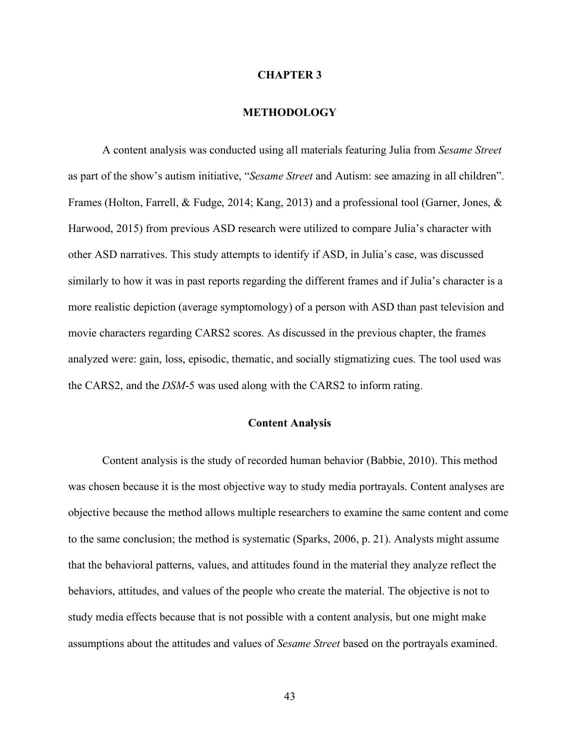#### **CHAPTER 3**

#### **METHODOLOGY**

A content analysis was conducted using all materials featuring Julia from *Sesame Street* as part of the show's autism initiative, "*Sesame Street* and Autism: see amazing in all children". Frames (Holton, Farrell, & Fudge, 2014; Kang, 2013) and a professional tool (Garner, Jones, & Harwood, 2015) from previous ASD research were utilized to compare Julia's character with other ASD narratives. This study attempts to identify if ASD, in Julia's case, was discussed similarly to how it was in past reports regarding the different frames and if Julia's character is a more realistic depiction (average symptomology) of a person with ASD than past television and movie characters regarding CARS2 scores. As discussed in the previous chapter, the frames analyzed were: gain, loss, episodic, thematic, and socially stigmatizing cues. The tool used was the CARS2, and the *DSM*-5 was used along with the CARS2 to inform rating.

### **Content Analysis**

Content analysis is the study of recorded human behavior (Babbie, 2010). This method was chosen because it is the most objective way to study media portrayals. Content analyses are objective because the method allows multiple researchers to examine the same content and come to the same conclusion; the method is systematic (Sparks, 2006, p. 21). Analysts might assume that the behavioral patterns, values, and attitudes found in the material they analyze reflect the behaviors, attitudes, and values of the people who create the material. The objective is not to study media effects because that is not possible with a content analysis, but one might make assumptions about the attitudes and values of *Sesame Street* based on the portrayals examined.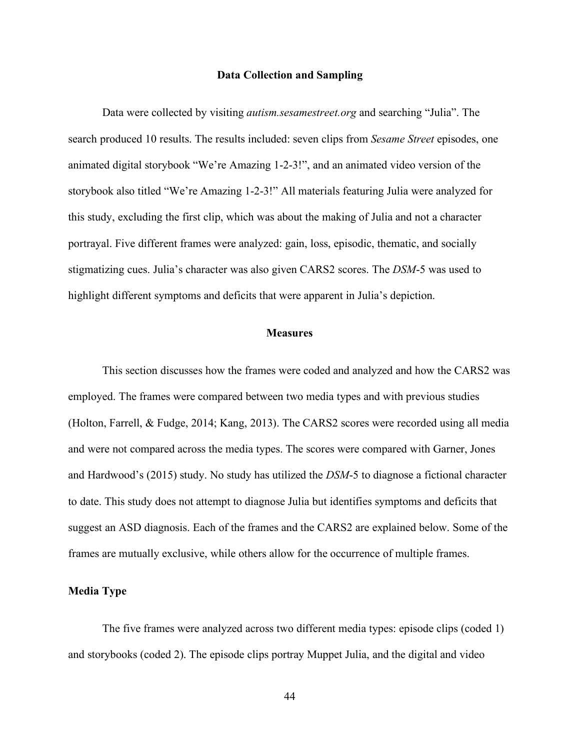#### **Data Collection and Sampling**

Data were collected by visiting *autism.sesamestreet.org* and searching "Julia". The search produced 10 results. The results included: seven clips from *Sesame Street* episodes, one animated digital storybook "We're Amazing 1-2-3!", and an animated video version of the storybook also titled "We're Amazing 1-2-3!" All materials featuring Julia were analyzed for this study, excluding the first clip, which was about the making of Julia and not a character portrayal. Five different frames were analyzed: gain, loss, episodic, thematic, and socially stigmatizing cues. Julia's character was also given CARS2 scores. The *DSM*-5 was used to highlight different symptoms and deficits that were apparent in Julia's depiction.

### **Measures**

This section discusses how the frames were coded and analyzed and how the CARS2 was employed. The frames were compared between two media types and with previous studies (Holton, Farrell, & Fudge, 2014; Kang, 2013). The CARS2 scores were recorded using all media and were not compared across the media types. The scores were compared with Garner, Jones and Hardwood's (2015) study. No study has utilized the *DSM*-5 to diagnose a fictional character to date. This study does not attempt to diagnose Julia but identifies symptoms and deficits that suggest an ASD diagnosis. Each of the frames and the CARS2 are explained below. Some of the frames are mutually exclusive, while others allow for the occurrence of multiple frames.

### **Media Type**

The five frames were analyzed across two different media types: episode clips (coded 1) and storybooks (coded 2). The episode clips portray Muppet Julia, and the digital and video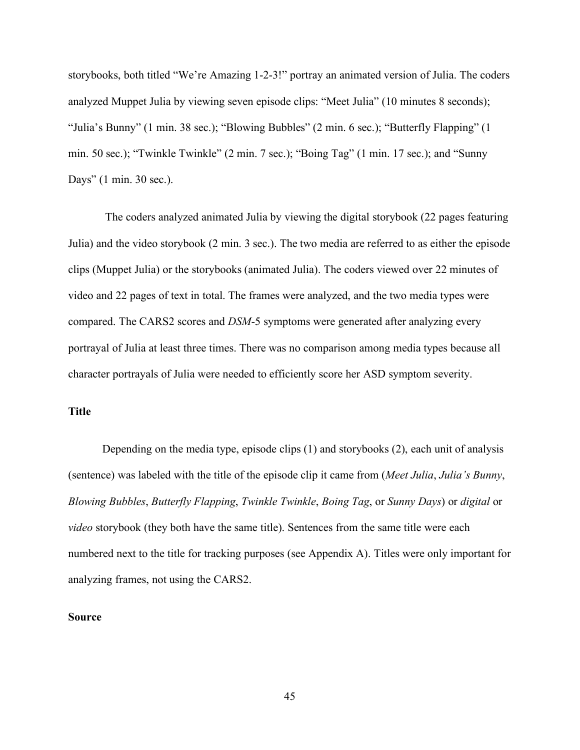storybooks, both titled "We're Amazing 1-2-3!" portray an animated version of Julia. The coders analyzed Muppet Julia by viewing seven episode clips: "Meet Julia" (10 minutes 8 seconds); "Julia's Bunny" (1 min. 38 sec.); "Blowing Bubbles" (2 min. 6 sec.); "Butterfly Flapping" (1 min. 50 sec.); "Twinkle Twinkle" (2 min. 7 sec.); "Boing Tag" (1 min. 17 sec.); and "Sunny Days" (1 min. 30 sec.).

The coders analyzed animated Julia by viewing the digital storybook (22 pages featuring Julia) and the video storybook (2 min. 3 sec.). The two media are referred to as either the episode clips (Muppet Julia) or the storybooks (animated Julia). The coders viewed over 22 minutes of video and 22 pages of text in total. The frames were analyzed, and the two media types were compared. The CARS2 scores and *DSM*-5 symptoms were generated after analyzing every portrayal of Julia at least three times. There was no comparison among media types because all character portrayals of Julia were needed to efficiently score her ASD symptom severity.

# **Title**

Depending on the media type, episode clips (1) and storybooks (2), each unit of analysis (sentence) was labeled with the title of the episode clip it came from (*Meet Julia*, *Julia's Bunny*, *Blowing Bubbles*, *Butterfly Flapping*, *Twinkle Twinkle*, *Boing Tag*, or *Sunny Days*) or *digital* or *video* storybook (they both have the same title). Sentences from the same title were each numbered next to the title for tracking purposes (see Appendix A). Titles were only important for analyzing frames, not using the CARS2.

### **Source**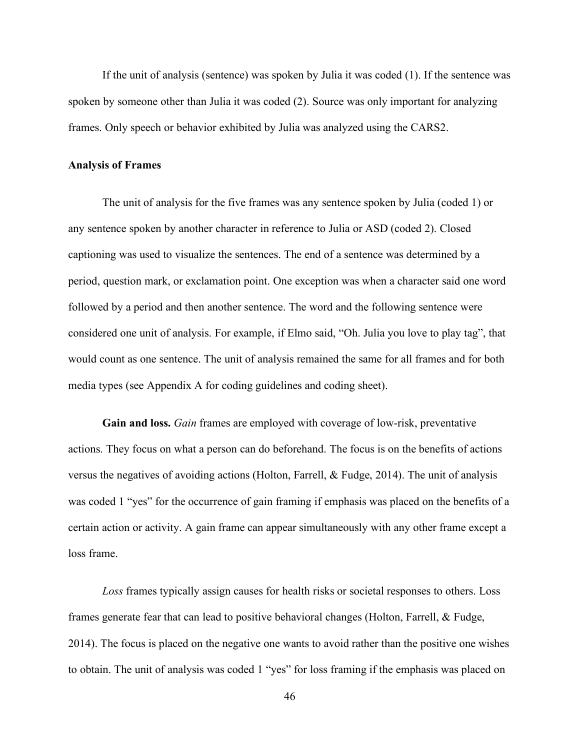If the unit of analysis (sentence) was spoken by Julia it was coded (1). If the sentence was spoken by someone other than Julia it was coded (2). Source was only important for analyzing frames. Only speech or behavior exhibited by Julia was analyzed using the CARS2.

### **Analysis of Frames**

The unit of analysis for the five frames was any sentence spoken by Julia (coded 1) or any sentence spoken by another character in reference to Julia or ASD (coded 2). Closed captioning was used to visualize the sentences. The end of a sentence was determined by a period, question mark, or exclamation point. One exception was when a character said one word followed by a period and then another sentence. The word and the following sentence were considered one unit of analysis. For example, if Elmo said, "Oh. Julia you love to play tag", that would count as one sentence. The unit of analysis remained the same for all frames and for both media types (see Appendix A for coding guidelines and coding sheet).

**Gain and loss.** *Gain* frames are employed with coverage of low-risk, preventative actions. They focus on what a person can do beforehand. The focus is on the benefits of actions versus the negatives of avoiding actions (Holton, Farrell, & Fudge, 2014). The unit of analysis was coded 1 "yes" for the occurrence of gain framing if emphasis was placed on the benefits of a certain action or activity. A gain frame can appear simultaneously with any other frame except a loss frame.

*Loss* frames typically assign causes for health risks or societal responses to others. Loss frames generate fear that can lead to positive behavioral changes (Holton, Farrell, & Fudge, 2014). The focus is placed on the negative one wants to avoid rather than the positive one wishes to obtain. The unit of analysis was coded 1 "yes" for loss framing if the emphasis was placed on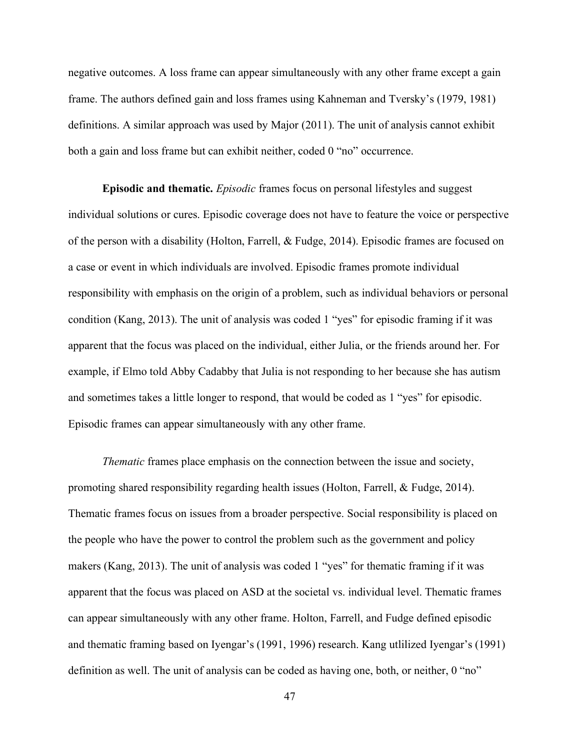negative outcomes. A loss frame can appear simultaneously with any other frame except a gain frame. The authors defined gain and loss frames using Kahneman and Tversky's (1979, 1981) definitions. A similar approach was used by Major (2011). The unit of analysis cannot exhibit both a gain and loss frame but can exhibit neither, coded 0 "no" occurrence.

**Episodic and thematic.** *Episodic* frames focus on personal lifestyles and suggest individual solutions or cures. Episodic coverage does not have to feature the voice or perspective of the person with a disability (Holton, Farrell, & Fudge, 2014). Episodic frames are focused on a case or event in which individuals are involved. Episodic frames promote individual responsibility with emphasis on the origin of a problem, such as individual behaviors or personal condition (Kang, 2013). The unit of analysis was coded 1 "yes" for episodic framing if it was apparent that the focus was placed on the individual, either Julia, or the friends around her. For example, if Elmo told Abby Cadabby that Julia is not responding to her because she has autism and sometimes takes a little longer to respond, that would be coded as 1 "yes" for episodic. Episodic frames can appear simultaneously with any other frame.

*Thematic* frames place emphasis on the connection between the issue and society, promoting shared responsibility regarding health issues (Holton, Farrell, & Fudge, 2014). Thematic frames focus on issues from a broader perspective. Social responsibility is placed on the people who have the power to control the problem such as the government and policy makers (Kang, 2013). The unit of analysis was coded 1 "yes" for thematic framing if it was apparent that the focus was placed on ASD at the societal vs. individual level. Thematic frames can appear simultaneously with any other frame. Holton, Farrell, and Fudge defined episodic and thematic framing based on Iyengar's (1991, 1996) research. Kang utlilized Iyengar's (1991) definition as well. The unit of analysis can be coded as having one, both, or neither, 0 "no"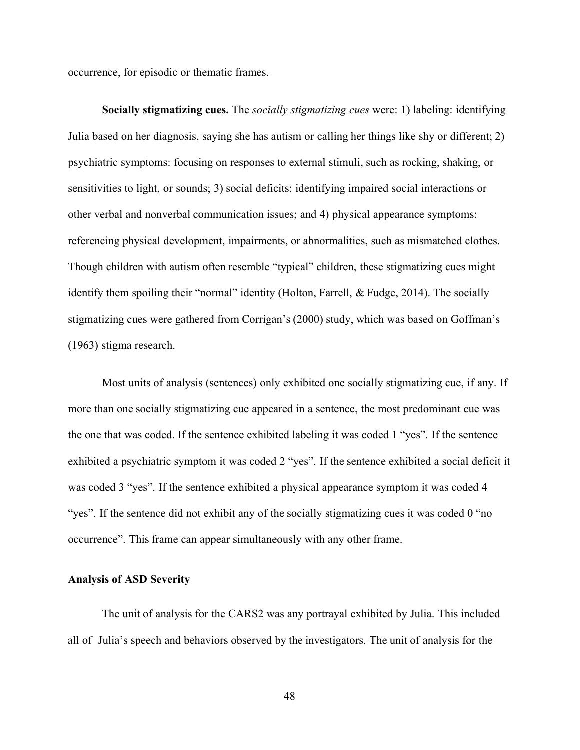occurrence, for episodic or thematic frames.

**Socially stigmatizing cues.** The *socially stigmatizing cues* were: 1) labeling: identifying Julia based on her diagnosis, saying she has autism or calling her things like shy or different; 2) psychiatric symptoms: focusing on responses to external stimuli, such as rocking, shaking, or sensitivities to light, or sounds; 3) social deficits: identifying impaired social interactions or other verbal and nonverbal communication issues; and 4) physical appearance symptoms: referencing physical development, impairments, or abnormalities, such as mismatched clothes. Though children with autism often resemble "typical" children, these stigmatizing cues might identify them spoiling their "normal" identity (Holton, Farrell, & Fudge, 2014). The socially stigmatizing cues were gathered from Corrigan's (2000) study, which was based on Goffman's (1963) stigma research.

Most units of analysis (sentences) only exhibited one socially stigmatizing cue, if any. If more than one socially stigmatizing cue appeared in a sentence, the most predominant cue was the one that was coded. If the sentence exhibited labeling it was coded 1 "yes". If the sentence exhibited a psychiatric symptom it was coded 2 "yes". If the sentence exhibited a social deficit it was coded 3 "yes". If the sentence exhibited a physical appearance symptom it was coded 4 "yes". If the sentence did not exhibit any of the socially stigmatizing cues it was coded 0 "no occurrence". This frame can appear simultaneously with any other frame.

### **Analysis of ASD Severity**

The unit of analysis for the CARS2 was any portrayal exhibited by Julia. This included all of Julia's speech and behaviors observed by the investigators. The unit of analysis for the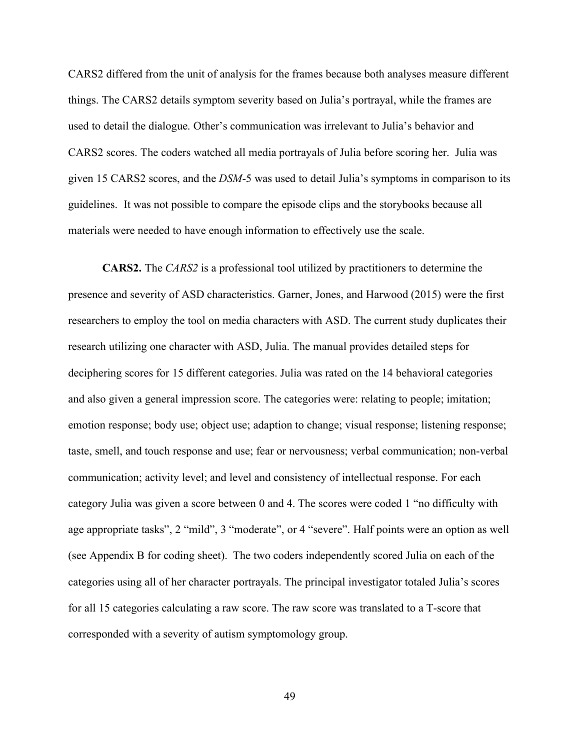CARS2 differed from the unit of analysis for the frames because both analyses measure different things. The CARS2 details symptom severity based on Julia's portrayal, while the frames are used to detail the dialogue. Other's communication was irrelevant to Julia's behavior and CARS2 scores. The coders watched all media portrayals of Julia before scoring her. Julia was given 15 CARS2 scores, and the *DSM*-5 was used to detail Julia's symptoms in comparison to its guidelines. It was not possible to compare the episode clips and the storybooks because all materials were needed to have enough information to effectively use the scale.

**CARS2.** The *CARS2* is a professional tool utilized by practitioners to determine the presence and severity of ASD characteristics. Garner, Jones, and Harwood (2015) were the first researchers to employ the tool on media characters with ASD. The current study duplicates their research utilizing one character with ASD, Julia. The manual provides detailed steps for deciphering scores for 15 different categories. Julia was rated on the 14 behavioral categories and also given a general impression score. The categories were: relating to people; imitation; emotion response; body use; object use; adaption to change; visual response; listening response; taste, smell, and touch response and use; fear or nervousness; verbal communication; non-verbal communication; activity level; and level and consistency of intellectual response. For each category Julia was given a score between 0 and 4. The scores were coded 1 "no difficulty with age appropriate tasks", 2 "mild", 3 "moderate", or 4 "severe". Half points were an option as well (see Appendix B for coding sheet). The two coders independently scored Julia on each of the categories using all of her character portrayals. The principal investigator totaled Julia's scores for all 15 categories calculating a raw score. The raw score was translated to a T-score that corresponded with a severity of autism symptomology group.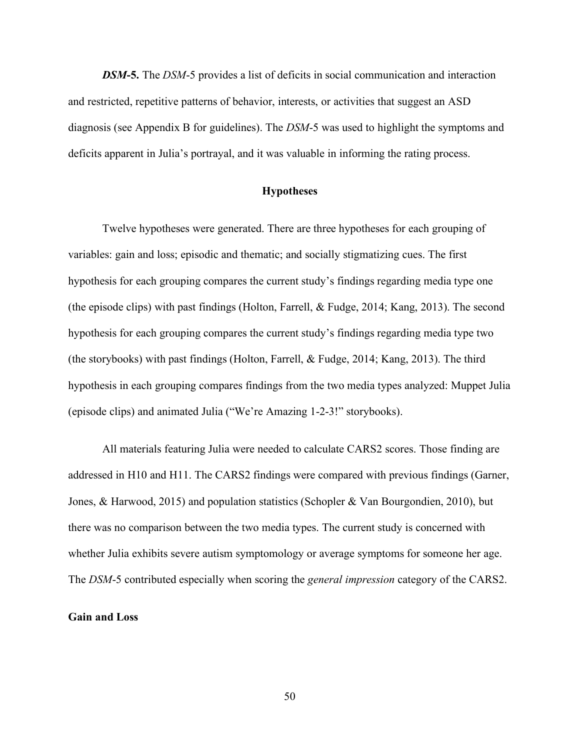*DSM***-5.** The *DSM*-5 provides a list of deficits in social communication and interaction and restricted, repetitive patterns of behavior, interests, or activities that suggest an ASD diagnosis (see Appendix B for guidelines). The *DSM*-5 was used to highlight the symptoms and deficits apparent in Julia's portrayal, and it was valuable in informing the rating process.

### **Hypotheses**

Twelve hypotheses were generated. There are three hypotheses for each grouping of variables: gain and loss; episodic and thematic; and socially stigmatizing cues. The first hypothesis for each grouping compares the current study's findings regarding media type one (the episode clips) with past findings (Holton, Farrell, & Fudge, 2014; Kang, 2013). The second hypothesis for each grouping compares the current study's findings regarding media type two (the storybooks) with past findings (Holton, Farrell, & Fudge, 2014; Kang, 2013). The third hypothesis in each grouping compares findings from the two media types analyzed: Muppet Julia (episode clips) and animated Julia ("We're Amazing 1-2-3!" storybooks).

All materials featuring Julia were needed to calculate CARS2 scores. Those finding are addressed in H10 and H11. The CARS2 findings were compared with previous findings (Garner, Jones, & Harwood, 2015) and population statistics (Schopler & Van Bourgondien, 2010), but there was no comparison between the two media types. The current study is concerned with whether Julia exhibits severe autism symptomology or average symptoms for someone her age. The *DSM*-5 contributed especially when scoring the *general impression* category of the CARS2.

# **Gain and Loss**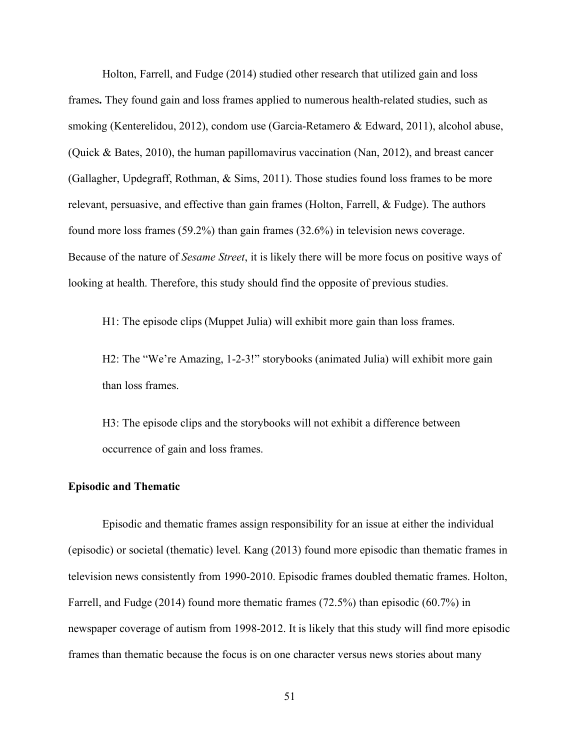Holton, Farrell, and Fudge (2014) studied other research that utilized gain and loss frames**.** They found gain and loss frames applied to numerous health-related studies, such as smoking (Kenterelidou, 2012), condom use (Garcia-Retamero & Edward, 2011), alcohol abuse, (Quick & Bates, 2010), the human papillomavirus vaccination (Nan, 2012), and breast cancer (Gallagher, Updegraff, Rothman, & Sims, 2011). Those studies found loss frames to be more relevant, persuasive, and effective than gain frames (Holton, Farrell, & Fudge). The authors found more loss frames (59.2%) than gain frames (32.6%) in television news coverage. Because of the nature of *Sesame Street*, it is likely there will be more focus on positive ways of looking at health. Therefore, this study should find the opposite of previous studies.

H1: The episode clips (Muppet Julia) will exhibit more gain than loss frames.

H2: The "We're Amazing, 1-2-3!" storybooks (animated Julia) will exhibit more gain than loss frames.

H3: The episode clips and the storybooks will not exhibit a difference between occurrence of gain and loss frames.

### **Episodic and Thematic**

Episodic and thematic frames assign responsibility for an issue at either the individual (episodic) or societal (thematic) level. Kang (2013) found more episodic than thematic frames in television news consistently from 1990-2010. Episodic frames doubled thematic frames. Holton, Farrell, and Fudge (2014) found more thematic frames (72.5%) than episodic (60.7%) in newspaper coverage of autism from 1998-2012. It is likely that this study will find more episodic frames than thematic because the focus is on one character versus news stories about many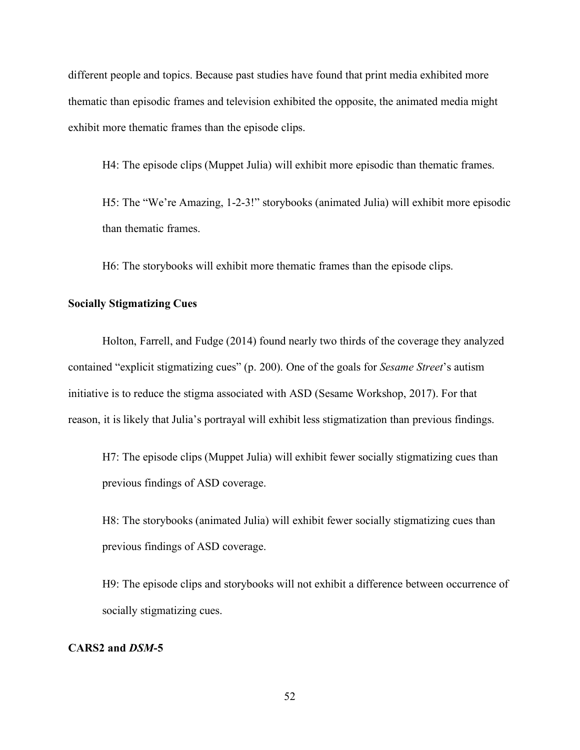different people and topics. Because past studies have found that print media exhibited more thematic than episodic frames and television exhibited the opposite, the animated media might exhibit more thematic frames than the episode clips.

H4: The episode clips (Muppet Julia) will exhibit more episodic than thematic frames.

H5: The "We're Amazing, 1-2-3!" storybooks (animated Julia) will exhibit more episodic than thematic frames.

H6: The storybooks will exhibit more thematic frames than the episode clips.

## **Socially Stigmatizing Cues**

Holton, Farrell, and Fudge (2014) found nearly two thirds of the coverage they analyzed contained "explicit stigmatizing cues" (p. 200). One of the goals for *Sesame Street*'s autism initiative is to reduce the stigma associated with ASD (Sesame Workshop, 2017). For that reason, it is likely that Julia's portrayal will exhibit less stigmatization than previous findings.

H7: The episode clips (Muppet Julia) will exhibit fewer socially stigmatizing cues than previous findings of ASD coverage.

H8: The storybooks (animated Julia) will exhibit fewer socially stigmatizing cues than previous findings of ASD coverage.

H9: The episode clips and storybooks will not exhibit a difference between occurrence of socially stigmatizing cues.

## **CARS2 and** *DSM***-5**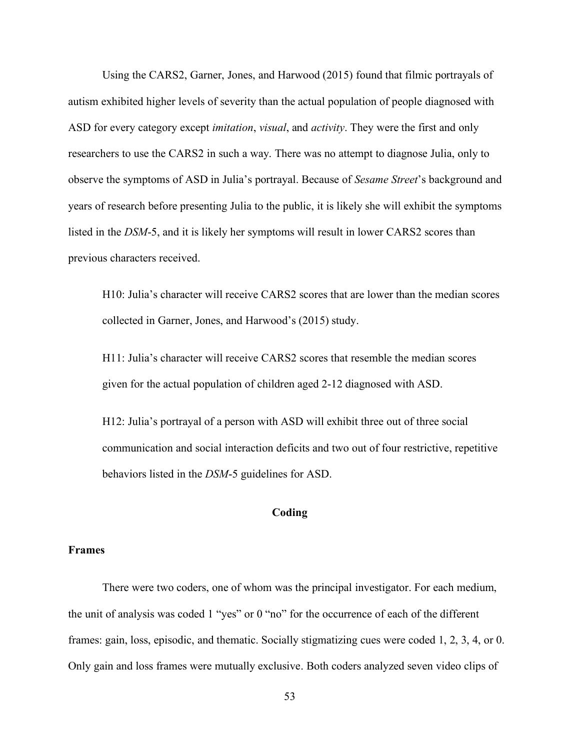Using the CARS2, Garner, Jones, and Harwood (2015) found that filmic portrayals of autism exhibited higher levels of severity than the actual population of people diagnosed with ASD for every category except *imitation*, *visual*, and *activity*. They were the first and only researchers to use the CARS2 in such a way. There was no attempt to diagnose Julia, only to observe the symptoms of ASD in Julia's portrayal. Because of *Sesame Street*'s background and years of research before presenting Julia to the public, it is likely she will exhibit the symptoms listed in the *DSM*-5, and it is likely her symptoms will result in lower CARS2 scores than previous characters received.

H10: Julia's character will receive CARS2 scores that are lower than the median scores collected in Garner, Jones, and Harwood's (2015) study.

H11: Julia's character will receive CARS2 scores that resemble the median scores given for the actual population of children aged 2-12 diagnosed with ASD.

H12: Julia's portrayal of a person with ASD will exhibit three out of three social communication and social interaction deficits and two out of four restrictive, repetitive behaviors listed in the *DSM*-5 guidelines for ASD.

## **Coding**

#### **Frames**

There were two coders, one of whom was the principal investigator. For each medium, the unit of analysis was coded 1 "yes" or 0 "no" for the occurrence of each of the different frames: gain, loss, episodic, and thematic. Socially stigmatizing cues were coded 1, 2, 3, 4, or 0. Only gain and loss frames were mutually exclusive. Both coders analyzed seven video clips of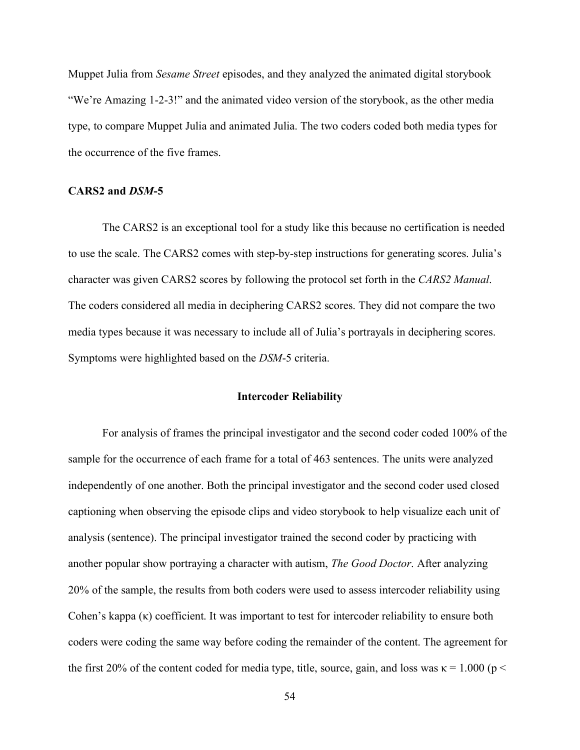Muppet Julia from *Sesame Street* episodes, and they analyzed the animated digital storybook "We're Amazing 1-2-3!" and the animated video version of the storybook, as the other media type, to compare Muppet Julia and animated Julia. The two coders coded both media types for the occurrence of the five frames.

### **CARS2 and** *DSM***-5**

The CARS2 is an exceptional tool for a study like this because no certification is needed to use the scale. The CARS2 comes with step-by-step instructions for generating scores. Julia's character was given CARS2 scores by following the protocol set forth in the *CARS2 Manual*. The coders considered all media in deciphering CARS2 scores. They did not compare the two media types because it was necessary to include all of Julia's portrayals in deciphering scores. Symptoms were highlighted based on the *DSM*-5 criteria.

### **Intercoder Reliability**

For analysis of frames the principal investigator and the second coder coded 100% of the sample for the occurrence of each frame for a total of 463 sentences. The units were analyzed independently of one another. Both the principal investigator and the second coder used closed captioning when observing the episode clips and video storybook to help visualize each unit of analysis (sentence). The principal investigator trained the second coder by practicing with another popular show portraying a character with autism, *The Good Doctor*. After analyzing 20% of the sample, the results from both coders were used to assess intercoder reliability using Cohen's kappa (κ) coefficient. It was important to test for intercoder reliability to ensure both coders were coding the same way before coding the remainder of the content. The agreement for the first 20% of the content coded for media type, title, source, gain, and loss was  $\kappa = 1.000$  (p <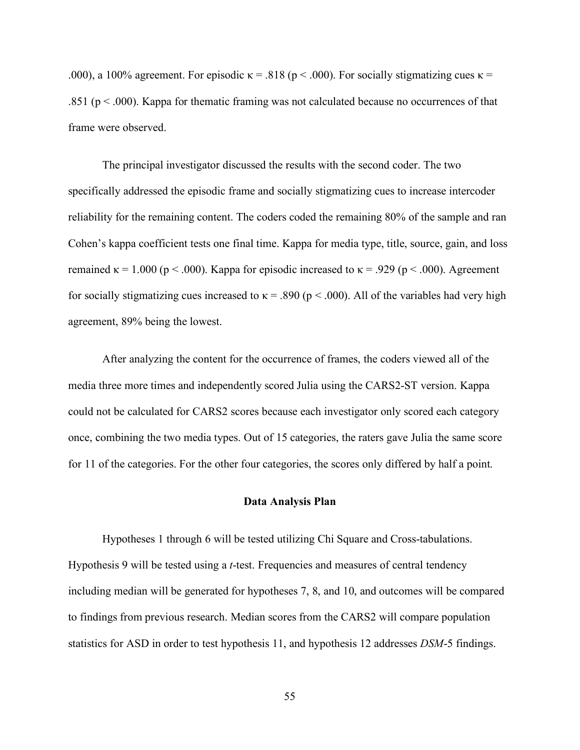.000), a 100% agreement. For episodic  $\kappa = .818$  (p < .000). For socially stigmatizing cues  $\kappa =$ .851 ( $p < .000$ ). Kappa for thematic framing was not calculated because no occurrences of that frame were observed.

The principal investigator discussed the results with the second coder. The two specifically addressed the episodic frame and socially stigmatizing cues to increase intercoder reliability for the remaining content. The coders coded the remaining 80% of the sample and ran Cohen's kappa coefficient tests one final time. Kappa for media type, title, source, gain, and loss remained  $\kappa = 1.000$  ( $p < .000$ ). Kappa for episodic increased to  $\kappa = .929$  ( $p < .000$ ). Agreement for socially stigmatizing cues increased to  $\kappa$  = .890 (p < .000). All of the variables had very high agreement, 89% being the lowest.

After analyzing the content for the occurrence of frames, the coders viewed all of the media three more times and independently scored Julia using the CARS2-ST version. Kappa could not be calculated for CARS2 scores because each investigator only scored each category once, combining the two media types. Out of 15 categories, the raters gave Julia the same score for 11 of the categories. For the other four categories, the scores only differed by half a point.

#### **Data Analysis Plan**

Hypotheses 1 through 6 will be tested utilizing Chi Square and Cross-tabulations. Hypothesis 9 will be tested using a *t*-test. Frequencies and measures of central tendency including median will be generated for hypotheses 7, 8, and 10, and outcomes will be compared to findings from previous research. Median scores from the CARS2 will compare population statistics for ASD in order to test hypothesis 11, and hypothesis 12 addresses *DSM*-5 findings.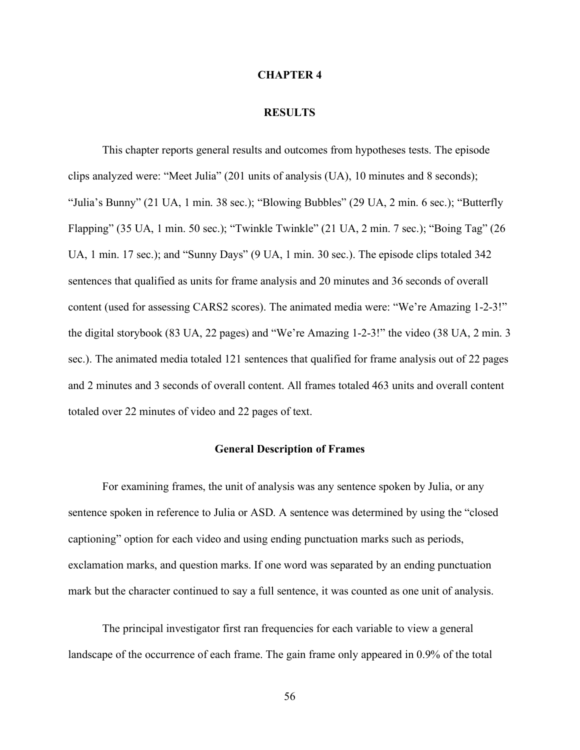#### **CHAPTER 4**

#### **RESULTS**

This chapter reports general results and outcomes from hypotheses tests. The episode clips analyzed were: "Meet Julia" (201 units of analysis (UA), 10 minutes and 8 seconds); "Julia's Bunny" (21 UA, 1 min. 38 sec.); "Blowing Bubbles" (29 UA, 2 min. 6 sec.); "Butterfly Flapping" (35 UA, 1 min. 50 sec.); "Twinkle Twinkle" (21 UA, 2 min. 7 sec.); "Boing Tag" (26 UA, 1 min. 17 sec.); and "Sunny Days" (9 UA, 1 min. 30 sec.). The episode clips totaled 342 sentences that qualified as units for frame analysis and 20 minutes and 36 seconds of overall content (used for assessing CARS2 scores). The animated media were: "We're Amazing 1-2-3!" the digital storybook (83 UA, 22 pages) and "We're Amazing 1-2-3!" the video (38 UA, 2 min. 3 sec.). The animated media totaled 121 sentences that qualified for frame analysis out of 22 pages and 2 minutes and 3 seconds of overall content. All frames totaled 463 units and overall content totaled over 22 minutes of video and 22 pages of text.

### **General Description of Frames**

For examining frames, the unit of analysis was any sentence spoken by Julia, or any sentence spoken in reference to Julia or ASD. A sentence was determined by using the "closed captioning" option for each video and using ending punctuation marks such as periods, exclamation marks, and question marks. If one word was separated by an ending punctuation mark but the character continued to say a full sentence, it was counted as one unit of analysis.

The principal investigator first ran frequencies for each variable to view a general landscape of the occurrence of each frame. The gain frame only appeared in 0.9% of the total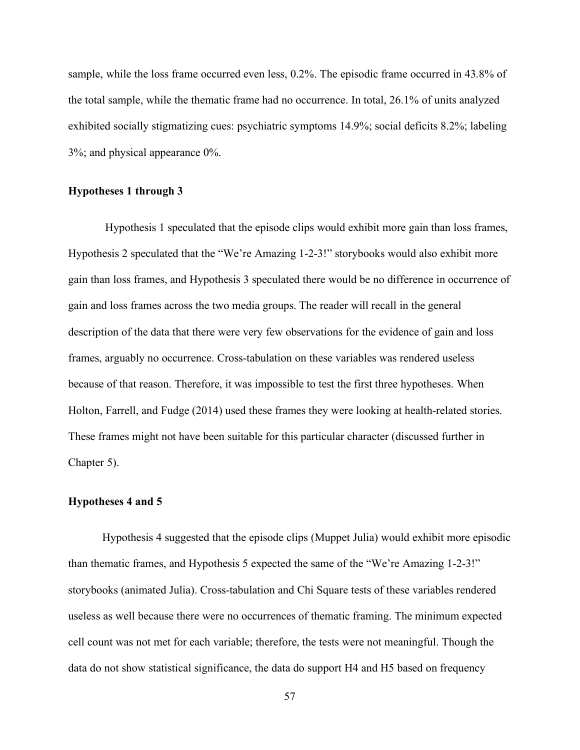sample, while the loss frame occurred even less, 0.2%. The episodic frame occurred in 43.8% of the total sample, while the thematic frame had no occurrence. In total, 26.1% of units analyzed exhibited socially stigmatizing cues: psychiatric symptoms 14.9%; social deficits 8.2%; labeling 3%; and physical appearance 0%.

## **Hypotheses 1 through 3**

Hypothesis 1 speculated that the episode clips would exhibit more gain than loss frames, Hypothesis 2 speculated that the "We're Amazing 1-2-3!" storybooks would also exhibit more gain than loss frames, and Hypothesis 3 speculated there would be no difference in occurrence of gain and loss frames across the two media groups. The reader will recall in the general description of the data that there were very few observations for the evidence of gain and loss frames, arguably no occurrence. Cross-tabulation on these variables was rendered useless because of that reason. Therefore, it was impossible to test the first three hypotheses. When Holton, Farrell, and Fudge (2014) used these frames they were looking at health-related stories. These frames might not have been suitable for this particular character (discussed further in Chapter 5).

### **Hypotheses 4 and 5**

Hypothesis 4 suggested that the episode clips (Muppet Julia) would exhibit more episodic than thematic frames, and Hypothesis 5 expected the same of the "We're Amazing 1-2-3!" storybooks (animated Julia). Cross-tabulation and Chi Square tests of these variables rendered useless as well because there were no occurrences of thematic framing. The minimum expected cell count was not met for each variable; therefore, the tests were not meaningful. Though the data do not show statistical significance, the data do support H4 and H5 based on frequency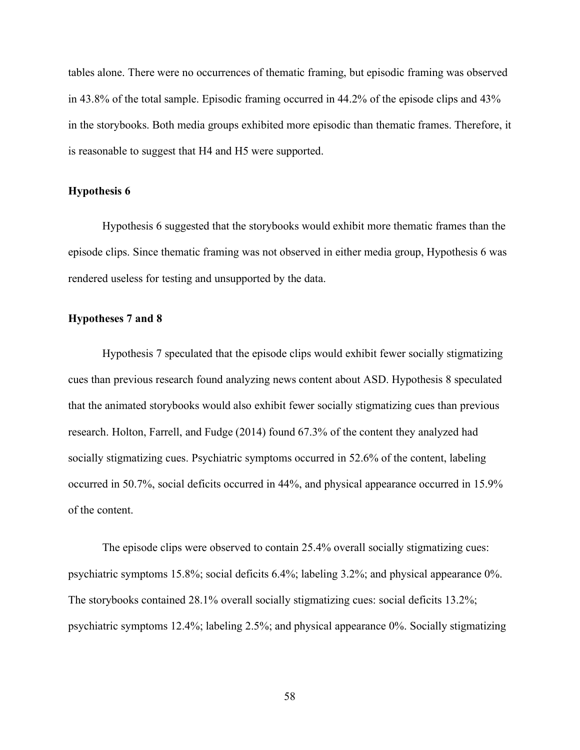tables alone. There were no occurrences of thematic framing, but episodic framing was observed in 43.8% of the total sample. Episodic framing occurred in 44.2% of the episode clips and 43% in the storybooks. Both media groups exhibited more episodic than thematic frames. Therefore, it is reasonable to suggest that H4 and H5 were supported.

### **Hypothesis 6**

Hypothesis 6 suggested that the storybooks would exhibit more thematic frames than the episode clips. Since thematic framing was not observed in either media group, Hypothesis 6 was rendered useless for testing and unsupported by the data.

## **Hypotheses 7 and 8**

Hypothesis 7 speculated that the episode clips would exhibit fewer socially stigmatizing cues than previous research found analyzing news content about ASD. Hypothesis 8 speculated that the animated storybooks would also exhibit fewer socially stigmatizing cues than previous research. Holton, Farrell, and Fudge (2014) found 67.3% of the content they analyzed had socially stigmatizing cues. Psychiatric symptoms occurred in 52.6% of the content, labeling occurred in 50.7%, social deficits occurred in 44%, and physical appearance occurred in 15.9% of the content.

The episode clips were observed to contain 25.4% overall socially stigmatizing cues: psychiatric symptoms 15.8%; social deficits 6.4%; labeling 3.2%; and physical appearance 0%. The storybooks contained 28.1% overall socially stigmatizing cues: social deficits 13.2%; psychiatric symptoms 12.4%; labeling 2.5%; and physical appearance 0%. Socially stigmatizing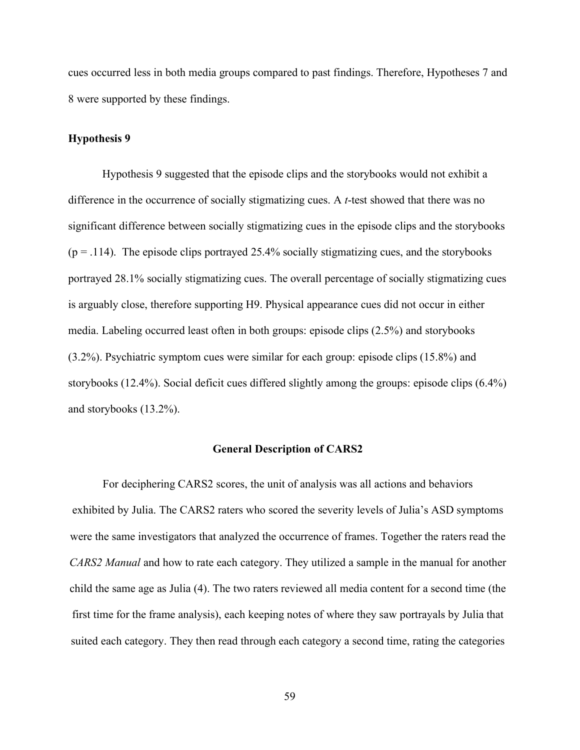cues occurred less in both media groups compared to past findings. Therefore, Hypotheses 7 and 8 were supported by these findings.

### **Hypothesis 9**

Hypothesis 9 suggested that the episode clips and the storybooks would not exhibit a difference in the occurrence of socially stigmatizing cues. A *t*-test showed that there was no significant difference between socially stigmatizing cues in the episode clips and the storybooks  $(p = .114)$ . The episode clips portrayed 25.4% socially stigmatizing cues, and the storybooks portrayed 28.1% socially stigmatizing cues. The overall percentage of socially stigmatizing cues is arguably close, therefore supporting H9. Physical appearance cues did not occur in either media. Labeling occurred least often in both groups: episode clips (2.5%) and storybooks (3.2%). Psychiatric symptom cues were similar for each group: episode clips (15.8%) and storybooks (12.4%). Social deficit cues differed slightly among the groups: episode clips (6.4%) and storybooks (13.2%).

### **General Description of CARS2**

For deciphering CARS2 scores, the unit of analysis was all actions and behaviors exhibited by Julia. The CARS2 raters who scored the severity levels of Julia's ASD symptoms were the same investigators that analyzed the occurrence of frames. Together the raters read the *CARS2 Manual* and how to rate each category. They utilized a sample in the manual for another child the same age as Julia (4). The two raters reviewed all media content for a second time (the first time for the frame analysis), each keeping notes of where they saw portrayals by Julia that suited each category. They then read through each category a second time, rating the categories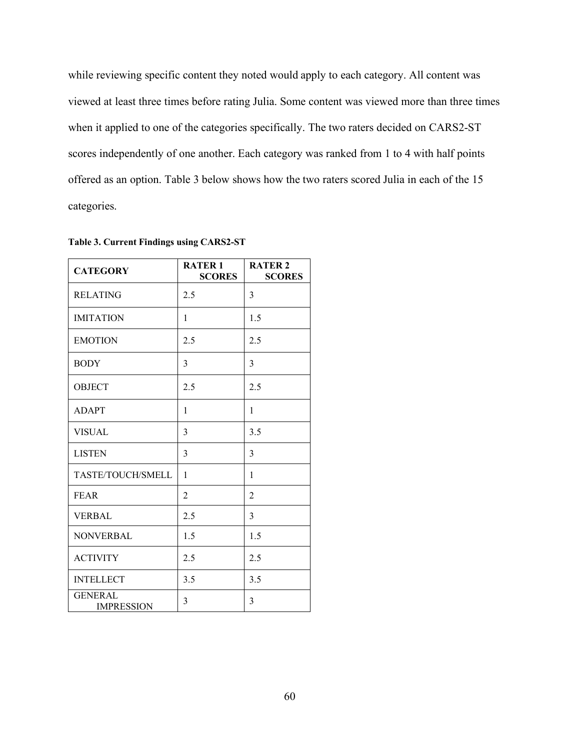while reviewing specific content they noted would apply to each category. All content was viewed at least three times before rating Julia. Some content was viewed more than three times when it applied to one of the categories specifically. The two raters decided on CARS2-ST scores independently of one another. Each category was ranked from 1 to 4 with half points offered as an option. Table 3 below shows how the two raters scored Julia in each of the 15 categories.

| <b>CATEGORY</b>                     | <b>RATER 1</b><br><b>SCORES</b> | <b>RATER 2</b><br><b>SCORES</b> |
|-------------------------------------|---------------------------------|---------------------------------|
| <b>RELATING</b>                     | 2.5                             | 3                               |
| <b>IMITATION</b>                    | $\mathbf{1}$                    | 1.5                             |
| <b>EMOTION</b>                      | 2.5                             | 2.5                             |
| <b>BODY</b>                         | 3                               | 3                               |
| <b>OBJECT</b>                       | 2.5                             | 2.5                             |
| <b>ADAPT</b>                        | $\mathbf{1}$                    | 1                               |
| <b>VISUAL</b>                       | 3                               | 3.5                             |
| <b>LISTEN</b>                       | 3                               | 3                               |
| TASTE/TOUCH/SMELL                   | 1                               | $\mathbf{1}$                    |
| <b>FEAR</b>                         | $\overline{2}$                  | $\overline{2}$                  |
| <b>VERBAL</b>                       | 2.5                             | 3                               |
| <b>NONVERBAL</b>                    | 1.5                             | 1.5                             |
| <b>ACTIVITY</b>                     | 2.5                             | 2.5                             |
| <b>INTELLECT</b>                    | 3.5                             | 3.5                             |
| <b>GENERAL</b><br><b>IMPRESSION</b> | 3                               | 3                               |

**Table 3. Current Findings using CARS2-ST**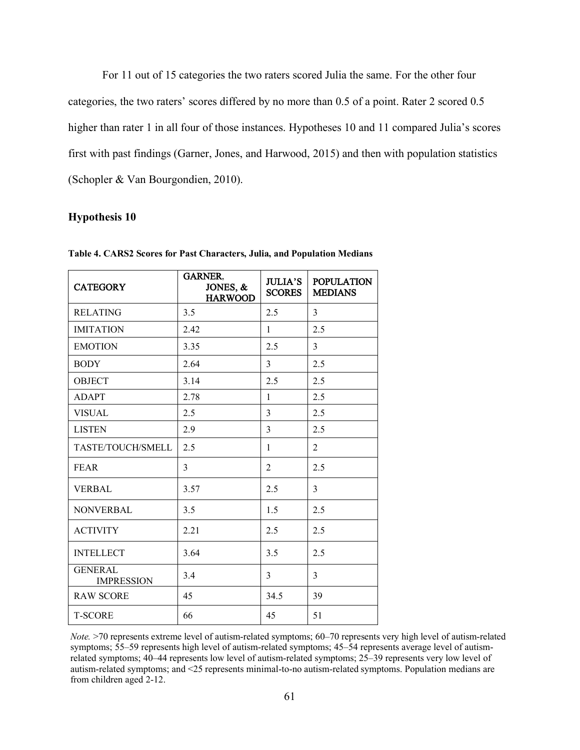For 11 out of 15 categories the two raters scored Julia the same. For the other four categories, the two raters' scores differed by no more than 0.5 of a point. Rater 2 scored 0.5 higher than rater 1 in all four of those instances. Hypotheses 10 and 11 compared Julia's scores first with past findings (Garner, Jones, and Harwood, 2015) and then with population statistics (Schopler & Van Bourgondien, 2010).

#### **Hypothesis 10**

| <b>CATEGORY</b>                     | <b>GARNER</b><br>JONES, &<br><b>HARWOOD</b> | <b>JULIA'S</b><br><b>SCORES</b> | <b>POPULATION</b><br><b>MEDIANS</b> |
|-------------------------------------|---------------------------------------------|---------------------------------|-------------------------------------|
| <b>RELATING</b>                     | 3.5                                         | 2.5                             | $\overline{3}$                      |
| <b>IMITATION</b>                    | 2.42                                        | $\mathbf{1}$                    | 2.5                                 |
| <b>EMOTION</b>                      | 3.35                                        | 2.5                             | 3                                   |
| <b>BODY</b>                         | 2.64                                        | 3                               | 2.5                                 |
| <b>OBJECT</b>                       | 3.14                                        | 2.5                             | 2.5                                 |
| <b>ADAPT</b>                        | 2.78                                        | $\mathbf{1}$                    | 2.5                                 |
| <b>VISUAL</b>                       | 2.5                                         | $\overline{3}$                  | 2.5                                 |
| <b>LISTEN</b>                       | 2.9                                         | $\overline{3}$                  | 2.5                                 |
| TASTE/TOUCH/SMELL                   | 2.5                                         | $\mathbf{1}$                    | $\overline{2}$                      |
| <b>FEAR</b>                         | 3                                           | $\overline{2}$                  | 2.5                                 |
| <b>VERBAL</b>                       | 3.57                                        | 2.5                             | 3                                   |
| <b>NONVERBAL</b>                    | 3.5                                         | 1.5                             | 2.5                                 |
| <b>ACTIVITY</b>                     | 2.21                                        | 2.5                             | 2.5                                 |
| <b>INTELLECT</b>                    | 3.64                                        | 3.5                             | 2.5                                 |
| <b>GENERAL</b><br><b>IMPRESSION</b> | 3.4                                         | 3                               | 3                                   |
| <b>RAW SCORE</b>                    | 45                                          | 34.5                            | 39                                  |
| <b>T-SCORE</b>                      | 66                                          | 45                              | 51                                  |

**Table 4. CARS2 Scores for Past Characters, Julia, and Population Medians** 

*Note.* >70 represents extreme level of autism-related symptoms; 60–70 represents very high level of autism-related symptoms; 55–59 represents high level of autism-related symptoms; 45–54 represents average level of autismrelated symptoms; 40–44 represents low level of autism-related symptoms; 25–39 represents very low level of autism-related symptoms; and <25 represents minimal-to-no autism-related symptoms. Population medians are from children aged 2-12.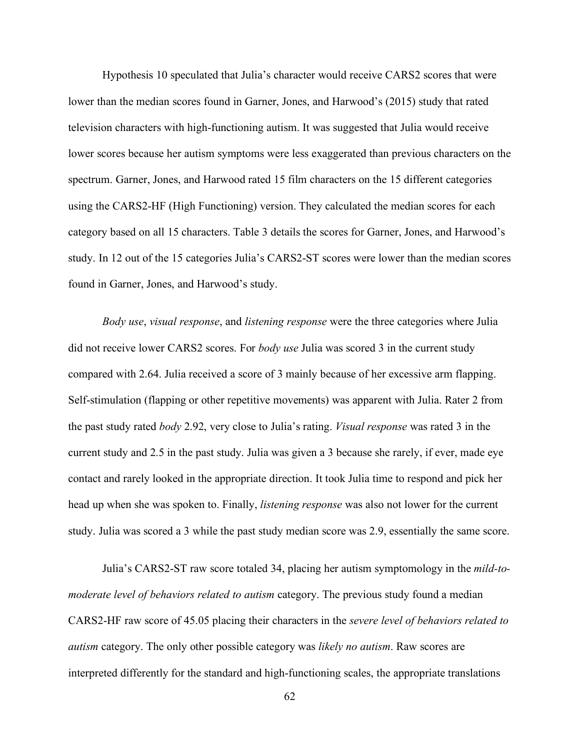Hypothesis 10 speculated that Julia's character would receive CARS2 scores that were lower than the median scores found in Garner, Jones, and Harwood's (2015) study that rated television characters with high-functioning autism. It was suggested that Julia would receive lower scores because her autism symptoms were less exaggerated than previous characters on the spectrum. Garner, Jones, and Harwood rated 15 film characters on the 15 different categories using the CARS2-HF (High Functioning) version. They calculated the median scores for each category based on all 15 characters. Table 3 details the scores for Garner, Jones, and Harwood's study. In 12 out of the 15 categories Julia's CARS2-ST scores were lower than the median scores found in Garner, Jones, and Harwood's study.

*Body use*, *visual response*, and *listening response* were the three categories where Julia did not receive lower CARS2 scores. For *body use* Julia was scored 3 in the current study compared with 2.64. Julia received a score of 3 mainly because of her excessive arm flapping. Self-stimulation (flapping or other repetitive movements) was apparent with Julia. Rater 2 from the past study rated *body* 2.92, very close to Julia's rating. *Visual response* was rated 3 in the current study and 2.5 in the past study. Julia was given a 3 because she rarely, if ever, made eye contact and rarely looked in the appropriate direction. It took Julia time to respond and pick her head up when she was spoken to. Finally, *listening response* was also not lower for the current study. Julia was scored a 3 while the past study median score was 2.9, essentially the same score.

Julia's CARS2-ST raw score totaled 34, placing her autism symptomology in the *mild-tomoderate level of behaviors related to autism* category. The previous study found a median CARS2-HF raw score of 45.05 placing their characters in the *severe level of behaviors related to autism* category. The only other possible category was *likely no autism*. Raw scores are interpreted differently for the standard and high-functioning scales, the appropriate translations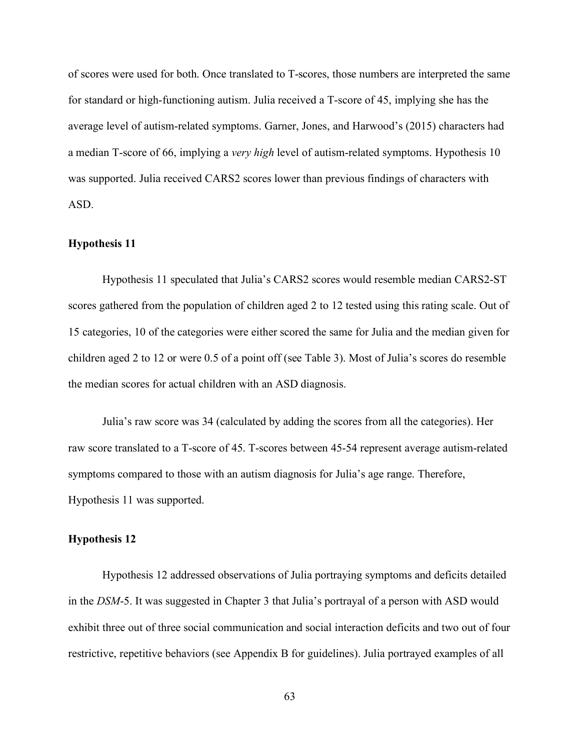of scores were used for both. Once translated to T-scores, those numbers are interpreted the same for standard or high-functioning autism. Julia received a T-score of 45, implying she has the average level of autism-related symptoms. Garner, Jones, and Harwood's (2015) characters had a median T-score of 66, implying a *very high* level of autism-related symptoms. Hypothesis 10 was supported. Julia received CARS2 scores lower than previous findings of characters with ASD.

## **Hypothesis 11**

Hypothesis 11 speculated that Julia's CARS2 scores would resemble median CARS2-ST scores gathered from the population of children aged 2 to 12 tested using this rating scale. Out of 15 categories, 10 of the categories were either scored the same for Julia and the median given for children aged 2 to 12 or were 0.5 of a point off (see Table 3). Most of Julia's scores do resemble the median scores for actual children with an ASD diagnosis.

Julia's raw score was 34 (calculated by adding the scores from all the categories). Her raw score translated to a T-score of 45. T-scores between 45-54 represent average autism-related symptoms compared to those with an autism diagnosis for Julia's age range. Therefore, Hypothesis 11 was supported.

## **Hypothesis 12**

Hypothesis 12 addressed observations of Julia portraying symptoms and deficits detailed in the *DSM*-5. It was suggested in Chapter 3 that Julia's portrayal of a person with ASD would exhibit three out of three social communication and social interaction deficits and two out of four restrictive, repetitive behaviors (see Appendix B for guidelines). Julia portrayed examples of all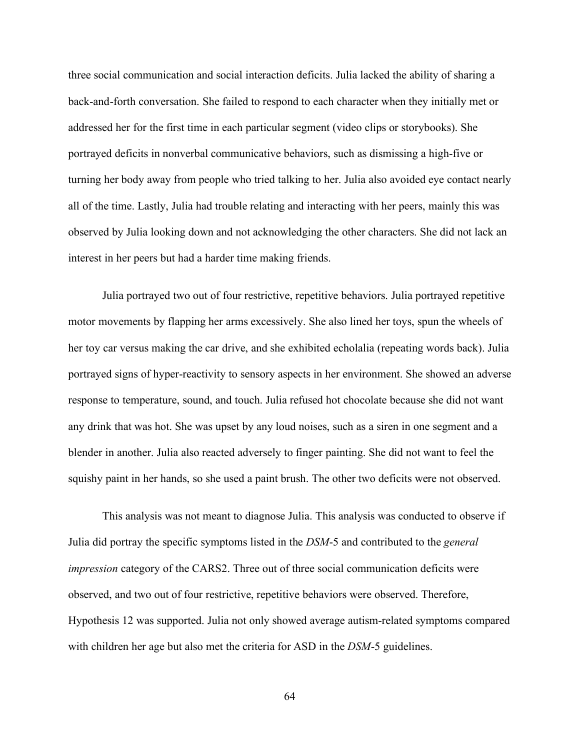three social communication and social interaction deficits. Julia lacked the ability of sharing a back-and-forth conversation. She failed to respond to each character when they initially met or addressed her for the first time in each particular segment (video clips or storybooks). She portrayed deficits in nonverbal communicative behaviors, such as dismissing a high-five or turning her body away from people who tried talking to her. Julia also avoided eye contact nearly all of the time. Lastly, Julia had trouble relating and interacting with her peers, mainly this was observed by Julia looking down and not acknowledging the other characters. She did not lack an interest in her peers but had a harder time making friends.

Julia portrayed two out of four restrictive, repetitive behaviors. Julia portrayed repetitive motor movements by flapping her arms excessively. She also lined her toys, spun the wheels of her toy car versus making the car drive, and she exhibited echolalia (repeating words back). Julia portrayed signs of hyper-reactivity to sensory aspects in her environment. She showed an adverse response to temperature, sound, and touch. Julia refused hot chocolate because she did not want any drink that was hot. She was upset by any loud noises, such as a siren in one segment and a blender in another. Julia also reacted adversely to finger painting. She did not want to feel the squishy paint in her hands, so she used a paint brush. The other two deficits were not observed.

This analysis was not meant to diagnose Julia. This analysis was conducted to observe if Julia did portray the specific symptoms listed in the *DSM*-5 and contributed to the *general impression* category of the CARS2. Three out of three social communication deficits were observed, and two out of four restrictive, repetitive behaviors were observed. Therefore, Hypothesis 12 was supported. Julia not only showed average autism-related symptoms compared with children her age but also met the criteria for ASD in the *DSM*-5 guidelines.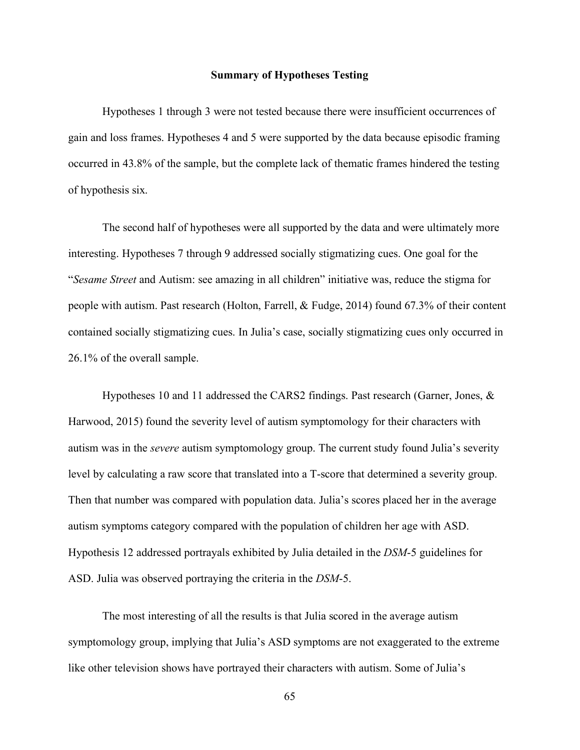## **Summary of Hypotheses Testing**

Hypotheses 1 through 3 were not tested because there were insufficient occurrences of gain and loss frames. Hypotheses 4 and 5 were supported by the data because episodic framing occurred in 43.8% of the sample, but the complete lack of thematic frames hindered the testing of hypothesis six.

The second half of hypotheses were all supported by the data and were ultimately more interesting. Hypotheses 7 through 9 addressed socially stigmatizing cues. One goal for the "*Sesame Street* and Autism: see amazing in all children" initiative was, reduce the stigma for people with autism. Past research (Holton, Farrell, & Fudge, 2014) found 67.3% of their content contained socially stigmatizing cues. In Julia's case, socially stigmatizing cues only occurred in 26.1% of the overall sample.

Hypotheses 10 and 11 addressed the CARS2 findings. Past research (Garner, Jones, & Harwood, 2015) found the severity level of autism symptomology for their characters with autism was in the *severe* autism symptomology group. The current study found Julia's severity level by calculating a raw score that translated into a T-score that determined a severity group. Then that number was compared with population data. Julia's scores placed her in the average autism symptoms category compared with the population of children her age with ASD. Hypothesis 12 addressed portrayals exhibited by Julia detailed in the *DSM*-5 guidelines for ASD. Julia was observed portraying the criteria in the *DSM*-5.

The most interesting of all the results is that Julia scored in the average autism symptomology group, implying that Julia's ASD symptoms are not exaggerated to the extreme like other television shows have portrayed their characters with autism. Some of Julia's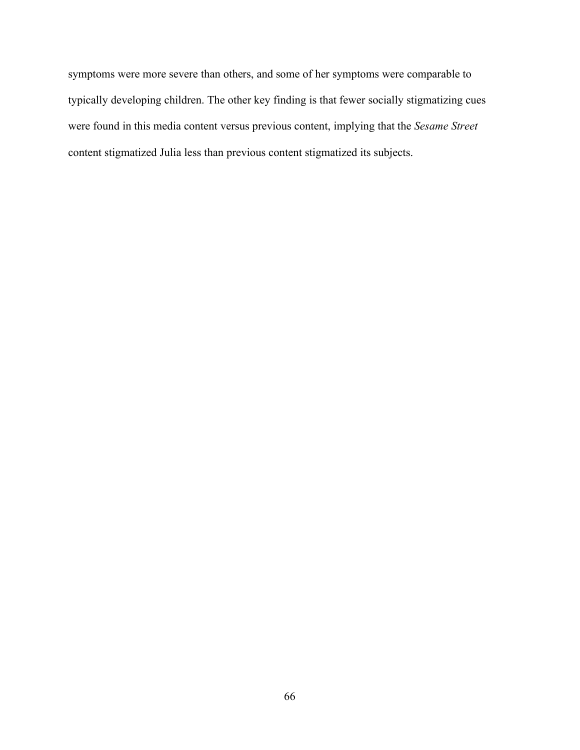symptoms were more severe than others, and some of her symptoms were comparable to typically developing children. The other key finding is that fewer socially stigmatizing cues were found in this media content versus previous content, implying that the *Sesame Street* content stigmatized Julia less than previous content stigmatized its subjects.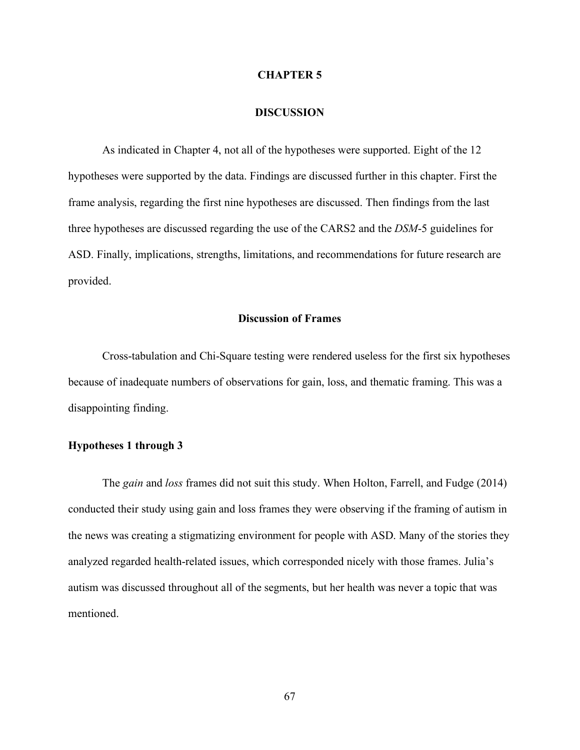### **CHAPTER 5**

#### **DISCUSSION**

As indicated in Chapter 4, not all of the hypotheses were supported. Eight of the 12 hypotheses were supported by the data. Findings are discussed further in this chapter. First the frame analysis, regarding the first nine hypotheses are discussed. Then findings from the last three hypotheses are discussed regarding the use of the CARS2 and the *DSM*-5 guidelines for ASD. Finally, implications, strengths, limitations, and recommendations for future research are provided.

## **Discussion of Frames**

Cross-tabulation and Chi-Square testing were rendered useless for the first six hypotheses because of inadequate numbers of observations for gain, loss, and thematic framing. This was a disappointing finding.

## **Hypotheses 1 through 3**

The *gain* and *loss* frames did not suit this study. When Holton, Farrell, and Fudge (2014) conducted their study using gain and loss frames they were observing if the framing of autism in the news was creating a stigmatizing environment for people with ASD. Many of the stories they analyzed regarded health-related issues, which corresponded nicely with those frames. Julia's autism was discussed throughout all of the segments, but her health was never a topic that was mentioned.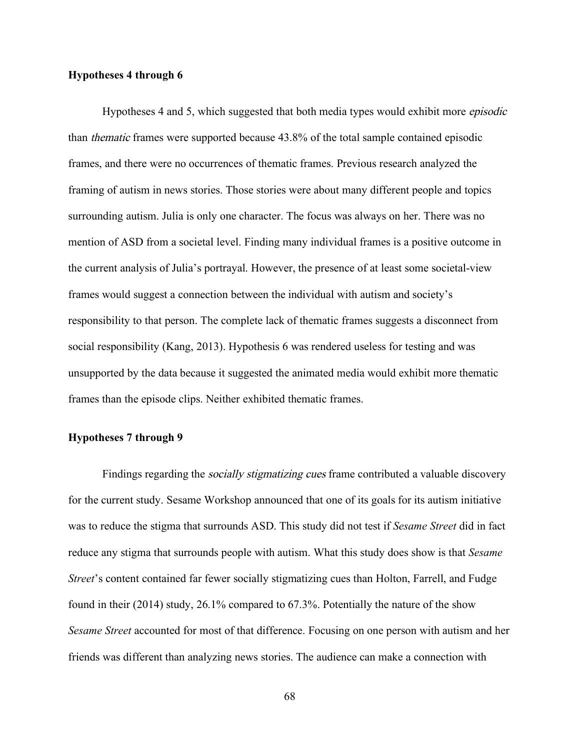## **Hypotheses 4 through 6**

Hypotheses 4 and 5, which suggested that both media types would exhibit more episodic than thematic frames were supported because 43.8% of the total sample contained episodic frames, and there were no occurrences of thematic frames. Previous research analyzed the framing of autism in news stories. Those stories were about many different people and topics surrounding autism. Julia is only one character. The focus was always on her. There was no mention of ASD from a societal level. Finding many individual frames is a positive outcome in the current analysis of Julia's portrayal. However, the presence of at least some societal-view frames would suggest a connection between the individual with autism and society's responsibility to that person. The complete lack of thematic frames suggests a disconnect from social responsibility (Kang, 2013). Hypothesis 6 was rendered useless for testing and was unsupported by the data because it suggested the animated media would exhibit more thematic frames than the episode clips. Neither exhibited thematic frames.

## **Hypotheses 7 through 9**

Findings regarding the *socially stigmatizing cues* frame contributed a valuable discovery for the current study. Sesame Workshop announced that one of its goals for its autism initiative was to reduce the stigma that surrounds ASD. This study did not test if *Sesame Street* did in fact reduce any stigma that surrounds people with autism. What this study does show is that *Sesame Street*'s content contained far fewer socially stigmatizing cues than Holton, Farrell, and Fudge found in their (2014) study, 26.1% compared to 67.3%. Potentially the nature of the show *Sesame Street* accounted for most of that difference. Focusing on one person with autism and her friends was different than analyzing news stories. The audience can make a connection with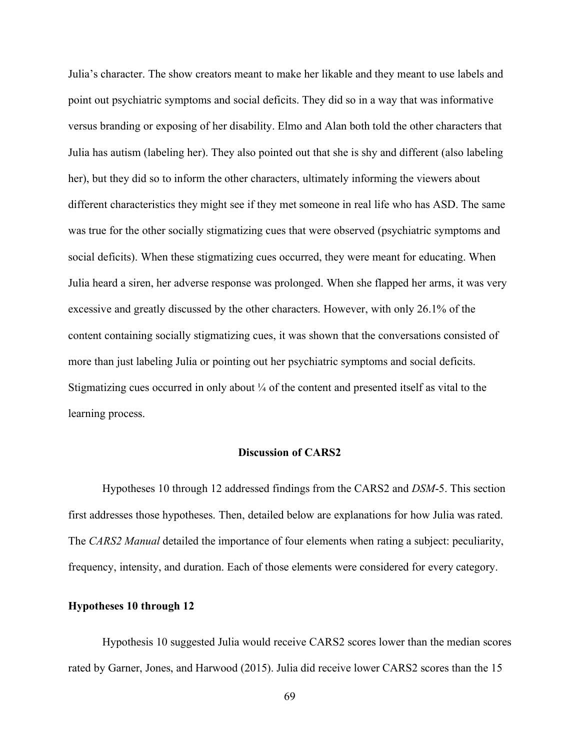Julia's character. The show creators meant to make her likable and they meant to use labels and point out psychiatric symptoms and social deficits. They did so in a way that was informative versus branding or exposing of her disability. Elmo and Alan both told the other characters that Julia has autism (labeling her). They also pointed out that she is shy and different (also labeling her), but they did so to inform the other characters, ultimately informing the viewers about different characteristics they might see if they met someone in real life who has ASD. The same was true for the other socially stigmatizing cues that were observed (psychiatric symptoms and social deficits). When these stigmatizing cues occurred, they were meant for educating. When Julia heard a siren, her adverse response was prolonged. When she flapped her arms, it was very excessive and greatly discussed by the other characters. However, with only 26.1% of the content containing socially stigmatizing cues, it was shown that the conversations consisted of more than just labeling Julia or pointing out her psychiatric symptoms and social deficits. Stigmatizing cues occurred in only about  $\frac{1}{4}$  of the content and presented itself as vital to the learning process.

## **Discussion of CARS2**

Hypotheses 10 through 12 addressed findings from the CARS2 and *DSM*-5. This section first addresses those hypotheses. Then, detailed below are explanations for how Julia was rated. The *CARS2 Manual* detailed the importance of four elements when rating a subject: peculiarity, frequency, intensity, and duration. Each of those elements were considered for every category.

### **Hypotheses 10 through 12**

Hypothesis 10 suggested Julia would receive CARS2 scores lower than the median scores rated by Garner, Jones, and Harwood (2015). Julia did receive lower CARS2 scores than the 15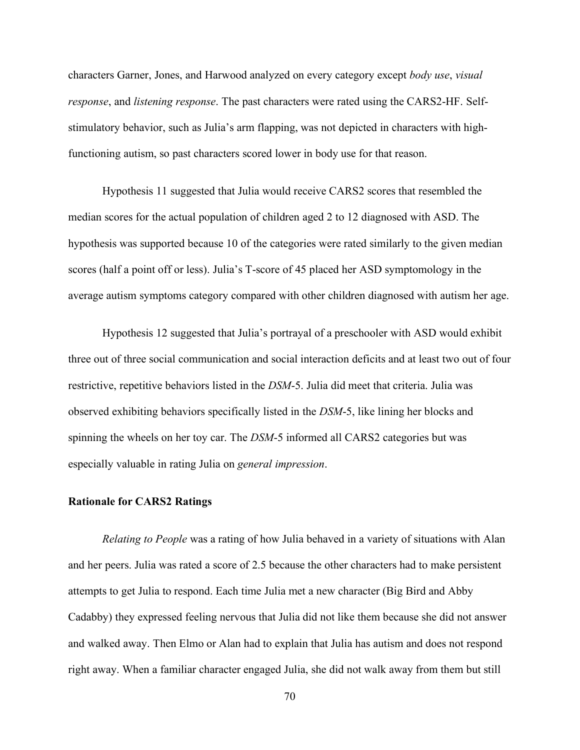characters Garner, Jones, and Harwood analyzed on every category except *body use*, *visual response*, and *listening response*. The past characters were rated using the CARS2-HF. Selfstimulatory behavior, such as Julia's arm flapping, was not depicted in characters with highfunctioning autism, so past characters scored lower in body use for that reason.

Hypothesis 11 suggested that Julia would receive CARS2 scores that resembled the median scores for the actual population of children aged 2 to 12 diagnosed with ASD. The hypothesis was supported because 10 of the categories were rated similarly to the given median scores (half a point off or less). Julia's T-score of 45 placed her ASD symptomology in the average autism symptoms category compared with other children diagnosed with autism her age.

Hypothesis 12 suggested that Julia's portrayal of a preschooler with ASD would exhibit three out of three social communication and social interaction deficits and at least two out of four restrictive, repetitive behaviors listed in the *DSM*-5. Julia did meet that criteria. Julia was observed exhibiting behaviors specifically listed in the *DSM*-5, like lining her blocks and spinning the wheels on her toy car. The *DSM*-5 informed all CARS2 categories but was especially valuable in rating Julia on *general impression*.

## **Rationale for CARS2 Ratings**

*Relating to People* was a rating of how Julia behaved in a variety of situations with Alan and her peers. Julia was rated a score of 2.5 because the other characters had to make persistent attempts to get Julia to respond. Each time Julia met a new character (Big Bird and Abby Cadabby) they expressed feeling nervous that Julia did not like them because she did not answer and walked away. Then Elmo or Alan had to explain that Julia has autism and does not respond right away. When a familiar character engaged Julia, she did not walk away from them but still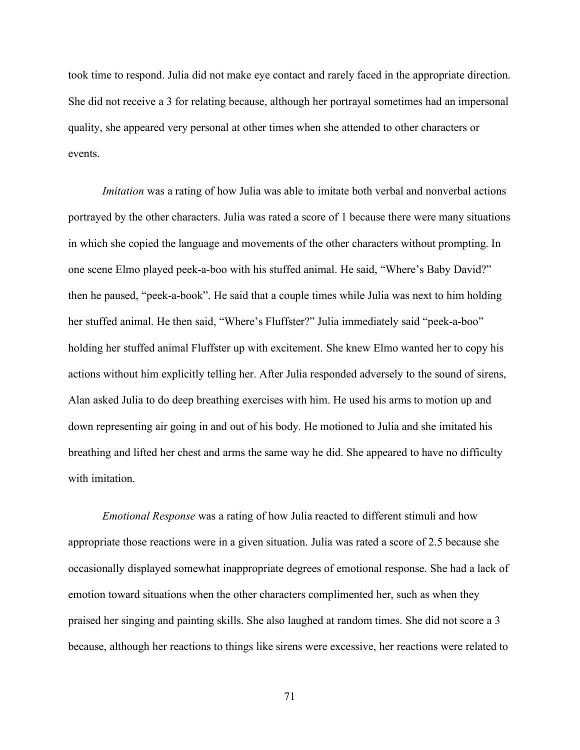took time to respond. Julia did not make eye contact and rarely faced in the appropriate direction. She did not receive a 3 for relating because, although her portrayal sometimes had an impersonal quality, she appeared very personal at other times when she attended to other characters or events.

*Imitation* was a rating of how Julia was able to imitate both verbal and nonverbal actions portrayed by the other characters. Julia was rated a score of 1 because there were many situations in which she copied the language and movements of the other characters without prompting. In one scene Elmo played peek-a-boo with his stuffed animal. He said, "Where's Baby David?" then he paused, "peek-a-book". He said that a couple times while Julia was next to him holding her stuffed animal. He then said, "Where's Fluffster?" Julia immediately said "peek-a-boo" holding her stuffed animal Fluffster up with excitement. She knew Elmo wanted her to copy his actions without him explicitly telling her. After Julia responded adversely to the sound of sirens, Alan asked Julia to do deep breathing exercises with him. He used his arms to motion up and down representing air going in and out of his body. He motioned to Julia and she imitated his breathing and lifted her chest and arms the same way he did. She appeared to have no difficulty with imitation

*Emotional Response* was a rating of how Julia reacted to different stimuli and how appropriate those reactions were in a given situation. Julia was rated a score of 2.5 because she occasionally displayed somewhat inappropriate degrees of emotional response. She had a lack of emotion toward situations when the other characters complimented her, such as when they praised her singing and painting skills. She also laughed at random times. She did not score a 3 because, although her reactions to things like sirens were excessive, her reactions were related to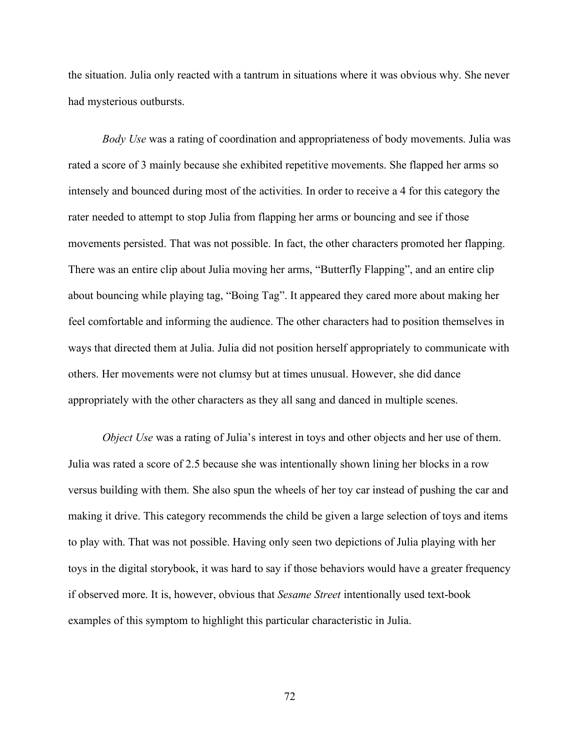the situation. Julia only reacted with a tantrum in situations where it was obvious why. She never had mysterious outbursts.

*Body Use* was a rating of coordination and appropriateness of body movements. Julia was rated a score of 3 mainly because she exhibited repetitive movements. She flapped her arms so intensely and bounced during most of the activities. In order to receive a 4 for this category the rater needed to attempt to stop Julia from flapping her arms or bouncing and see if those movements persisted. That was not possible. In fact, the other characters promoted her flapping. There was an entire clip about Julia moving her arms, "Butterfly Flapping", and an entire clip about bouncing while playing tag, "Boing Tag". It appeared they cared more about making her feel comfortable and informing the audience. The other characters had to position themselves in ways that directed them at Julia. Julia did not position herself appropriately to communicate with others. Her movements were not clumsy but at times unusual. However, she did dance appropriately with the other characters as they all sang and danced in multiple scenes.

*Object Use* was a rating of Julia's interest in toys and other objects and her use of them. Julia was rated a score of 2.5 because she was intentionally shown lining her blocks in a row versus building with them. She also spun the wheels of her toy car instead of pushing the car and making it drive. This category recommends the child be given a large selection of toys and items to play with. That was not possible. Having only seen two depictions of Julia playing with her toys in the digital storybook, it was hard to say if those behaviors would have a greater frequency if observed more. It is, however, obvious that *Sesame Street* intentionally used text-book examples of this symptom to highlight this particular characteristic in Julia.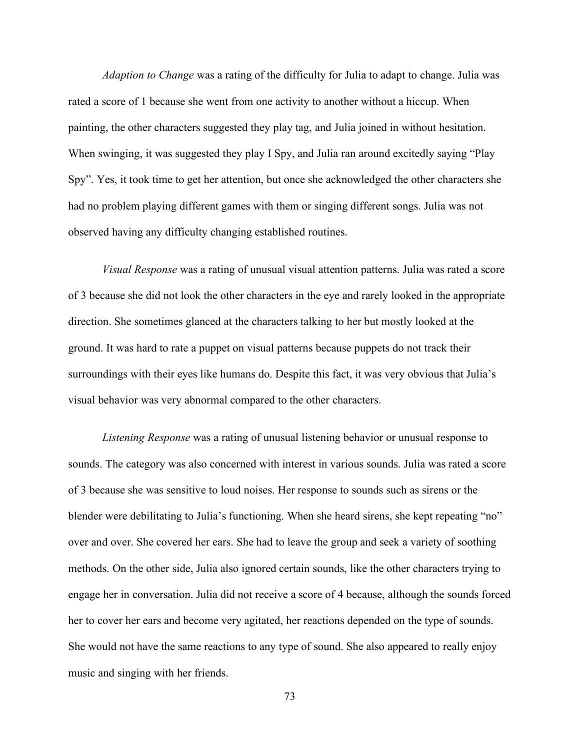*Adaption to Change* was a rating of the difficulty for Julia to adapt to change. Julia was rated a score of 1 because she went from one activity to another without a hiccup. When painting, the other characters suggested they play tag, and Julia joined in without hesitation. When swinging, it was suggested they play I Spy, and Julia ran around excitedly saying "Play" Spy". Yes, it took time to get her attention, but once she acknowledged the other characters she had no problem playing different games with them or singing different songs. Julia was not observed having any difficulty changing established routines.

*Visual Response* was a rating of unusual visual attention patterns. Julia was rated a score of 3 because she did not look the other characters in the eye and rarely looked in the appropriate direction. She sometimes glanced at the characters talking to her but mostly looked at the ground. It was hard to rate a puppet on visual patterns because puppets do not track their surroundings with their eyes like humans do. Despite this fact, it was very obvious that Julia's visual behavior was very abnormal compared to the other characters.

*Listening Response* was a rating of unusual listening behavior or unusual response to sounds. The category was also concerned with interest in various sounds. Julia was rated a score of 3 because she was sensitive to loud noises. Her response to sounds such as sirens or the blender were debilitating to Julia's functioning. When she heard sirens, she kept repeating "no" over and over. She covered her ears. She had to leave the group and seek a variety of soothing methods. On the other side, Julia also ignored certain sounds, like the other characters trying to engage her in conversation. Julia did not receive a score of 4 because, although the sounds forced her to cover her ears and become very agitated, her reactions depended on the type of sounds. She would not have the same reactions to any type of sound. She also appeared to really enjoy music and singing with her friends.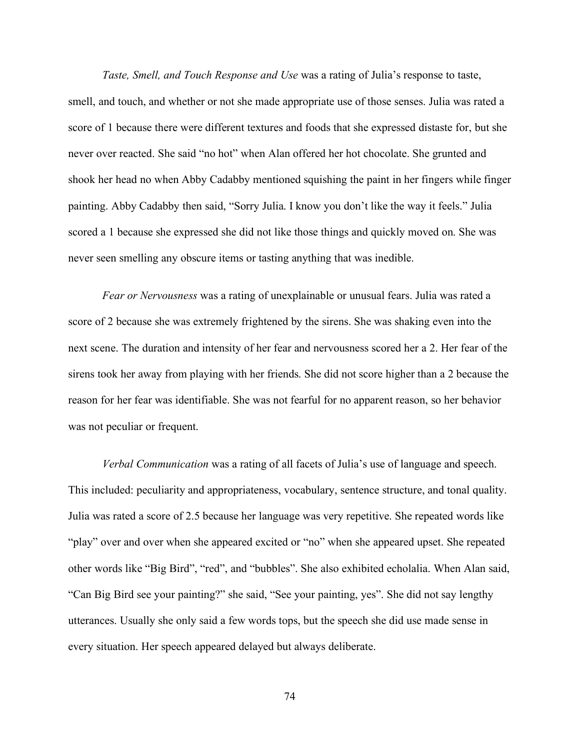*Taste, Smell, and Touch Response and Use* was a rating of Julia's response to taste, smell, and touch, and whether or not she made appropriate use of those senses. Julia was rated a score of 1 because there were different textures and foods that she expressed distaste for, but she never over reacted. She said "no hot" when Alan offered her hot chocolate. She grunted and shook her head no when Abby Cadabby mentioned squishing the paint in her fingers while finger painting. Abby Cadabby then said, "Sorry Julia. I know you don't like the way it feels." Julia scored a 1 because she expressed she did not like those things and quickly moved on. She was never seen smelling any obscure items or tasting anything that was inedible.

*Fear or Nervousness* was a rating of unexplainable or unusual fears. Julia was rated a score of 2 because she was extremely frightened by the sirens. She was shaking even into the next scene. The duration and intensity of her fear and nervousness scored her a 2. Her fear of the sirens took her away from playing with her friends. She did not score higher than a 2 because the reason for her fear was identifiable. She was not fearful for no apparent reason, so her behavior was not peculiar or frequent.

*Verbal Communication* was a rating of all facets of Julia's use of language and speech. This included: peculiarity and appropriateness, vocabulary, sentence structure, and tonal quality. Julia was rated a score of 2.5 because her language was very repetitive. She repeated words like "play" over and over when she appeared excited or "no" when she appeared upset. She repeated other words like "Big Bird", "red", and "bubbles". She also exhibited echolalia. When Alan said, "Can Big Bird see your painting?" she said, "See your painting, yes". She did not say lengthy utterances. Usually she only said a few words tops, but the speech she did use made sense in every situation. Her speech appeared delayed but always deliberate.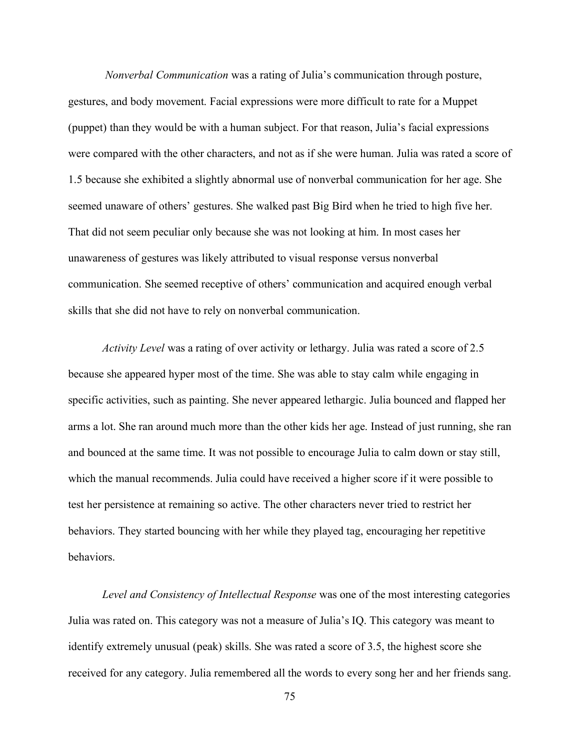*Nonverbal Communication* was a rating of Julia's communication through posture, gestures, and body movement. Facial expressions were more difficult to rate for a Muppet (puppet) than they would be with a human subject. For that reason, Julia's facial expressions were compared with the other characters, and not as if she were human. Julia was rated a score of 1.5 because she exhibited a slightly abnormal use of nonverbal communication for her age. She seemed unaware of others' gestures. She walked past Big Bird when he tried to high five her. That did not seem peculiar only because she was not looking at him. In most cases her unawareness of gestures was likely attributed to visual response versus nonverbal communication. She seemed receptive of others' communication and acquired enough verbal skills that she did not have to rely on nonverbal communication.

*Activity Level* was a rating of over activity or lethargy. Julia was rated a score of 2.5 because she appeared hyper most of the time. She was able to stay calm while engaging in specific activities, such as painting. She never appeared lethargic. Julia bounced and flapped her arms a lot. She ran around much more than the other kids her age. Instead of just running, she ran and bounced at the same time. It was not possible to encourage Julia to calm down or stay still, which the manual recommends. Julia could have received a higher score if it were possible to test her persistence at remaining so active. The other characters never tried to restrict her behaviors. They started bouncing with her while they played tag, encouraging her repetitive behaviors.

*Level and Consistency of Intellectual Response* was one of the most interesting categories Julia was rated on. This category was not a measure of Julia's IQ. This category was meant to identify extremely unusual (peak) skills. She was rated a score of 3.5, the highest score she received for any category. Julia remembered all the words to every song her and her friends sang.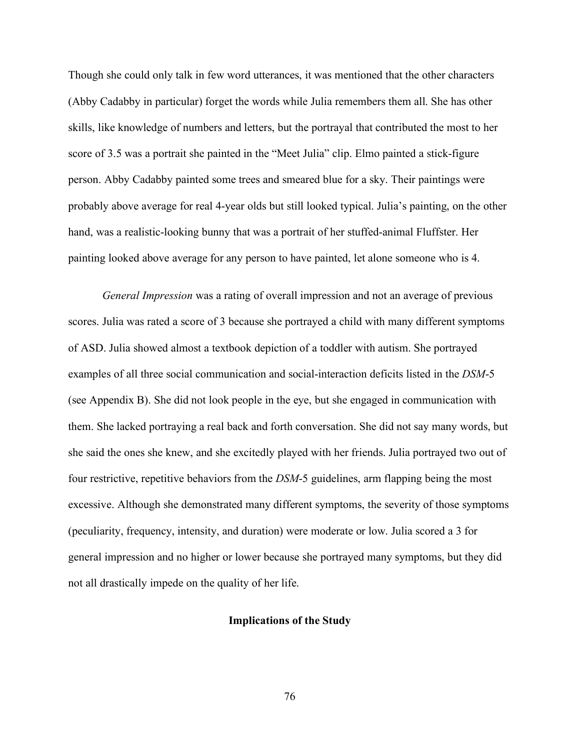Though she could only talk in few word utterances, it was mentioned that the other characters (Abby Cadabby in particular) forget the words while Julia remembers them all. She has other skills, like knowledge of numbers and letters, but the portrayal that contributed the most to her score of 3.5 was a portrait she painted in the "Meet Julia" clip. Elmo painted a stick-figure person. Abby Cadabby painted some trees and smeared blue for a sky. Their paintings were probably above average for real 4-year olds but still looked typical. Julia's painting, on the other hand, was a realistic-looking bunny that was a portrait of her stuffed-animal Fluffster. Her painting looked above average for any person to have painted, let alone someone who is 4.

*General Impression* was a rating of overall impression and not an average of previous scores. Julia was rated a score of 3 because she portrayed a child with many different symptoms of ASD. Julia showed almost a textbook depiction of a toddler with autism. She portrayed examples of all three social communication and social-interaction deficits listed in the *DSM*-5 (see Appendix B). She did not look people in the eye, but she engaged in communication with them. She lacked portraying a real back and forth conversation. She did not say many words, but she said the ones she knew, and she excitedly played with her friends. Julia portrayed two out of four restrictive, repetitive behaviors from the *DSM*-5 guidelines, arm flapping being the most excessive. Although she demonstrated many different symptoms, the severity of those symptoms (peculiarity, frequency, intensity, and duration) were moderate or low. Julia scored a 3 for general impression and no higher or lower because she portrayed many symptoms, but they did not all drastically impede on the quality of her life.

## **Implications of the Study**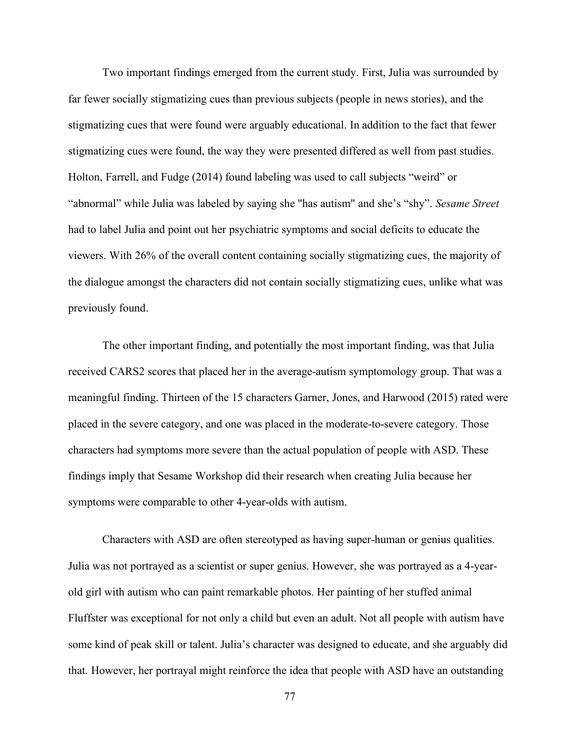Two important findings emerged from the current study. First, Julia was surrounded by far fewer socially stigmatizing cues than previous subjects (people in news stories), and the stigmatizing cues that were found were arguably educational. In addition to the fact that fewer stigmatizing cues were found, the way they were presented differed as well from past studies. Holton, Farrell, and Fudge (2014) found labeling was used to call subjects "weird" or "abnormal" while Julia was labeled by saying she "has autism" and she's "shy". *Sesame Street* had to label Julia and point out her psychiatric symptoms and social deficits to educate the viewers. With 26% of the overall content containing socially stigmatizing cues, the majority of the dialogue amongst the characters did not contain socially stigmatizing cues, unlike what was previously found.

The other important finding, and potentially the most important finding, was that Julia received CARS2 scores that placed her in the average-autism symptomology group. That was a meaningful finding. Thirteen of the 15 characters Garner, Jones, and Harwood (2015) rated were placed in the severe category, and one was placed in the moderate-to-severe category. Those characters had symptoms more severe than the actual population of people with ASD. These findings imply that Sesame Workshop did their research when creating Julia because her symptoms were comparable to other 4-year-olds with autism.

Characters with ASD are often stereotyped as having super-human or genius qualities. Julia was not portrayed as a scientist or super genius. However, she was portrayed as a 4-yearold girl with autism who can paint remarkable photos. Her painting of her stuffed animal Fluffster was exceptional for not only a child but even an adult. Not all people with autism have some kind of peak skill or talent. Julia's character was designed to educate, and she arguably did that. However, her portrayal might reinforce the idea that people with ASD have an outstanding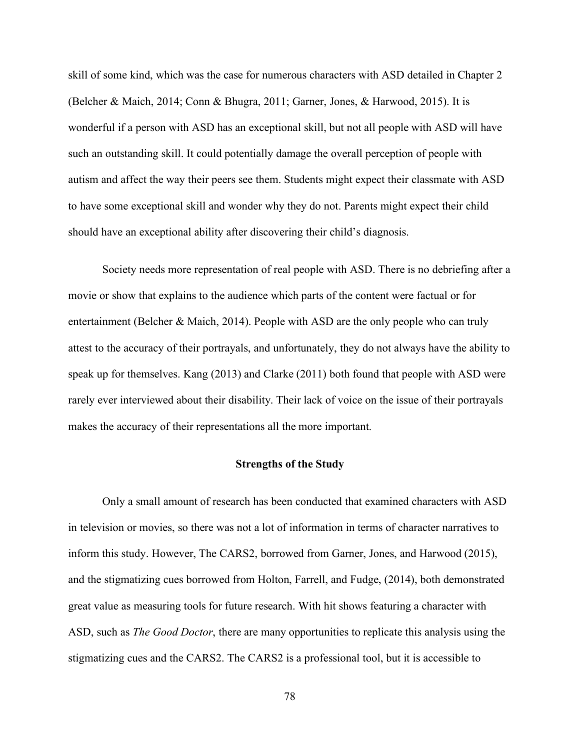skill of some kind, which was the case for numerous characters with ASD detailed in Chapter 2 (Belcher & Maich, 2014; Conn & Bhugra, 2011; Garner, Jones, & Harwood, 2015). It is wonderful if a person with ASD has an exceptional skill, but not all people with ASD will have such an outstanding skill. It could potentially damage the overall perception of people with autism and affect the way their peers see them. Students might expect their classmate with ASD to have some exceptional skill and wonder why they do not. Parents might expect their child should have an exceptional ability after discovering their child's diagnosis.

Society needs more representation of real people with ASD. There is no debriefing after a movie or show that explains to the audience which parts of the content were factual or for entertainment (Belcher & Maich, 2014). People with ASD are the only people who can truly attest to the accuracy of their portrayals, and unfortunately, they do not always have the ability to speak up for themselves. Kang (2013) and Clarke (2011) both found that people with ASD were rarely ever interviewed about their disability. Their lack of voice on the issue of their portrayals makes the accuracy of their representations all the more important.

# **Strengths of the Study**

Only a small amount of research has been conducted that examined characters with ASD in television or movies, so there was not a lot of information in terms of character narratives to inform this study. However, The CARS2, borrowed from Garner, Jones, and Harwood (2015), and the stigmatizing cues borrowed from Holton, Farrell, and Fudge, (2014), both demonstrated great value as measuring tools for future research. With hit shows featuring a character with ASD, such as *The Good Doctor*, there are many opportunities to replicate this analysis using the stigmatizing cues and the CARS2. The CARS2 is a professional tool, but it is accessible to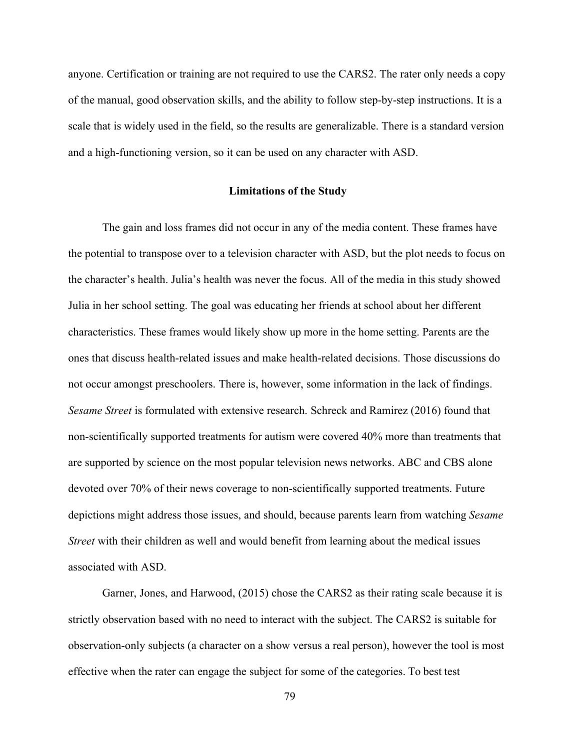anyone. Certification or training are not required to use the CARS2. The rater only needs a copy of the manual, good observation skills, and the ability to follow step-by-step instructions. It is a scale that is widely used in the field, so the results are generalizable. There is a standard version and a high-functioning version, so it can be used on any character with ASD.

## **Limitations of the Study**

The gain and loss frames did not occur in any of the media content. These frames have the potential to transpose over to a television character with ASD, but the plot needs to focus on the character's health. Julia's health was never the focus. All of the media in this study showed Julia in her school setting. The goal was educating her friends at school about her different characteristics. These frames would likely show up more in the home setting. Parents are the ones that discuss health-related issues and make health-related decisions. Those discussions do not occur amongst preschoolers. There is, however, some information in the lack of findings. *Sesame Street* is formulated with extensive research. Schreck and Ramirez (2016) found that non-scientifically supported treatments for autism were covered 40% more than treatments that are supported by science on the most popular television news networks. ABC and CBS alone devoted over 70% of their news coverage to non-scientifically supported treatments. Future depictions might address those issues, and should, because parents learn from watching *Sesame Street* with their children as well and would benefit from learning about the medical issues associated with ASD.

Garner, Jones, and Harwood, (2015) chose the CARS2 as their rating scale because it is strictly observation based with no need to interact with the subject. The CARS2 is suitable for observation-only subjects (a character on a show versus a real person), however the tool is most effective when the rater can engage the subject for some of the categories. To best test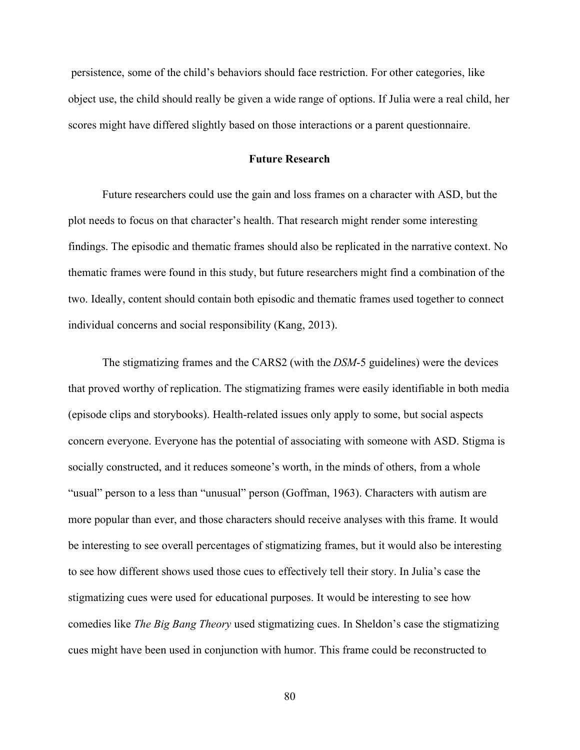persistence, some of the child's behaviors should face restriction. For other categories, like object use, the child should really be given a wide range of options. If Julia were a real child, her scores might have differed slightly based on those interactions or a parent questionnaire.

## **Future Research**

Future researchers could use the gain and loss frames on a character with ASD, but the plot needs to focus on that character's health. That research might render some interesting findings. The episodic and thematic frames should also be replicated in the narrative context. No thematic frames were found in this study, but future researchers might find a combination of the two. Ideally, content should contain both episodic and thematic frames used together to connect individual concerns and social responsibility (Kang, 2013).

The stigmatizing frames and the CARS2 (with the *DSM*-5 guidelines) were the devices that proved worthy of replication. The stigmatizing frames were easily identifiable in both media (episode clips and storybooks). Health-related issues only apply to some, but social aspects concern everyone. Everyone has the potential of associating with someone with ASD. Stigma is socially constructed, and it reduces someone's worth, in the minds of others, from a whole "usual" person to a less than "unusual" person (Goffman, 1963). Characters with autism are more popular than ever, and those characters should receive analyses with this frame. It would be interesting to see overall percentages of stigmatizing frames, but it would also be interesting to see how different shows used those cues to effectively tell their story. In Julia's case the stigmatizing cues were used for educational purposes. It would be interesting to see how comedies like *The Big Bang Theory* used stigmatizing cues. In Sheldon's case the stigmatizing cues might have been used in conjunction with humor. This frame could be reconstructed to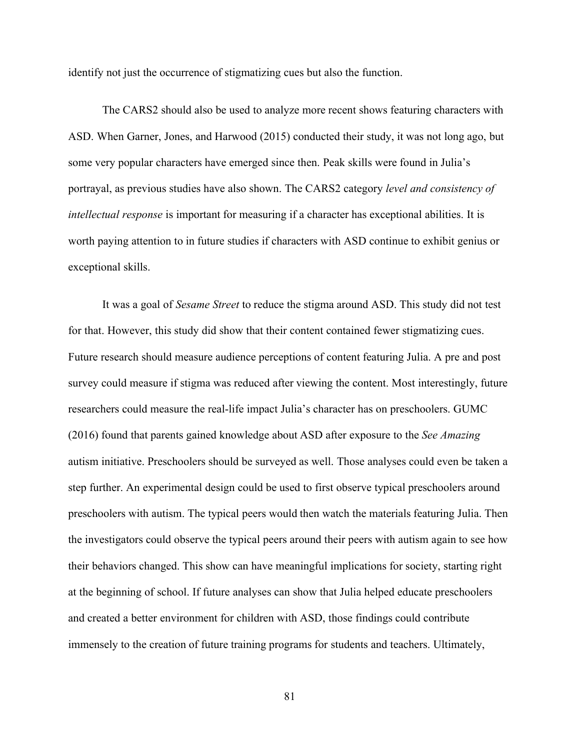identify not just the occurrence of stigmatizing cues but also the function.

The CARS2 should also be used to analyze more recent shows featuring characters with ASD. When Garner, Jones, and Harwood (2015) conducted their study, it was not long ago, but some very popular characters have emerged since then. Peak skills were found in Julia's portrayal, as previous studies have also shown. The CARS2 category *level and consistency of intellectual response* is important for measuring if a character has exceptional abilities. It is worth paying attention to in future studies if characters with ASD continue to exhibit genius or exceptional skills.

It was a goal of *Sesame Street* to reduce the stigma around ASD. This study did not test for that. However, this study did show that their content contained fewer stigmatizing cues. Future research should measure audience perceptions of content featuring Julia. A pre and post survey could measure if stigma was reduced after viewing the content. Most interestingly, future researchers could measure the real-life impact Julia's character has on preschoolers. GUMC (2016) found that parents gained knowledge about ASD after exposure to the *See Amazing* autism initiative. Preschoolers should be surveyed as well. Those analyses could even be taken a step further. An experimental design could be used to first observe typical preschoolers around preschoolers with autism. The typical peers would then watch the materials featuring Julia. Then the investigators could observe the typical peers around their peers with autism again to see how their behaviors changed. This show can have meaningful implications for society, starting right at the beginning of school. If future analyses can show that Julia helped educate preschoolers and created a better environment for children with ASD, those findings could contribute immensely to the creation of future training programs for students and teachers. Ultimately,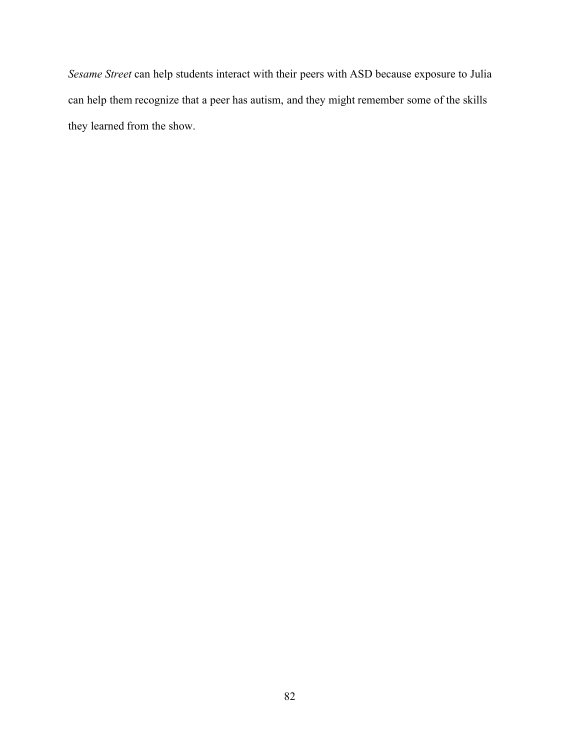*Sesame Street* can help students interact with their peers with ASD because exposure to Julia can help them recognize that a peer has autism, and they might remember some of the skills they learned from the show.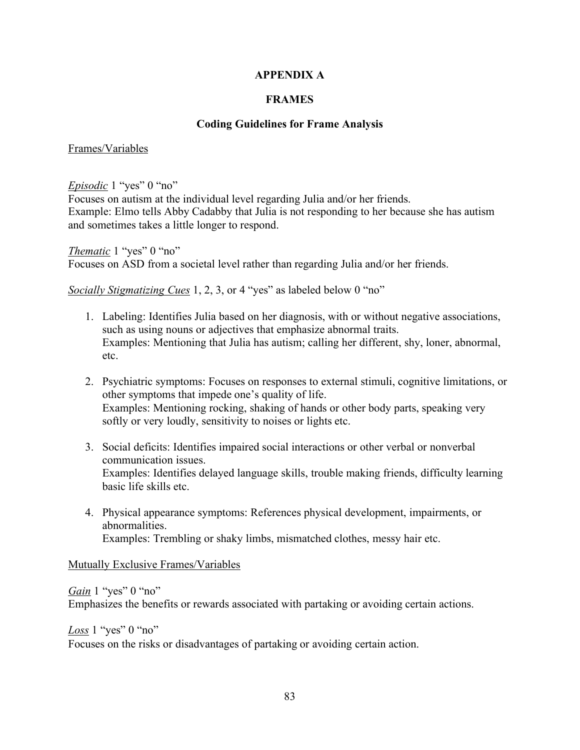# **APPENDIX A**

# **FRAMES**

# **Coding Guidelines for Frame Analysis**

## Frames/Variables

*Episodic* 1 "yes" 0 "no"

Focuses on autism at the individual level regarding Julia and/or her friends. Example: Elmo tells Abby Cadabby that Julia is not responding to her because she has autism and sometimes takes a little longer to respond.

*Thematic* 1 "yes" 0 "no" Focuses on ASD from a societal level rather than regarding Julia and/or her friends.

*Socially Stigmatizing Cues* 1, 2, 3, or 4 "yes" as labeled below 0 "no"

- 1. Labeling: Identifies Julia based on her diagnosis, with or without negative associations, such as using nouns or adjectives that emphasize abnormal traits. Examples: Mentioning that Julia has autism; calling her different, shy, loner, abnormal, etc.
- 2. Psychiatric symptoms: Focuses on responses to external stimuli, cognitive limitations, or other symptoms that impede one's quality of life. Examples: Mentioning rocking, shaking of hands or other body parts, speaking very softly or very loudly, sensitivity to noises or lights etc.
- 3. Social deficits: Identifies impaired social interactions or other verbal or nonverbal communication issues. Examples: Identifies delayed language skills, trouble making friends, difficulty learning basic life skills etc.
- 4. Physical appearance symptoms: References physical development, impairments, or abnormalities. Examples: Trembling or shaky limbs, mismatched clothes, messy hair etc.

Mutually Exclusive Frames/Variables

# *Gain* 1 "yes" 0 "no" Emphasizes the benefits or rewards associated with partaking or avoiding certain actions.

*Loss* 1 "yes" 0 "no"

Focuses on the risks or disadvantages of partaking or avoiding certain action.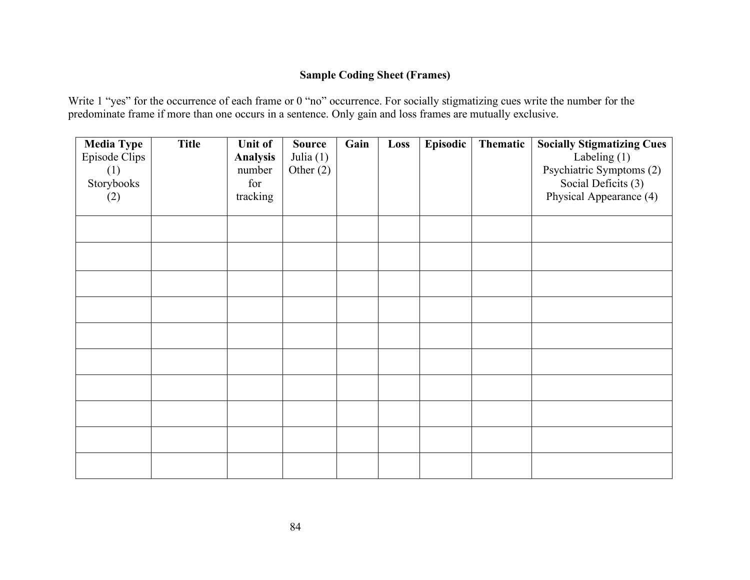# **Sample Coding Sheet (Frames)**

Write 1 "yes" for the occurrence of each frame or 0 "no" occurrence. For socially stigmatizing cues write the number for the predominate frame if more than one occurs in a sentence. Only gain and loss frames are mutually exclusive.

| <b>Media Type</b><br><b>Episode Clips</b><br>(1)<br>Storybooks<br>(2) | <b>Title</b> | <b>Unit of</b><br><b>Analysis</b><br>number<br>for<br>tracking | <b>Source</b><br>Julia $(1)$<br>Other $(2)$ | Gain | Loss | Episodic | Thematic | <b>Socially Stigmatizing Cues</b><br>Labeling $(1)$<br>Psychiatric Symptoms (2)<br>Social Deficits (3)<br>Physical Appearance (4) |
|-----------------------------------------------------------------------|--------------|----------------------------------------------------------------|---------------------------------------------|------|------|----------|----------|-----------------------------------------------------------------------------------------------------------------------------------|
|                                                                       |              |                                                                |                                             |      |      |          |          |                                                                                                                                   |
|                                                                       |              |                                                                |                                             |      |      |          |          |                                                                                                                                   |
|                                                                       |              |                                                                |                                             |      |      |          |          |                                                                                                                                   |
|                                                                       |              |                                                                |                                             |      |      |          |          |                                                                                                                                   |
|                                                                       |              |                                                                |                                             |      |      |          |          |                                                                                                                                   |
|                                                                       |              |                                                                |                                             |      |      |          |          |                                                                                                                                   |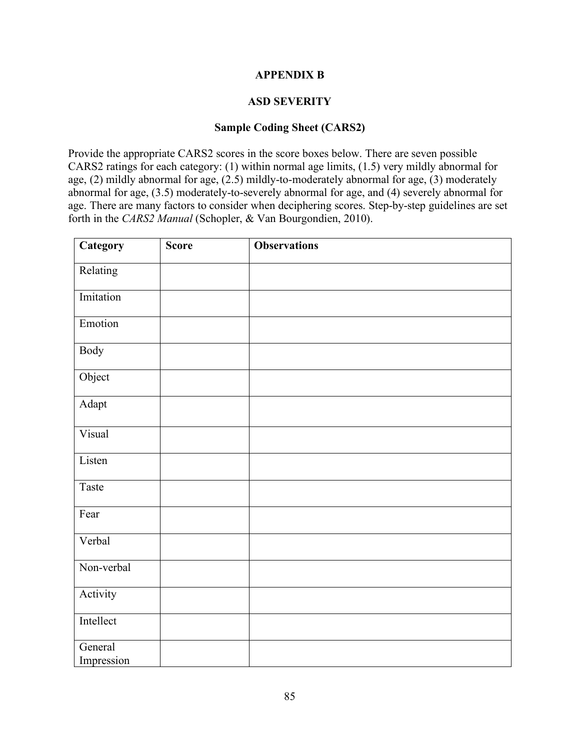# **APPENDIX B**

# **ASD SEVERITY**

# **Sample Coding Sheet (CARS2)**

Provide the appropriate CARS2 scores in the score boxes below. There are seven possible CARS2 ratings for each category: (1) within normal age limits, (1.5) very mildly abnormal for age, (2) mildly abnormal for age, (2.5) mildly-to-moderately abnormal for age, (3) moderately abnormal for age, (3.5) moderately-to-severely abnormal for age, and (4) severely abnormal for age. There are many factors to consider when deciphering scores. Step-by-step guidelines are set forth in the *CARS2 Manual* (Schopler, & Van Bourgondien, 2010).

| Category              | <b>Score</b> | <b>Observations</b> |
|-----------------------|--------------|---------------------|
| Relating              |              |                     |
| Imitation             |              |                     |
| Emotion               |              |                     |
| <b>Body</b>           |              |                     |
| Object                |              |                     |
| Adapt                 |              |                     |
| Visual                |              |                     |
| Listen                |              |                     |
| Taste                 |              |                     |
| Fear                  |              |                     |
| Verbal                |              |                     |
| Non-verbal            |              |                     |
| Activity              |              |                     |
| Intellect             |              |                     |
| General<br>Impression |              |                     |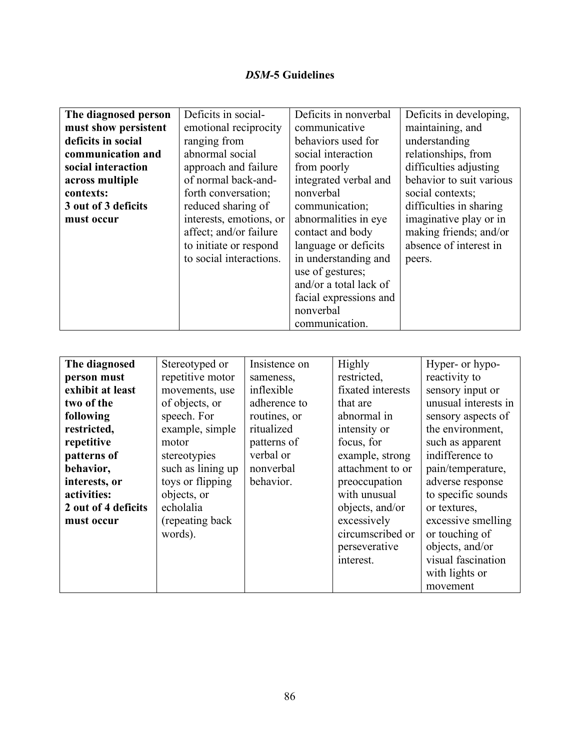# *DSM-***5 Guidelines**

| The diagnosed person | Deficits in social-     | Deficits in nonverbal  | Deficits in developing,  |
|----------------------|-------------------------|------------------------|--------------------------|
| must show persistent | emotional reciprocity   | communicative          | maintaining, and         |
| deficits in social   | ranging from            | behaviors used for     | understanding            |
| communication and    | abnormal social         | social interaction     | relationships, from      |
| social interaction   | approach and failure    | from poorly            | difficulties adjusting   |
| across multiple      | of normal back-and-     | integrated verbal and  | behavior to suit various |
| contexts:            | forth conversation;     | nonverbal              | social contexts;         |
| 3 out of 3 deficits  | reduced sharing of      | communication;         | difficulties in sharing  |
| must occur           | interests, emotions, or | abnormalities in eye   | imaginative play or in   |
|                      | affect; and/or failure  | contact and body       | making friends; and/or   |
|                      | to initiate or respond  | language or deficits   | absence of interest in   |
|                      | to social interactions. | in understanding and   | peers.                   |
|                      |                         | use of gestures;       |                          |
|                      |                         | and/or a total lack of |                          |
|                      |                         | facial expressions and |                          |
|                      |                         | nonverbal              |                          |
|                      |                         | communication.         |                          |

| The diagnosed       | Stereotyped or    | Insistence on | Highly            | Hyper- or hypo-      |
|---------------------|-------------------|---------------|-------------------|----------------------|
| person must         | repetitive motor  | sameness,     | restricted,       | reactivity to        |
| exhibit at least    | movements, use    | inflexible    | fixated interests | sensory input or     |
| two of the          | of objects, or    | adherence to  | that are          | unusual interests in |
| following           | speech. For       | routines, or  | abnormal in       | sensory aspects of   |
| restricted,         | example, simple   | ritualized    | intensity or      | the environment,     |
| repetitive          | motor             | patterns of   | focus, for        | such as apparent     |
| patterns of         | stereotypies      | verbal or     | example, strong   | indifference to      |
| behavior,           | such as lining up | nonverbal     | attachment to or  | pain/temperature,    |
| interests, or       | toys or flipping  | behavior.     | preoccupation     | adverse response     |
| activities:         | objects, or       |               | with unusual      | to specific sounds   |
| 2 out of 4 deficits | echolalia         |               | objects, and/or   | or textures,         |
| must occur          | (repeating back)  |               | excessively       | excessive smelling   |
|                     | words).           |               | circumscribed or  | or touching of       |
|                     |                   |               | perseverative     | objects, and/or      |
|                     |                   |               | interest.         | visual fascination   |
|                     |                   |               |                   | with lights or       |
|                     |                   |               |                   | movement             |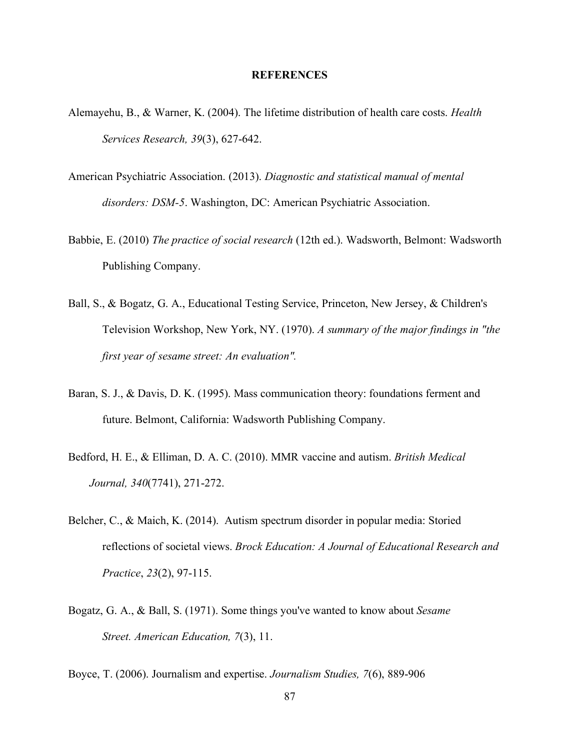### **REFERENCES**

- Alemayehu, B., & Warner, K. (2004). The lifetime distribution of health care costs. *Health Services Research, 39*(3), 627-642.
- American Psychiatric Association. (2013). *Diagnostic and statistical manual of mental disorders: DSM-5*. Washington, DC: American Psychiatric Association.
- Babbie, E. (2010) *The practice of social research* (12th ed.). Wadsworth, Belmont: Wadsworth Publishing Company.
- Ball, S., & Bogatz, G. A., Educational Testing Service, Princeton, New Jersey, & Children's Television Workshop, New York, NY. (1970). *A summary of the major findings in "the first year of sesame street: An evaluation".*
- Baran, S. J., & Davis, D. K. (1995). Mass communication theory: foundations ferment and future. Belmont, California: Wadsworth Publishing Company.
- Bedford, H. E., & Elliman, D. A. C. (2010). MMR vaccine and autism. *British Medical Journal, 340*(7741), 271-272.
- Belcher, C., & Maich, K. (2014). Autism spectrum disorder in popular media: Storied reflections of societal views. *Brock Education: A Journal of Educational Research and Practice*, *23*(2), 97-115.
- Bogatz, G. A., & Ball, S. (1971). Some things you've wanted to know about *Sesame Street. American Education, 7*(3), 11.

Boyce, T. (2006). Journalism and expertise. *Journalism Studies, 7*(6), 889-906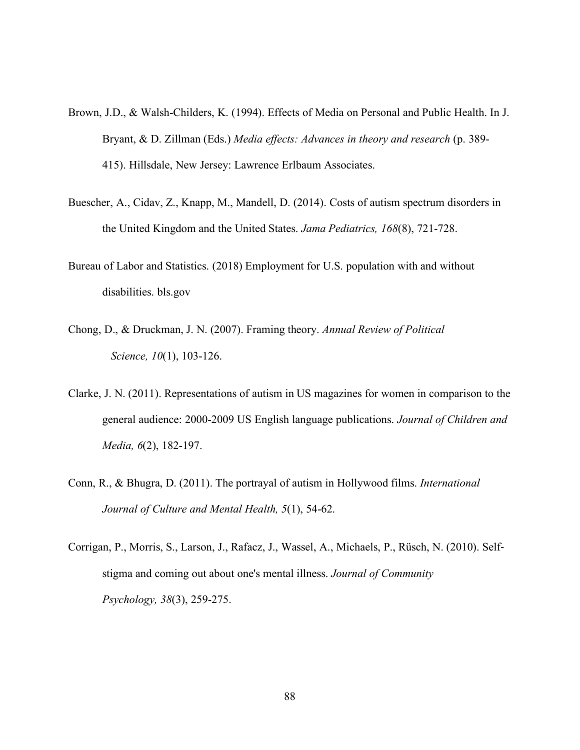- Brown, J.D., & Walsh-Childers, K. (1994). Effects of Media on Personal and Public Health. In J. Bryant, & D. Zillman (Eds.) *Media effects: Advances in theory and research* (p. 389- 415). Hillsdale, New Jersey: Lawrence Erlbaum Associates.
- Buescher, A., Cidav, Z., Knapp, M., Mandell, D. (2014). Costs of autism spectrum disorders in the United Kingdom and the United States. *Jama Pediatrics, 168*(8), 721-728.
- Bureau of Labor and Statistics. (2018) Employment for U.S. population with and without disabilities. bls.gov
- Chong, D., & Druckman, J. N. (2007). Framing theory. *Annual Review of Political Science, 10*(1), 103-126.
- Clarke, J. N. (2011). Representations of autism in US magazines for women in comparison to the general audience: 2000-2009 US English language publications. *Journal of Children and Media, 6*(2), 182-197.
- Conn, R., & Bhugra, D. (2011). The portrayal of autism in Hollywood films. *International Journal of Culture and Mental Health, 5*(1), 54-62.
- Corrigan, P., Morris, S., Larson, J., Rafacz, J., Wassel, A., Michaels, P., Rüsch, N. (2010). Self stigma and coming out about one's mental illness. *Journal of Community Psychology, 38*(3), 259-275.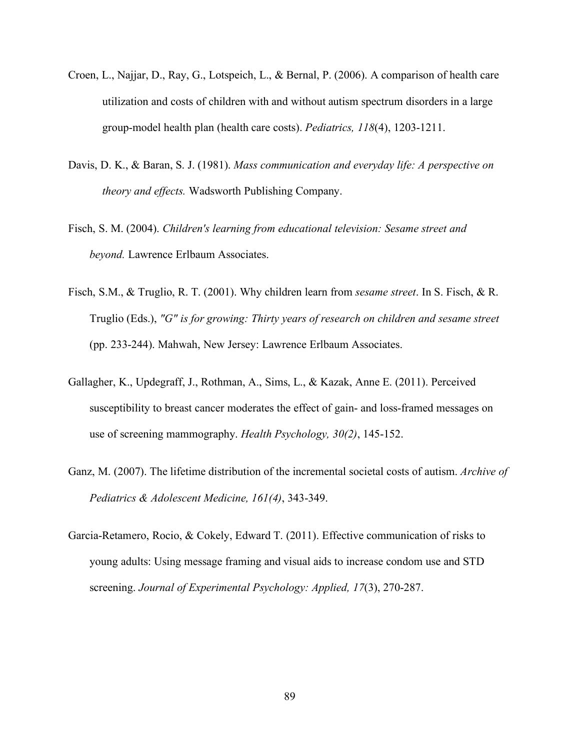- Croen, L., Najjar, D., Ray, G., Lotspeich, L., & Bernal, P. (2006). A comparison of health care utilization and costs of children with and without autism spectrum disorders in a large group-model health plan (health care costs). *Pediatrics, 118*(4), 1203-1211.
- Davis, D. K., & Baran, S. J. (1981). *Mass communication and everyday life: A perspective on theory and effects.* Wadsworth Publishing Company.
- Fisch, S. M. (2004). *Children's learning from educational television: Sesame street and beyond.* Lawrence Erlbaum Associates.
- Fisch, S.M., & Truglio, R. T. (2001). Why children learn from *sesame street*. In S. Fisch, & R. Truglio (Eds.), *"G" is for growing: Thirty years of research on children and sesame street*  (pp. 233-244). Mahwah, New Jersey: Lawrence Erlbaum Associates.
- Gallagher, K., Updegraff, J., Rothman, A., Sims, L., & Kazak, Anne E. (2011). Perceived susceptibility to breast cancer moderates the effect of gain- and loss-framed messages on use of screening mammography. *Health Psychology, 30(2)*, 145-152.
- Ganz, M. (2007). The lifetime distribution of the incremental societal costs of autism. *Archive of Pediatrics & Adolescent Medicine, 161(4)*, 343-349.
- Garcia-Retamero, Rocio, & Cokely, Edward T. (2011). Effective communication of risks to young adults: Using message framing and visual aids to increase condom use and STD screening. *Journal of Experimental Psychology: Applied, 17*(3), 270-287.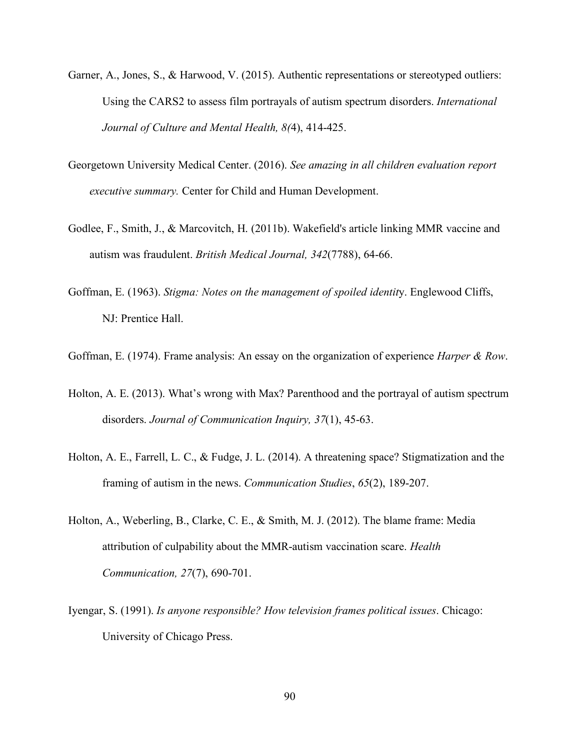- Garner, A., Jones, S., & Harwood, V. (2015). Authentic representations or stereotyped outliers: Using the CARS2 to assess film portrayals of autism spectrum disorders. *International Journal of Culture and Mental Health, 8(*4), 414-425.
- Georgetown University Medical Center. (2016). *See amazing in all children evaluation report executive summary.* Center for Child and Human Development.
- Godlee, F., Smith, J., & Marcovitch, H. (2011b). Wakefield's article linking MMR vaccine and autism was fraudulent. *British Medical Journal, 342*(7788), 64-66.
- Goffman, E. (1963). *Stigma: Notes on the management of spoiled identit*y. Englewood Cliffs, NJ: Prentice Hall.
- Goffman, E. (1974). Frame analysis: An essay on the organization of experience *Harper & Row*.
- Holton, A. E. (2013). What's wrong with Max? Parenthood and the portrayal of autism spectrum disorders. *Journal of Communication Inquiry, 37*(1), 45-63.
- Holton, A. E., Farrell, L. C., & Fudge, J. L. (2014). A threatening space? Stigmatization and the framing of autism in the news. *Communication Studies*, *65*(2), 189-207.
- Holton, A., Weberling, B., Clarke, C. E., & Smith, M. J. (2012). The blame frame: Media attribution of culpability about the MMR-autism vaccination scare. *Health Communication, 27*(7), 690-701.
- Iyengar, S. (1991). *Is anyone responsible? How television frames political issues*. Chicago: University of Chicago Press.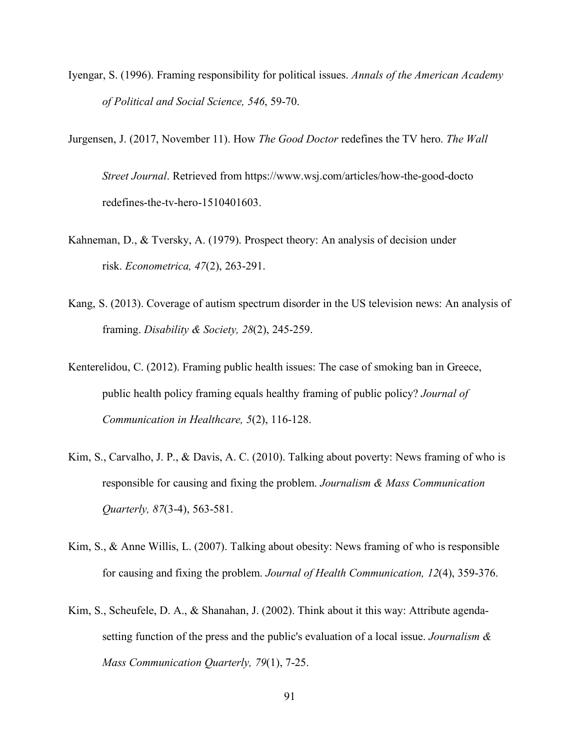- Iyengar, S. (1996). Framing responsibility for political issues. *Annals of the American Academy of Political and Social Science, 546*, 59-70.
- Jurgensen, J. (2017, November 11). How *The Good Doctor* redefines the TV hero. *The Wall Street Journal*. Retrieved from https://www.wsj.com/articles/how-the-good-docto redefines-the-tv-hero-1510401603.
- Kahneman, D., & Tversky, A. (1979). Prospect theory: An analysis of decision under risk. *Econometrica, 47*(2), 263-291.
- Kang, S. (2013). Coverage of autism spectrum disorder in the US television news: An analysis of framing. *Disability & Society, 28*(2), 245-259.
- Kenterelidou, C. (2012). Framing public health issues: The case of smoking ban in Greece, public health policy framing equals healthy framing of public policy? *Journal of Communication in Healthcare, 5*(2), 116-128.
- Kim, S., Carvalho, J. P., & Davis, A. C. (2010). Talking about poverty: News framing of who is responsible for causing and fixing the problem. *Journalism & Mass Communication Quarterly, 87*(3-4), 563-581.
- Kim, S., & Anne Willis, L. (2007). Talking about obesity: News framing of who is responsible for causing and fixing the problem. *Journal of Health Communication, 12*(4), 359-376.
- Kim, S., Scheufele, D. A., & Shanahan, J. (2002). Think about it this way: Attribute agenda setting function of the press and the public's evaluation of a local issue. *Journalism & Mass Communication Quarterly, 79*(1), 7-25.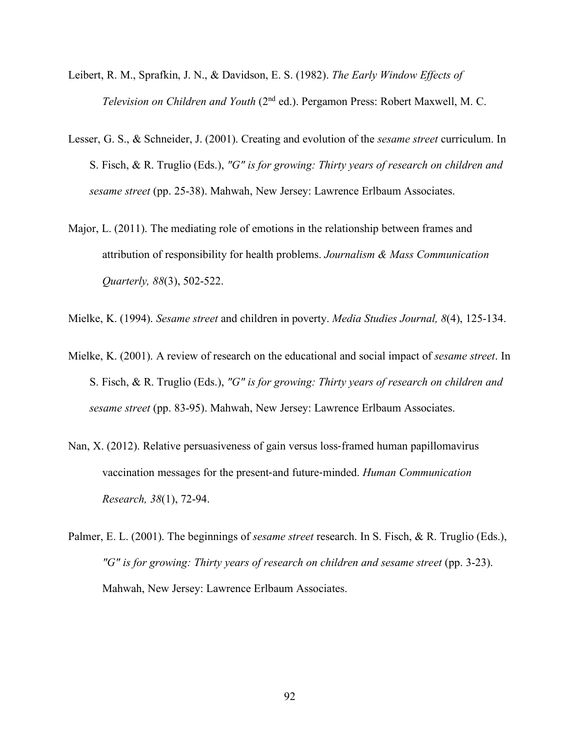- Leibert, R. M., Sprafkin, J. N., & Davidson, E. S. (1982). *The Early Window Effects of Television on Children and Youth* (2nd ed.). Pergamon Press: Robert Maxwell, M. C.
- Lesser, G. S., & Schneider, J. (2001). Creating and evolution of the *sesame street* curriculum. In S. Fisch, & R. Truglio (Eds.), *"G" is for growing: Thirty years of research on children and sesame street* (pp. 25-38). Mahwah, New Jersey: Lawrence Erlbaum Associates.
- Major, L. (2011). The mediating role of emotions in the relationship between frames and attribution of responsibility for health problems. *Journalism & Mass Communication Quarterly, 88*(3), 502-522.
- Mielke, K. (1994). *Sesame street* and children in poverty. *Media Studies Journal, 8*(4), 125-134.
- Mielke, K. (2001). A review of research on the educational and social impact of *sesame street*. In S. Fisch, & R. Truglio (Eds.), *"G" is for growing: Thirty years of research on children and sesame street* (pp. 83-95). Mahwah, New Jersey: Lawrence Erlbaum Associates.
- Nan, X. (2012). Relative persuasiveness of gain versus loss-framed human papillomavirus vaccination messages for the present-and future-minded. *Human Communication Research, 38*(1), 72-94.
- Palmer, E. L. (2001). The beginnings of *sesame street* research. In S. Fisch, & R. Truglio (Eds.), "G" is for growing: Thirty years of research on children and sesame street (pp. 3-23). Mahwah, New Jersey: Lawrence Erlbaum Associates.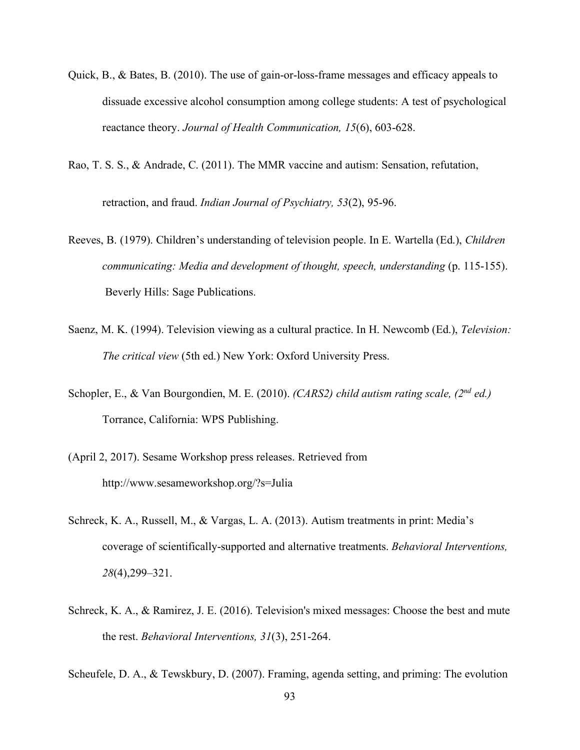- Quick, B., & Bates, B. (2010). The use of gain-or-loss-frame messages and efficacy appeals to dissuade excessive alcohol consumption among college students: A test of psychological reactance theory. *Journal of Health Communication, 15*(6), 603-628.
- Rao, T. S. S., & Andrade, C. (2011). The MMR vaccine and autism: Sensation, refutation,

retraction, and fraud. *Indian Journal of Psychiatry, 53*(2), 95-96.

- Reeves, B. (1979). Children's understanding of television people. In E. Wartella (Ed.), *Children communicating: Media and development of thought, speech, understanding* (p. 115-155). Beverly Hills: Sage Publications.
- Saenz, M. K. (1994). Television viewing as a cultural practice. In H. Newcomb (Ed.), *Television: The critical view* (5th ed.) New York: Oxford University Press.
- Schopler, E., & Van Bourgondien, M. E. (2010). *(CARS2) child autism rating scale, (2nd ed.)*  Torrance, California: WPS Publishing.
- (April 2, 2017). Sesame Workshop press releases. Retrieved from http://www.sesameworkshop.org/?s=Julia
- Schreck, K. A., Russell, M., & Vargas, L. A. (2013). Autism treatments in print: Media's coverage of scientifically-supported and alternative treatments. *Behavioral Interventions, 28*(4),299–321.
- Schreck, K. A., & Ramirez, J. E. (2016). Television's mixed messages: Choose the best and mute the rest. *Behavioral Interventions, 31*(3), 251-264.

Scheufele, D. A., & Tewskbury, D. (2007). Framing, agenda setting, and priming: The evolution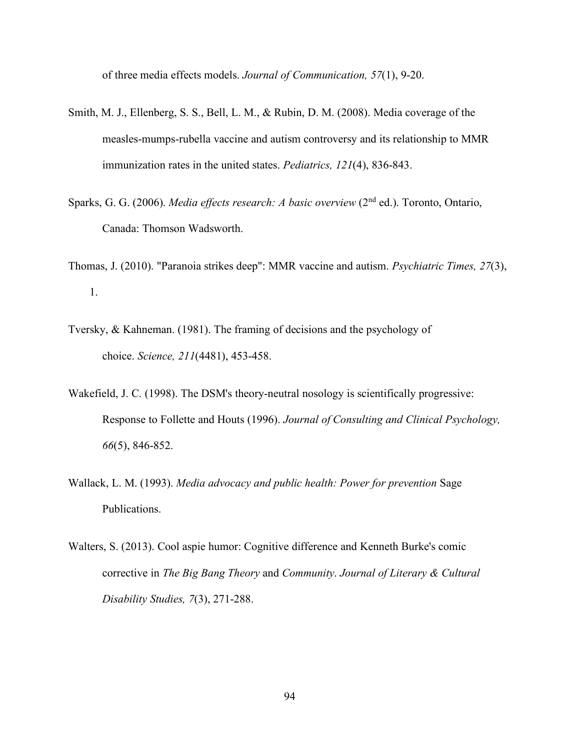of three media effects models. *Journal of Communication, 57*(1), 9-20.

- Smith, M. J., Ellenberg, S. S., Bell, L. M., & Rubin, D. M. (2008). Media coverage of the measles-mumps-rubella vaccine and autism controversy and its relationship to MMR immunization rates in the united states. *Pediatrics, 121*(4), 836-843.
- Sparks, G. G. (2006). *Media effects research: A basic overview* (2nd ed.). Toronto, Ontario, Canada: Thomson Wadsworth.
- Thomas, J. (2010). "Paranoia strikes deep": MMR vaccine and autism. *Psychiatric Times, 27*(3), 1.
- Tversky, & Kahneman. (1981). The framing of decisions and the psychology of choice. *Science, 211*(4481), 453-458.
- Wakefield, J. C. (1998). The DSM's theory-neutral nosology is scientifically progressive: Response to Follette and Houts (1996). *Journal of Consulting and Clinical Psychology, 66*(5), 846-852.
- Wallack, L. M. (1993). *Media advocacy and public health: Power for prevention* Sage Publications.
- Walters, S. (2013). Cool aspie humor: Cognitive difference and Kenneth Burke's comic corrective in *The Big Bang Theory* and *Community*. *Journal of Literary & Cultural Disability Studies, 7*(3), 271-288.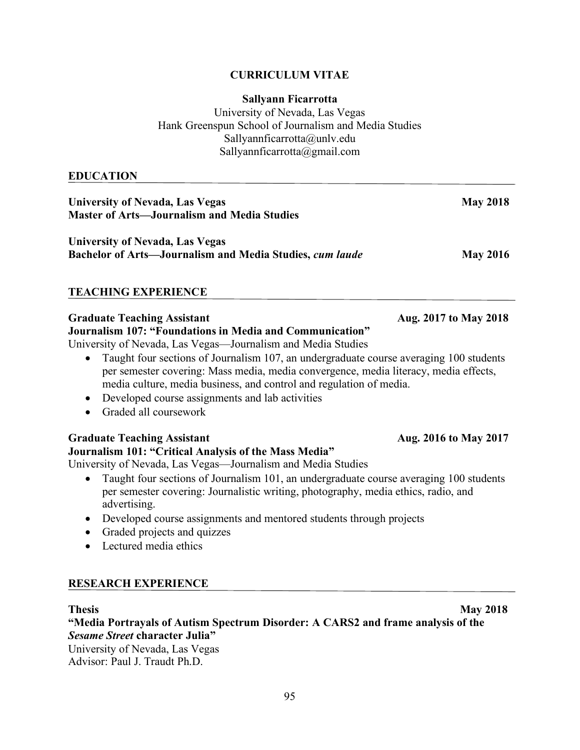# **CURRICULUM VITAE**

## **Sallyann Ficarrotta**

University of Nevada, Las Vegas Hank Greenspun School of Journalism and Media Studies Sallyannficarrotta@unlv.edu Sallyannficarrotta@gmail.com

# **EDUCATION**

| <b>University of Nevada, Las Vegas</b><br><b>Master of Arts-Journalism and Media Studies</b>                                                                                                                                                                                                                                                                                                                                                                                                                                               | <b>May 2018</b>       |
|--------------------------------------------------------------------------------------------------------------------------------------------------------------------------------------------------------------------------------------------------------------------------------------------------------------------------------------------------------------------------------------------------------------------------------------------------------------------------------------------------------------------------------------------|-----------------------|
| <b>University of Nevada, Las Vegas</b><br>Bachelor of Arts-Journalism and Media Studies, cum laude                                                                                                                                                                                                                                                                                                                                                                                                                                         | <b>May 2016</b>       |
| <b>TEACHING EXPERIENCE</b>                                                                                                                                                                                                                                                                                                                                                                                                                                                                                                                 |                       |
| <b>Graduate Teaching Assistant</b><br>Journalism 107: "Foundations in Media and Communication"<br>University of Nevada, Las Vegas—Journalism and Media Studies<br>Taught four sections of Journalism 107, an undergraduate course averaging 100 students<br>$\bullet$<br>per semester covering: Mass media, media convergence, media literacy, media effects,<br>media culture, media business, and control and regulation of media.<br>Developed course assignments and lab activities<br>$\bullet$<br>Graded all coursework<br>$\bullet$ | Aug. 2017 to May 2018 |
| <b>Graduate Teaching Assistant</b><br>Journalism 101: "Critical Analysis of the Mass Media"<br>University of Nevada, Las Vegas—Journalism and Media Studies<br>$\bullet$ Tought four soctions of Journalism 101 on undergraduate course evergoing 100 students                                                                                                                                                                                                                                                                             | Aug. 2016 to May 2017 |

- Taught four sections of Journalism 101, an undergraduate course averaging 100 students per semester covering: Journalistic writing, photography, media ethics, radio, and advertising.
- Developed course assignments and mentored students through projects
- Graded projects and quizzes
- Lectured media ethics

# **RESEARCH EXPERIENCE**

# **Thesis May 2018**

**"Media Portrayals of Autism Spectrum Disorder: A CARS2 and frame analysis of the**  *Sesame Street* **character Julia"** 

University of Nevada, Las Vegas Advisor: Paul J. Traudt Ph.D.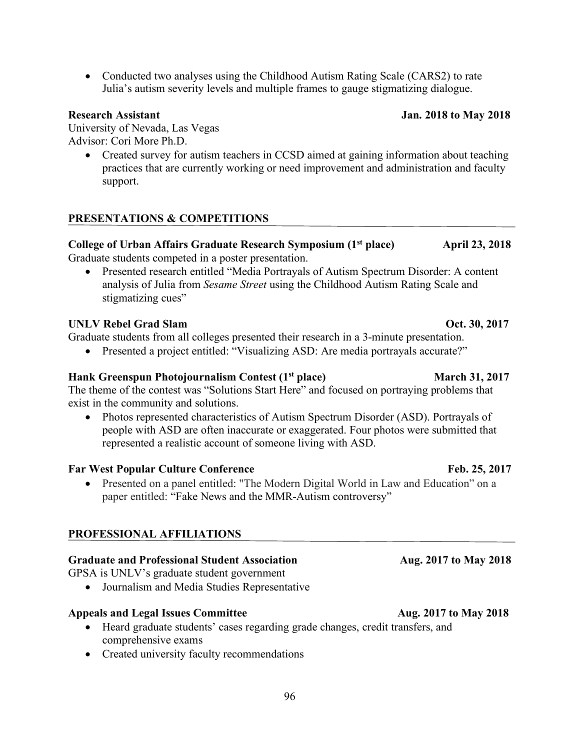• Conducted two analyses using the Childhood Autism Rating Scale (CARS2) to rate Julia's autism severity levels and multiple frames to gauge stigmatizing dialogue.

University of Nevada, Las Vegas Advisor: Cori More Ph.D.

> • Created survey for autism teachers in CCSD aimed at gaining information about teaching practices that are currently working or need improvement and administration and faculty support.

# **PRESENTATIONS & COMPETITIONS**

## College of Urban Affairs Graduate Research Symposium (1<sup>st</sup> place) April 23, 2018 Graduate students competed in a poster presentation.

• Presented research entitled "Media Portravals of Autism Spectrum Disorder: A content analysis of Julia from *Sesame Street* using the Childhood Autism Rating Scale and stigmatizing cues"

# **UNLV Rebel Grad Slam Oct. 30, 2017**

Graduate students from all colleges presented their research in a 3-minute presentation.

• Presented a project entitled: "Visualizing ASD: Are media portrayals accurate?"

# **Hank Greenspun Photojournalism Contest (1st place)** March 31, 2017

The theme of the contest was "Solutions Start Here" and focused on portraying problems that exist in the community and solutions.

• Photos represented characteristics of Autism Spectrum Disorder (ASD). Portrayals of people with ASD are often inaccurate or exaggerated. Four photos were submitted that represented a realistic account of someone living with ASD.

# **Far West Popular Culture Conference Feb. 25, 2017**

• Presented on a panel entitled: "The Modern Digital World in Law and Education" on a paper entitled: "Fake News and the MMR-Autism controversy"

# **PROFESSIONAL AFFILIATIONS**

# Graduate and Professional Student Association **Aug. 2017 to May 2018**

GPSA is UNLV's graduate student government

• Journalism and Media Studies Representative

## **Appeals and Legal Issues Committee Aug. 2017 to May 2018**

- Heard graduate students' cases regarding grade changes, credit transfers, and comprehensive exams
- Created university faculty recommendations

# **Research Assistant Jan. 2018 to May 2018**